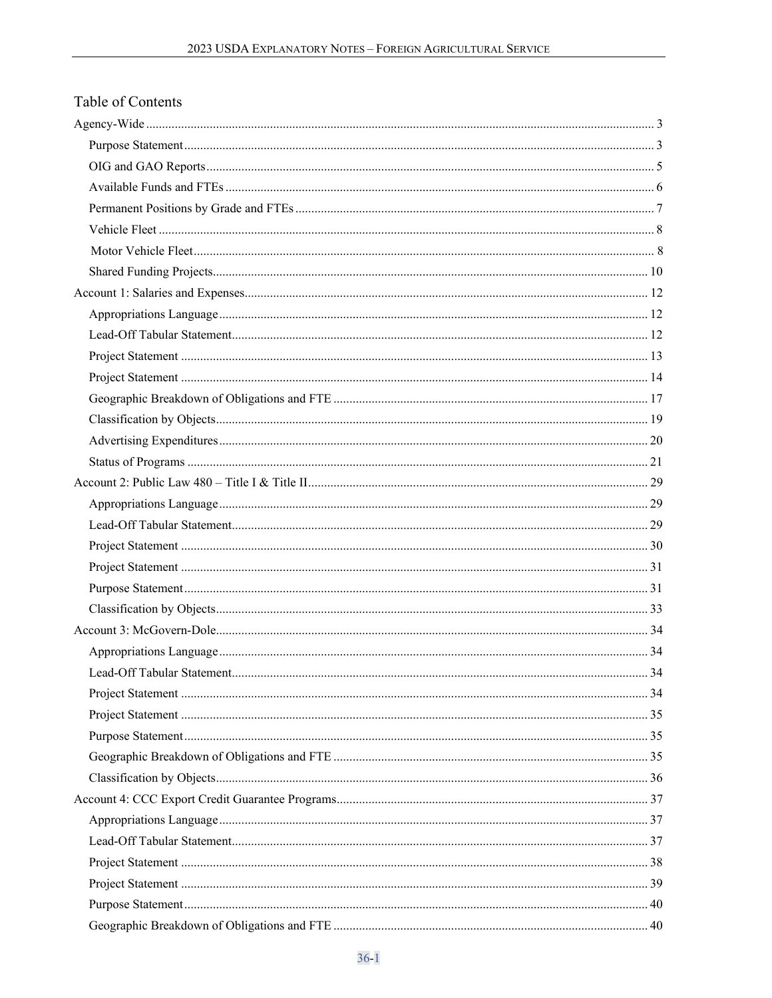# Table of Contents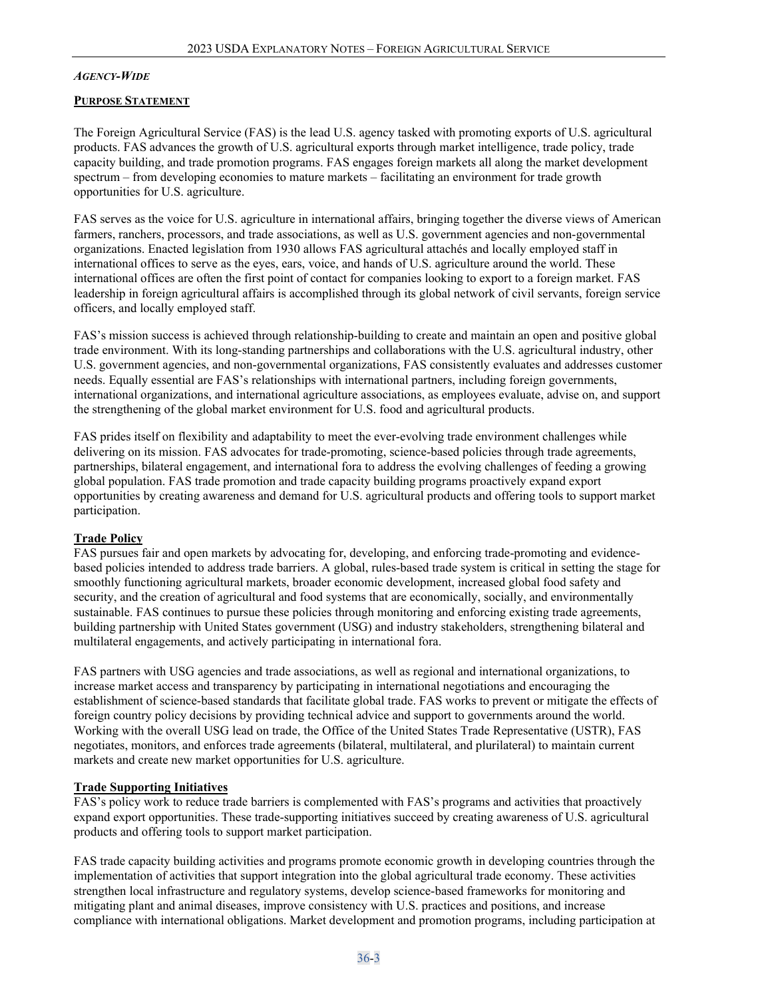### <span id="page-2-0"></span>*AGENCY-WIDE*

#### <span id="page-2-1"></span>**PURPOSE STATEMENT**

The Foreign Agricultural Service (FAS) is the lead U.S. agency tasked with promoting exports of U.S. agricultural products. FAS advances the growth of U.S. agricultural exports through market intelligence, trade policy, trade capacity building, and trade promotion programs. FAS engages foreign markets all along the market development spectrum – from developing economies to mature markets – facilitating an environment for trade growth opportunities for U.S. agriculture.

FAS serves as the voice for U.S. agriculture in international affairs, bringing together the diverse views of American farmers, ranchers, processors, and trade associations, as well as U.S. government agencies and non-governmental organizations. Enacted legislation from 1930 allows FAS agricultural attachés and locally employed staff in international offices to serve as the eyes, ears, voice, and hands of U.S. agriculture around the world. These international offices are often the first point of contact for companies looking to export to a foreign market. FAS leadership in foreign agricultural affairs is accomplished through its global network of civil servants, foreign service officers, and locally employed staff.

FAS's mission success is achieved through relationship-building to create and maintain an open and positive global trade environment. With its long-standing partnerships and collaborations with the U.S. agricultural industry, other U.S. government agencies, and non-governmental organizations, FAS consistently evaluates and addresses customer needs. Equally essential are FAS's relationships with international partners, including foreign governments, international organizations, and international agriculture associations, as employees evaluate, advise on, and support the strengthening of the global market environment for U.S. food and agricultural products.

FAS prides itself on flexibility and adaptability to meet the ever-evolving trade environment challenges while delivering on its mission. FAS advocates for trade-promoting, science-based policies through trade agreements, partnerships, bilateral engagement, and international fora to address the evolving challenges of feeding a growing global population. FAS trade promotion and trade capacity building programs proactively expand export opportunities by creating awareness and demand for U.S. agricultural products and offering tools to support market participation.

#### **Trade Policy**

FAS pursues fair and open markets by advocating for, developing, and enforcing trade-promoting and evidencebased policies intended to address trade barriers. A global, rules-based trade system is critical in setting the stage for smoothly functioning agricultural markets, broader economic development, increased global food safety and security, and the creation of agricultural and food systems that are economically, socially, and environmentally sustainable. FAS continues to pursue these policies through monitoring and enforcing existing trade agreements, building partnership with United States government (USG) and industry stakeholders, strengthening bilateral and multilateral engagements, and actively participating in international fora.

FAS partners with USG agencies and trade associations, as well as regional and international organizations, to increase market access and transparency by participating in international negotiations and encouraging the establishment of science-based standards that facilitate global trade. FAS works to prevent or mitigate the effects of foreign country policy decisions by providing technical advice and support to governments around the world. Working with the overall USG lead on trade, the Office of the United States Trade Representative (USTR), FAS negotiates, monitors, and enforces trade agreements (bilateral, multilateral, and plurilateral) to maintain current markets and create new market opportunities for U.S. agriculture.

#### **Trade Supporting Initiatives**

FAS's policy work to reduce trade barriers is complemented with FAS's programs and activities that proactively expand export opportunities. These trade-supporting initiatives succeed by creating awareness of U.S. agricultural products and offering tools to support market participation.

FAS trade capacity building activities and programs promote economic growth in developing countries through the implementation of activities that support integration into the global agricultural trade economy. These activities strengthen local infrastructure and regulatory systems, develop science-based frameworks for monitoring and mitigating plant and animal diseases, improve consistency with U.S. practices and positions, and increase compliance with international obligations. Market development and promotion programs, including participation at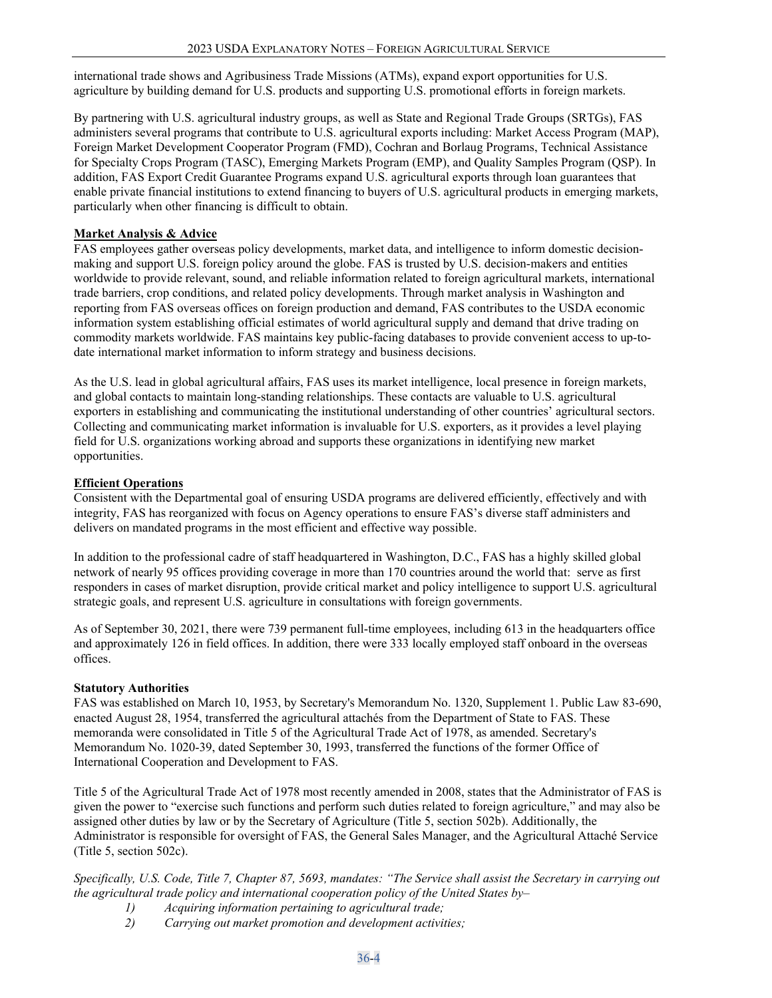international trade shows and Agribusiness Trade Missions (ATMs), expand export opportunities for U.S. agriculture by building demand for U.S. products and supporting U.S. promotional efforts in foreign markets.

By partnering with U.S. agricultural industry groups, as well as State and Regional Trade Groups (SRTGs), FAS administers several programs that contribute to U.S. agricultural exports including: Market Access Program (MAP), Foreign Market Development Cooperator Program (FMD), Cochran and Borlaug Programs, Technical Assistance for Specialty Crops Program (TASC), Emerging Markets Program (EMP), and Quality Samples Program (QSP). In addition, FAS Export Credit Guarantee Programs expand U.S. agricultural exports through loan guarantees that enable private financial institutions to extend financing to buyers of U.S. agricultural products in emerging markets, particularly when other financing is difficult to obtain.

## **Market Analysis & Advice**

FAS employees gather overseas policy developments, market data, and intelligence to inform domestic decisionmaking and support U.S. foreign policy around the globe. FAS is trusted by U.S. decision-makers and entities worldwide to provide relevant, sound, and reliable information related to foreign agricultural markets, international trade barriers, crop conditions, and related policy developments. Through market analysis in Washington and reporting from FAS overseas offices on foreign production and demand, FAS contributes to the USDA economic information system establishing official estimates of world agricultural supply and demand that drive trading on commodity markets worldwide. FAS maintains key public-facing databases to provide convenient access to up-todate international market information to inform strategy and business decisions.

As the U.S. lead in global agricultural affairs, FAS uses its market intelligence, local presence in foreign markets, and global contacts to maintain long-standing relationships. These contacts are valuable to U.S. agricultural exporters in establishing and communicating the institutional understanding of other countries' agricultural sectors. Collecting and communicating market information is invaluable for U.S. exporters, as it provides a level playing field for U.S. organizations working abroad and supports these organizations in identifying new market opportunities.

## **Efficient Operations**

Consistent with the Departmental goal of ensuring USDA programs are delivered efficiently, effectively and with integrity, FAS has reorganized with focus on Agency operations to ensure FAS's diverse staff administers and delivers on mandated programs in the most efficient and effective way possible.

In addition to the professional cadre of staff headquartered in Washington, D.C., FAS has a highly skilled global network of nearly 95 offices providing coverage in more than 170 countries around the world that: serve as first responders in cases of market disruption, provide critical market and policy intelligence to support U.S. agricultural strategic goals, and represent U.S. agriculture in consultations with foreign governments.

As of September 30, 2021, there were 739 permanent full-time employees, including 613 in the headquarters office and approximately 126 in field offices. In addition, there were 333 locally employed staff onboard in the overseas offices.

#### **Statutory Authorities**

FAS was established on March 10, 1953, by Secretary's Memorandum No. 1320, Supplement 1. Public Law 83-690, enacted August 28, 1954, transferred the agricultural attachés from the Department of State to FAS. These memoranda were consolidated in Title 5 of the Agricultural Trade Act of 1978, as amended. Secretary's Memorandum No. 1020-39, dated September 30, 1993, transferred the functions of the former Office of International Cooperation and Development to FAS.

Title 5 of the Agricultural Trade Act of 1978 most recently amended in 2008, states that the Administrator of FAS is given the power to "exercise such functions and perform such duties related to foreign agriculture," and may also be assigned other duties by law or by the Secretary of Agriculture (Title 5, section 502b). Additionally, the Administrator is responsible for oversight of FAS, the General Sales Manager, and the Agricultural Attaché Service (Title 5, section 502c).

*Specifically, U.S. Code, Title 7, Chapter 87, 5693, mandates: "The Service shall assist the Secretary in carrying out the agricultural trade policy and international cooperation policy of the United States by–* 

- *1) Acquiring information pertaining to agricultural trade;*
- *2) Carrying out market promotion and development activities;*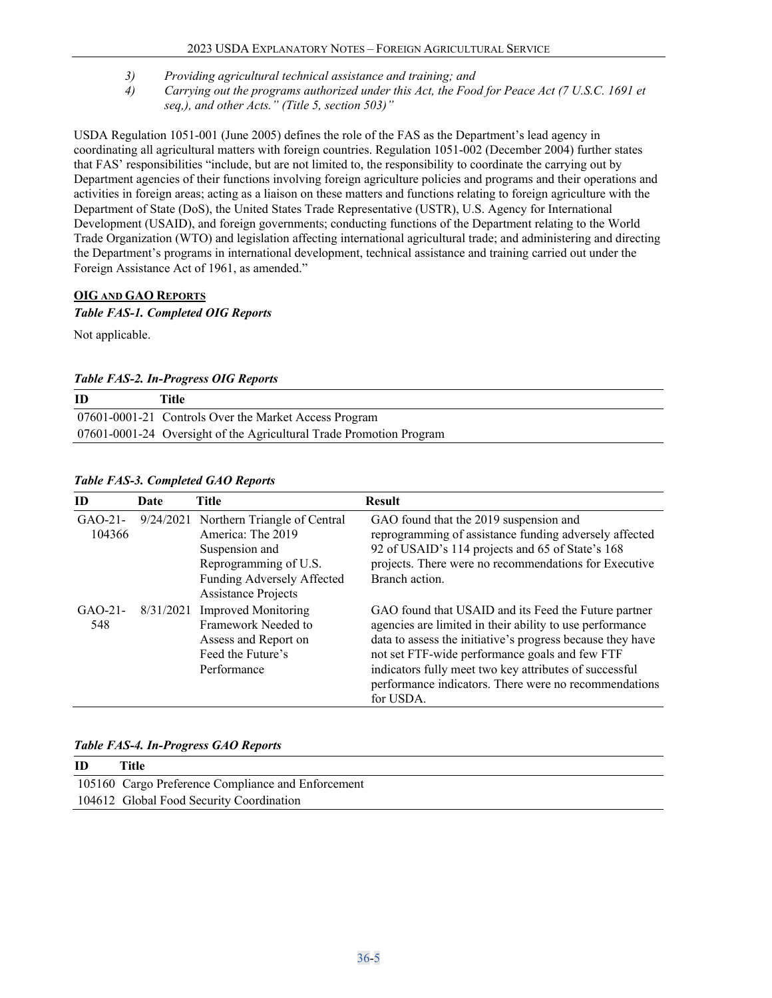- *3) Providing agricultural technical assistance and training; and*
- *4) Carrying out the programs authorized under this Act, the Food for Peace Act (7 U.S.C. 1691 et seq,), and other Acts." (Title 5, section 503)"*

USDA Regulation 1051-001 (June 2005) defines the role of the FAS as the Department's lead agency in coordinating all agricultural matters with foreign countries. Regulation 1051-002 (December 2004) further states that FAS' responsibilities "include, but are not limited to, the responsibility to coordinate the carrying out by Department agencies of their functions involving foreign agriculture policies and programs and their operations and activities in foreign areas; acting as a liaison on these matters and functions relating to foreign agriculture with the Department of State (DoS), the United States Trade Representative (USTR), U.S. Agency for International Development (USAID), and foreign governments; conducting functions of the Department relating to the World Trade Organization (WTO) and legislation affecting international agricultural trade; and administering and directing the Department's programs in international development, technical assistance and training carried out under the Foreign Assistance Act of 1961, as amended."

## <span id="page-4-0"></span>**OIG AND GAO REPORTS**

## *Table FAS-1. Completed OIG Reports*

Not applicable.

## *Table FAS-2. In-Progress OIG Reports*

| ID | Title                                                               |
|----|---------------------------------------------------------------------|
|    | 07601-0001-21 Controls Over the Market Access Program               |
|    | 07601-0001-24 Oversight of the Agricultural Trade Promotion Program |

| ID               | Date      | Title                                                    | <b>Result</b>                                                                                                    |
|------------------|-----------|----------------------------------------------------------|------------------------------------------------------------------------------------------------------------------|
| $GAO-21$ -       |           | 9/24/2021 Northern Triangle of Central                   | GAO found that the 2019 suspension and                                                                           |
| 104366           |           | America: The 2019                                        | reprogramming of assistance funding adversely affected                                                           |
|                  |           | Suspension and                                           | 92 of USAID's 114 projects and 65 of State's 168                                                                 |
|                  |           | Reprogramming of U.S.                                    | projects. There were no recommendations for Executive                                                            |
|                  |           | Funding Adversely Affected<br><b>Assistance Projects</b> | Branch action.                                                                                                   |
| $GAO-21-$<br>548 | 8/31/2021 | <b>Improved Monitoring</b><br>Framework Needed to        | GAO found that USAID and its Feed the Future partner<br>agencies are limited in their ability to use performance |
|                  |           | Assess and Report on                                     | data to assess the initiative's progress because they have                                                       |
|                  |           | Feed the Future's                                        | not set FTF-wide performance goals and few FTF                                                                   |
|                  |           | Performance                                              | indicators fully meet two key attributes of successful                                                           |
|                  |           |                                                          | performance indicators. There were no recommendations                                                            |
|                  |           |                                                          | for USDA.                                                                                                        |

## *Table FAS-3. Completed GAO Reports*

#### *Table FAS-4. In-Progress GAO Reports*

| ID | Title                                              |
|----|----------------------------------------------------|
|    | 105160 Cargo Preference Compliance and Enforcement |
|    | 104612 Global Food Security Coordination           |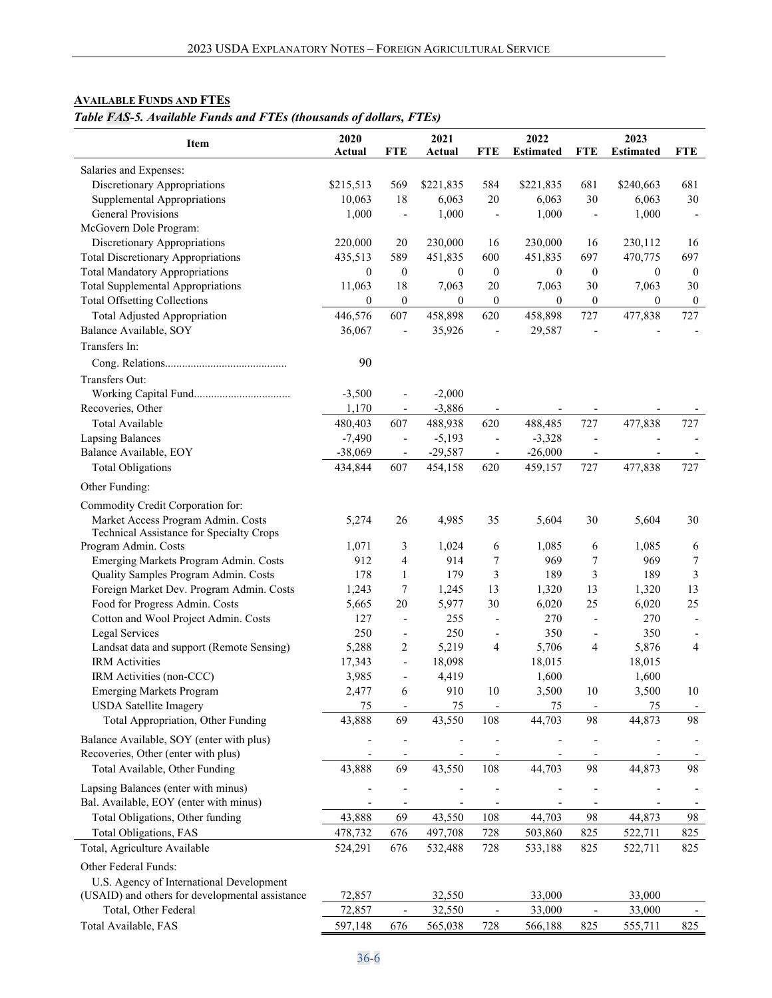# <span id="page-5-0"></span>**AVAILABLE FUNDS AND FTES**

# *Table FAS-5. Available Funds and FTEs (thousands of dollars, FTEs)*

| <b>FTE</b><br><b>FTE</b><br><b>FTE</b><br><b>FTE</b><br>Actual<br>Actual<br>Salaries and Expenses:<br>Discretionary Appropriations<br>\$215,513<br>569<br>\$221,835<br>584<br>\$221,835<br>681<br>\$240,663<br>681<br>18<br>6,063<br>20<br>6,063<br>30<br>6,063<br>30<br>Supplemental Appropriations<br>10,063<br><b>General Provisions</b><br>1,000<br>1,000<br>1,000<br>1,000<br>$\overline{\phantom{a}}$<br>McGovern Dole Program:<br>Discretionary Appropriations<br>220,000<br>20<br>230,000<br>16<br>230,000<br>230,112<br>16<br>16<br><b>Total Discretionary Appropriations</b><br>589<br>435,513<br>451,835<br>600<br>451,835<br>697<br>470,775<br>697<br><b>Total Mandatory Appropriations</b><br>$\boldsymbol{0}$<br>$\boldsymbol{0}$<br>$\overline{0}$<br>$\boldsymbol{0}$<br>$\boldsymbol{0}$<br>$\boldsymbol{0}$<br>$\boldsymbol{0}$<br>$\bf{0}$<br><b>Total Supplemental Appropriations</b><br>18<br>7,063<br>7,063<br>11,063<br>20<br>7,063<br>30<br>30<br><b>Total Offsetting Collections</b><br>$\overline{0}$<br>$\boldsymbol{0}$<br>$\boldsymbol{0}$<br>$\boldsymbol{0}$<br>$\boldsymbol{0}$<br>$\boldsymbol{0}$<br>$\boldsymbol{0}$<br>$\boldsymbol{0}$<br>607<br>727<br><b>Total Adjusted Appropriation</b><br>446,576<br>458,898<br>620<br>458,898<br>727<br>477,838<br>Balance Available, SOY<br>36,067<br>35,926<br>29,587<br>$\overline{\phantom{a}}$<br>$\overline{a}$<br>$\overline{\phantom{m}}$<br>Transfers In:<br>90<br>Transfers Out:<br>$-3,500$<br>$-2,000$<br>$\overline{\phantom{a}}$<br>$-3,886$<br>Recoveries, Other<br>1,170<br>$\overline{\phantom{a}}$<br>477,838<br>Total Available<br>480,403<br>607<br>488,938<br>620<br>488,485<br>727<br>727<br>$-7,490$<br>$-5,193$<br>$-3,328$<br><b>Lapsing Balances</b><br>$\overline{\phantom{a}}$<br>$\blacksquare$<br>Balance Available, EOY<br>$-38,069$<br>$-29,587$<br>$-26,000$<br>$\overline{\phantom{a}}$<br>727<br><b>Total Obligations</b><br>607<br>727<br>477,838<br>434,844<br>454,158<br>620<br>459,157<br>Other Funding:<br>Commodity Credit Corporation for:<br>Market Access Program Admin. Costs<br>4,985<br>5,274<br>26<br>35<br>5,604<br>30<br>5,604<br>30<br>Technical Assistance for Specialty Crops<br>Program Admin. Costs<br>1,071<br>3<br>1,024<br>1,085<br>6<br>1,085<br>6<br>6<br>$\overline{\mathbf{4}}$<br>912<br>914<br>7<br>7<br>$\overline{7}$<br>Emerging Markets Program Admin. Costs<br>969<br>969<br>3<br>3<br>178<br>$\mathbf{1}$<br>179<br>3<br>189<br>Quality Samples Program Admin. Costs<br>189<br>Foreign Market Dev. Program Admin. Costs<br>7<br>13<br>13<br>13<br>1,243<br>1,245<br>1,320<br>1,320<br>Food for Progress Admin. Costs<br>20<br>25<br>25<br>5,665<br>5,977<br>30<br>6,020<br>6,020<br>Cotton and Wool Project Admin. Costs<br>127<br>255<br>270<br>270<br>$\overline{\phantom{a}}$<br>L,<br>Legal Services<br>250<br>250<br>350<br>350<br>$\overline{\phantom{a}}$<br>$\overline{a}$<br>5,288<br>2<br>$\overline{4}$<br>Landsat data and support (Remote Sensing)<br>5,219<br>4<br>5,706<br>4<br>5,876<br><b>IRM</b> Activities<br>17,343<br>18,098<br>18,015<br>18,015<br>$\blacksquare$<br>3,985<br>IRM Activities (non-CCC)<br>4,419<br>1,600<br>1,600<br>$\qquad \qquad \blacksquare$<br>2,477<br>6<br>910<br>3,500<br>10<br><b>Emerging Markets Program</b><br>10<br>3,500<br>10<br><b>USDA</b> Satellite Imagery<br>75<br>75<br>75<br>75<br>$\qquad \qquad \blacksquare$<br>$\overline{a}$<br>$\qquad \qquad \blacksquare$<br>$\overline{\phantom{a}}$<br>Total Appropriation, Other Funding<br>43,888<br>69<br>43,550<br>108<br>98<br>44,873<br>98<br>44,703<br>Balance Available, SOY (enter with plus)<br>Recoveries, Other (enter with plus)<br>69<br>98<br>98<br>Total Available, Other Funding<br>43,888<br>43,550<br>108<br>44,703<br>44,873<br>Lapsing Balances (enter with minus)<br>Bal. Available, EOY (enter with minus)<br>$\overline{\phantom{a}}$<br>Total Obligations, Other funding<br>43,888<br>43,550<br>44,703<br>69<br>108<br>98<br>44,873<br>98<br><b>Total Obligations, FAS</b><br>478,732<br>728<br>676<br>497,708<br>503,860<br>825<br>522,711<br>825<br>Total, Agriculture Available<br>524,291<br>676<br>532,488<br>728<br>533,188<br>825<br>522,711<br>825<br>Other Federal Funds:<br>U.S. Agency of International Development<br>(USAID) and others for developmental assistance<br>72,857<br>32,550<br>33,000<br>33,000<br>Total, Other Federal<br>72,857<br>32,550<br>33,000<br>33,000<br>$\qquad \qquad \blacksquare$<br>$\overline{\phantom{0}}$<br>Total Available, FAS<br>597,148<br>676<br>565,038<br>728<br>566,188<br>825<br>555,711<br>825 | <b>Item</b> | 2020 | 2021 | 2022             | 2023             |  |
|----------------------------------------------------------------------------------------------------------------------------------------------------------------------------------------------------------------------------------------------------------------------------------------------------------------------------------------------------------------------------------------------------------------------------------------------------------------------------------------------------------------------------------------------------------------------------------------------------------------------------------------------------------------------------------------------------------------------------------------------------------------------------------------------------------------------------------------------------------------------------------------------------------------------------------------------------------------------------------------------------------------------------------------------------------------------------------------------------------------------------------------------------------------------------------------------------------------------------------------------------------------------------------------------------------------------------------------------------------------------------------------------------------------------------------------------------------------------------------------------------------------------------------------------------------------------------------------------------------------------------------------------------------------------------------------------------------------------------------------------------------------------------------------------------------------------------------------------------------------------------------------------------------------------------------------------------------------------------------------------------------------------------------------------------------------------------------------------------------------------------------------------------------------------------------------------------------------------------------------------------------------------------------------------------------------------------------------------------------------------------------------------------------------------------------------------------------------------------------------------------------------------------------------------------------------------------------------------------------------------------------------------------------------------------------------------------------------------------------------------------------------------------------------------------------------------------------------------------------------------------------------------------------------------------------------------------------------------------------------------------------------------------------------------------------------------------------------------------------------------------------------------------------------------------------------------------------------------------------------------------------------------------------------------------------------------------------------------------------------------------------------------------------------------------------------------------------------------------------------------------------------------------------------------------------------------------------------------------------------------------------------------------------------------------------------------------------------------------------------------------------------------------------------------------------------------------------------------------------------------------------------------------------------------------------------------------------------------------------------------------------------------------------------------------------------------------------------------------------------------------------------------------------------------------------------------------------------------------------------------------------------------------------------------------------------------------------------------------------------------------------------------------------------------------------------------------------------------------------------------------------------------------------------------------------------------------------------------------------------------------------------|-------------|------|------|------------------|------------------|--|
|                                                                                                                                                                                                                                                                                                                                                                                                                                                                                                                                                                                                                                                                                                                                                                                                                                                                                                                                                                                                                                                                                                                                                                                                                                                                                                                                                                                                                                                                                                                                                                                                                                                                                                                                                                                                                                                                                                                                                                                                                                                                                                                                                                                                                                                                                                                                                                                                                                                                                                                                                                                                                                                                                                                                                                                                                                                                                                                                                                                                                                                                                                                                                                                                                                                                                                                                                                                                                                                                                                                                                                                                                                                                                                                                                                                                                                                                                                                                                                                                                                                                                                                                                                                                                                                                                                                                                                                                                                                                                                                                                                                                                                        |             |      |      | <b>Estimated</b> | <b>Estimated</b> |  |
|                                                                                                                                                                                                                                                                                                                                                                                                                                                                                                                                                                                                                                                                                                                                                                                                                                                                                                                                                                                                                                                                                                                                                                                                                                                                                                                                                                                                                                                                                                                                                                                                                                                                                                                                                                                                                                                                                                                                                                                                                                                                                                                                                                                                                                                                                                                                                                                                                                                                                                                                                                                                                                                                                                                                                                                                                                                                                                                                                                                                                                                                                                                                                                                                                                                                                                                                                                                                                                                                                                                                                                                                                                                                                                                                                                                                                                                                                                                                                                                                                                                                                                                                                                                                                                                                                                                                                                                                                                                                                                                                                                                                                                        |             |      |      |                  |                  |  |
|                                                                                                                                                                                                                                                                                                                                                                                                                                                                                                                                                                                                                                                                                                                                                                                                                                                                                                                                                                                                                                                                                                                                                                                                                                                                                                                                                                                                                                                                                                                                                                                                                                                                                                                                                                                                                                                                                                                                                                                                                                                                                                                                                                                                                                                                                                                                                                                                                                                                                                                                                                                                                                                                                                                                                                                                                                                                                                                                                                                                                                                                                                                                                                                                                                                                                                                                                                                                                                                                                                                                                                                                                                                                                                                                                                                                                                                                                                                                                                                                                                                                                                                                                                                                                                                                                                                                                                                                                                                                                                                                                                                                                                        |             |      |      |                  |                  |  |
|                                                                                                                                                                                                                                                                                                                                                                                                                                                                                                                                                                                                                                                                                                                                                                                                                                                                                                                                                                                                                                                                                                                                                                                                                                                                                                                                                                                                                                                                                                                                                                                                                                                                                                                                                                                                                                                                                                                                                                                                                                                                                                                                                                                                                                                                                                                                                                                                                                                                                                                                                                                                                                                                                                                                                                                                                                                                                                                                                                                                                                                                                                                                                                                                                                                                                                                                                                                                                                                                                                                                                                                                                                                                                                                                                                                                                                                                                                                                                                                                                                                                                                                                                                                                                                                                                                                                                                                                                                                                                                                                                                                                                                        |             |      |      |                  |                  |  |
|                                                                                                                                                                                                                                                                                                                                                                                                                                                                                                                                                                                                                                                                                                                                                                                                                                                                                                                                                                                                                                                                                                                                                                                                                                                                                                                                                                                                                                                                                                                                                                                                                                                                                                                                                                                                                                                                                                                                                                                                                                                                                                                                                                                                                                                                                                                                                                                                                                                                                                                                                                                                                                                                                                                                                                                                                                                                                                                                                                                                                                                                                                                                                                                                                                                                                                                                                                                                                                                                                                                                                                                                                                                                                                                                                                                                                                                                                                                                                                                                                                                                                                                                                                                                                                                                                                                                                                                                                                                                                                                                                                                                                                        |             |      |      |                  |                  |  |
|                                                                                                                                                                                                                                                                                                                                                                                                                                                                                                                                                                                                                                                                                                                                                                                                                                                                                                                                                                                                                                                                                                                                                                                                                                                                                                                                                                                                                                                                                                                                                                                                                                                                                                                                                                                                                                                                                                                                                                                                                                                                                                                                                                                                                                                                                                                                                                                                                                                                                                                                                                                                                                                                                                                                                                                                                                                                                                                                                                                                                                                                                                                                                                                                                                                                                                                                                                                                                                                                                                                                                                                                                                                                                                                                                                                                                                                                                                                                                                                                                                                                                                                                                                                                                                                                                                                                                                                                                                                                                                                                                                                                                                        |             |      |      |                  |                  |  |
|                                                                                                                                                                                                                                                                                                                                                                                                                                                                                                                                                                                                                                                                                                                                                                                                                                                                                                                                                                                                                                                                                                                                                                                                                                                                                                                                                                                                                                                                                                                                                                                                                                                                                                                                                                                                                                                                                                                                                                                                                                                                                                                                                                                                                                                                                                                                                                                                                                                                                                                                                                                                                                                                                                                                                                                                                                                                                                                                                                                                                                                                                                                                                                                                                                                                                                                                                                                                                                                                                                                                                                                                                                                                                                                                                                                                                                                                                                                                                                                                                                                                                                                                                                                                                                                                                                                                                                                                                                                                                                                                                                                                                                        |             |      |      |                  |                  |  |
|                                                                                                                                                                                                                                                                                                                                                                                                                                                                                                                                                                                                                                                                                                                                                                                                                                                                                                                                                                                                                                                                                                                                                                                                                                                                                                                                                                                                                                                                                                                                                                                                                                                                                                                                                                                                                                                                                                                                                                                                                                                                                                                                                                                                                                                                                                                                                                                                                                                                                                                                                                                                                                                                                                                                                                                                                                                                                                                                                                                                                                                                                                                                                                                                                                                                                                                                                                                                                                                                                                                                                                                                                                                                                                                                                                                                                                                                                                                                                                                                                                                                                                                                                                                                                                                                                                                                                                                                                                                                                                                                                                                                                                        |             |      |      |                  |                  |  |
|                                                                                                                                                                                                                                                                                                                                                                                                                                                                                                                                                                                                                                                                                                                                                                                                                                                                                                                                                                                                                                                                                                                                                                                                                                                                                                                                                                                                                                                                                                                                                                                                                                                                                                                                                                                                                                                                                                                                                                                                                                                                                                                                                                                                                                                                                                                                                                                                                                                                                                                                                                                                                                                                                                                                                                                                                                                                                                                                                                                                                                                                                                                                                                                                                                                                                                                                                                                                                                                                                                                                                                                                                                                                                                                                                                                                                                                                                                                                                                                                                                                                                                                                                                                                                                                                                                                                                                                                                                                                                                                                                                                                                                        |             |      |      |                  |                  |  |
|                                                                                                                                                                                                                                                                                                                                                                                                                                                                                                                                                                                                                                                                                                                                                                                                                                                                                                                                                                                                                                                                                                                                                                                                                                                                                                                                                                                                                                                                                                                                                                                                                                                                                                                                                                                                                                                                                                                                                                                                                                                                                                                                                                                                                                                                                                                                                                                                                                                                                                                                                                                                                                                                                                                                                                                                                                                                                                                                                                                                                                                                                                                                                                                                                                                                                                                                                                                                                                                                                                                                                                                                                                                                                                                                                                                                                                                                                                                                                                                                                                                                                                                                                                                                                                                                                                                                                                                                                                                                                                                                                                                                                                        |             |      |      |                  |                  |  |
|                                                                                                                                                                                                                                                                                                                                                                                                                                                                                                                                                                                                                                                                                                                                                                                                                                                                                                                                                                                                                                                                                                                                                                                                                                                                                                                                                                                                                                                                                                                                                                                                                                                                                                                                                                                                                                                                                                                                                                                                                                                                                                                                                                                                                                                                                                                                                                                                                                                                                                                                                                                                                                                                                                                                                                                                                                                                                                                                                                                                                                                                                                                                                                                                                                                                                                                                                                                                                                                                                                                                                                                                                                                                                                                                                                                                                                                                                                                                                                                                                                                                                                                                                                                                                                                                                                                                                                                                                                                                                                                                                                                                                                        |             |      |      |                  |                  |  |
|                                                                                                                                                                                                                                                                                                                                                                                                                                                                                                                                                                                                                                                                                                                                                                                                                                                                                                                                                                                                                                                                                                                                                                                                                                                                                                                                                                                                                                                                                                                                                                                                                                                                                                                                                                                                                                                                                                                                                                                                                                                                                                                                                                                                                                                                                                                                                                                                                                                                                                                                                                                                                                                                                                                                                                                                                                                                                                                                                                                                                                                                                                                                                                                                                                                                                                                                                                                                                                                                                                                                                                                                                                                                                                                                                                                                                                                                                                                                                                                                                                                                                                                                                                                                                                                                                                                                                                                                                                                                                                                                                                                                                                        |             |      |      |                  |                  |  |
|                                                                                                                                                                                                                                                                                                                                                                                                                                                                                                                                                                                                                                                                                                                                                                                                                                                                                                                                                                                                                                                                                                                                                                                                                                                                                                                                                                                                                                                                                                                                                                                                                                                                                                                                                                                                                                                                                                                                                                                                                                                                                                                                                                                                                                                                                                                                                                                                                                                                                                                                                                                                                                                                                                                                                                                                                                                                                                                                                                                                                                                                                                                                                                                                                                                                                                                                                                                                                                                                                                                                                                                                                                                                                                                                                                                                                                                                                                                                                                                                                                                                                                                                                                                                                                                                                                                                                                                                                                                                                                                                                                                                                                        |             |      |      |                  |                  |  |
|                                                                                                                                                                                                                                                                                                                                                                                                                                                                                                                                                                                                                                                                                                                                                                                                                                                                                                                                                                                                                                                                                                                                                                                                                                                                                                                                                                                                                                                                                                                                                                                                                                                                                                                                                                                                                                                                                                                                                                                                                                                                                                                                                                                                                                                                                                                                                                                                                                                                                                                                                                                                                                                                                                                                                                                                                                                                                                                                                                                                                                                                                                                                                                                                                                                                                                                                                                                                                                                                                                                                                                                                                                                                                                                                                                                                                                                                                                                                                                                                                                                                                                                                                                                                                                                                                                                                                                                                                                                                                                                                                                                                                                        |             |      |      |                  |                  |  |
|                                                                                                                                                                                                                                                                                                                                                                                                                                                                                                                                                                                                                                                                                                                                                                                                                                                                                                                                                                                                                                                                                                                                                                                                                                                                                                                                                                                                                                                                                                                                                                                                                                                                                                                                                                                                                                                                                                                                                                                                                                                                                                                                                                                                                                                                                                                                                                                                                                                                                                                                                                                                                                                                                                                                                                                                                                                                                                                                                                                                                                                                                                                                                                                                                                                                                                                                                                                                                                                                                                                                                                                                                                                                                                                                                                                                                                                                                                                                                                                                                                                                                                                                                                                                                                                                                                                                                                                                                                                                                                                                                                                                                                        |             |      |      |                  |                  |  |
|                                                                                                                                                                                                                                                                                                                                                                                                                                                                                                                                                                                                                                                                                                                                                                                                                                                                                                                                                                                                                                                                                                                                                                                                                                                                                                                                                                                                                                                                                                                                                                                                                                                                                                                                                                                                                                                                                                                                                                                                                                                                                                                                                                                                                                                                                                                                                                                                                                                                                                                                                                                                                                                                                                                                                                                                                                                                                                                                                                                                                                                                                                                                                                                                                                                                                                                                                                                                                                                                                                                                                                                                                                                                                                                                                                                                                                                                                                                                                                                                                                                                                                                                                                                                                                                                                                                                                                                                                                                                                                                                                                                                                                        |             |      |      |                  |                  |  |
|                                                                                                                                                                                                                                                                                                                                                                                                                                                                                                                                                                                                                                                                                                                                                                                                                                                                                                                                                                                                                                                                                                                                                                                                                                                                                                                                                                                                                                                                                                                                                                                                                                                                                                                                                                                                                                                                                                                                                                                                                                                                                                                                                                                                                                                                                                                                                                                                                                                                                                                                                                                                                                                                                                                                                                                                                                                                                                                                                                                                                                                                                                                                                                                                                                                                                                                                                                                                                                                                                                                                                                                                                                                                                                                                                                                                                                                                                                                                                                                                                                                                                                                                                                                                                                                                                                                                                                                                                                                                                                                                                                                                                                        |             |      |      |                  |                  |  |
|                                                                                                                                                                                                                                                                                                                                                                                                                                                                                                                                                                                                                                                                                                                                                                                                                                                                                                                                                                                                                                                                                                                                                                                                                                                                                                                                                                                                                                                                                                                                                                                                                                                                                                                                                                                                                                                                                                                                                                                                                                                                                                                                                                                                                                                                                                                                                                                                                                                                                                                                                                                                                                                                                                                                                                                                                                                                                                                                                                                                                                                                                                                                                                                                                                                                                                                                                                                                                                                                                                                                                                                                                                                                                                                                                                                                                                                                                                                                                                                                                                                                                                                                                                                                                                                                                                                                                                                                                                                                                                                                                                                                                                        |             |      |      |                  |                  |  |
|                                                                                                                                                                                                                                                                                                                                                                                                                                                                                                                                                                                                                                                                                                                                                                                                                                                                                                                                                                                                                                                                                                                                                                                                                                                                                                                                                                                                                                                                                                                                                                                                                                                                                                                                                                                                                                                                                                                                                                                                                                                                                                                                                                                                                                                                                                                                                                                                                                                                                                                                                                                                                                                                                                                                                                                                                                                                                                                                                                                                                                                                                                                                                                                                                                                                                                                                                                                                                                                                                                                                                                                                                                                                                                                                                                                                                                                                                                                                                                                                                                                                                                                                                                                                                                                                                                                                                                                                                                                                                                                                                                                                                                        |             |      |      |                  |                  |  |
|                                                                                                                                                                                                                                                                                                                                                                                                                                                                                                                                                                                                                                                                                                                                                                                                                                                                                                                                                                                                                                                                                                                                                                                                                                                                                                                                                                                                                                                                                                                                                                                                                                                                                                                                                                                                                                                                                                                                                                                                                                                                                                                                                                                                                                                                                                                                                                                                                                                                                                                                                                                                                                                                                                                                                                                                                                                                                                                                                                                                                                                                                                                                                                                                                                                                                                                                                                                                                                                                                                                                                                                                                                                                                                                                                                                                                                                                                                                                                                                                                                                                                                                                                                                                                                                                                                                                                                                                                                                                                                                                                                                                                                        |             |      |      |                  |                  |  |
|                                                                                                                                                                                                                                                                                                                                                                                                                                                                                                                                                                                                                                                                                                                                                                                                                                                                                                                                                                                                                                                                                                                                                                                                                                                                                                                                                                                                                                                                                                                                                                                                                                                                                                                                                                                                                                                                                                                                                                                                                                                                                                                                                                                                                                                                                                                                                                                                                                                                                                                                                                                                                                                                                                                                                                                                                                                                                                                                                                                                                                                                                                                                                                                                                                                                                                                                                                                                                                                                                                                                                                                                                                                                                                                                                                                                                                                                                                                                                                                                                                                                                                                                                                                                                                                                                                                                                                                                                                                                                                                                                                                                                                        |             |      |      |                  |                  |  |
|                                                                                                                                                                                                                                                                                                                                                                                                                                                                                                                                                                                                                                                                                                                                                                                                                                                                                                                                                                                                                                                                                                                                                                                                                                                                                                                                                                                                                                                                                                                                                                                                                                                                                                                                                                                                                                                                                                                                                                                                                                                                                                                                                                                                                                                                                                                                                                                                                                                                                                                                                                                                                                                                                                                                                                                                                                                                                                                                                                                                                                                                                                                                                                                                                                                                                                                                                                                                                                                                                                                                                                                                                                                                                                                                                                                                                                                                                                                                                                                                                                                                                                                                                                                                                                                                                                                                                                                                                                                                                                                                                                                                                                        |             |      |      |                  |                  |  |
|                                                                                                                                                                                                                                                                                                                                                                                                                                                                                                                                                                                                                                                                                                                                                                                                                                                                                                                                                                                                                                                                                                                                                                                                                                                                                                                                                                                                                                                                                                                                                                                                                                                                                                                                                                                                                                                                                                                                                                                                                                                                                                                                                                                                                                                                                                                                                                                                                                                                                                                                                                                                                                                                                                                                                                                                                                                                                                                                                                                                                                                                                                                                                                                                                                                                                                                                                                                                                                                                                                                                                                                                                                                                                                                                                                                                                                                                                                                                                                                                                                                                                                                                                                                                                                                                                                                                                                                                                                                                                                                                                                                                                                        |             |      |      |                  |                  |  |
|                                                                                                                                                                                                                                                                                                                                                                                                                                                                                                                                                                                                                                                                                                                                                                                                                                                                                                                                                                                                                                                                                                                                                                                                                                                                                                                                                                                                                                                                                                                                                                                                                                                                                                                                                                                                                                                                                                                                                                                                                                                                                                                                                                                                                                                                                                                                                                                                                                                                                                                                                                                                                                                                                                                                                                                                                                                                                                                                                                                                                                                                                                                                                                                                                                                                                                                                                                                                                                                                                                                                                                                                                                                                                                                                                                                                                                                                                                                                                                                                                                                                                                                                                                                                                                                                                                                                                                                                                                                                                                                                                                                                                                        |             |      |      |                  |                  |  |
|                                                                                                                                                                                                                                                                                                                                                                                                                                                                                                                                                                                                                                                                                                                                                                                                                                                                                                                                                                                                                                                                                                                                                                                                                                                                                                                                                                                                                                                                                                                                                                                                                                                                                                                                                                                                                                                                                                                                                                                                                                                                                                                                                                                                                                                                                                                                                                                                                                                                                                                                                                                                                                                                                                                                                                                                                                                                                                                                                                                                                                                                                                                                                                                                                                                                                                                                                                                                                                                                                                                                                                                                                                                                                                                                                                                                                                                                                                                                                                                                                                                                                                                                                                                                                                                                                                                                                                                                                                                                                                                                                                                                                                        |             |      |      |                  |                  |  |
|                                                                                                                                                                                                                                                                                                                                                                                                                                                                                                                                                                                                                                                                                                                                                                                                                                                                                                                                                                                                                                                                                                                                                                                                                                                                                                                                                                                                                                                                                                                                                                                                                                                                                                                                                                                                                                                                                                                                                                                                                                                                                                                                                                                                                                                                                                                                                                                                                                                                                                                                                                                                                                                                                                                                                                                                                                                                                                                                                                                                                                                                                                                                                                                                                                                                                                                                                                                                                                                                                                                                                                                                                                                                                                                                                                                                                                                                                                                                                                                                                                                                                                                                                                                                                                                                                                                                                                                                                                                                                                                                                                                                                                        |             |      |      |                  |                  |  |
|                                                                                                                                                                                                                                                                                                                                                                                                                                                                                                                                                                                                                                                                                                                                                                                                                                                                                                                                                                                                                                                                                                                                                                                                                                                                                                                                                                                                                                                                                                                                                                                                                                                                                                                                                                                                                                                                                                                                                                                                                                                                                                                                                                                                                                                                                                                                                                                                                                                                                                                                                                                                                                                                                                                                                                                                                                                                                                                                                                                                                                                                                                                                                                                                                                                                                                                                                                                                                                                                                                                                                                                                                                                                                                                                                                                                                                                                                                                                                                                                                                                                                                                                                                                                                                                                                                                                                                                                                                                                                                                                                                                                                                        |             |      |      |                  |                  |  |
|                                                                                                                                                                                                                                                                                                                                                                                                                                                                                                                                                                                                                                                                                                                                                                                                                                                                                                                                                                                                                                                                                                                                                                                                                                                                                                                                                                                                                                                                                                                                                                                                                                                                                                                                                                                                                                                                                                                                                                                                                                                                                                                                                                                                                                                                                                                                                                                                                                                                                                                                                                                                                                                                                                                                                                                                                                                                                                                                                                                                                                                                                                                                                                                                                                                                                                                                                                                                                                                                                                                                                                                                                                                                                                                                                                                                                                                                                                                                                                                                                                                                                                                                                                                                                                                                                                                                                                                                                                                                                                                                                                                                                                        |             |      |      |                  |                  |  |
|                                                                                                                                                                                                                                                                                                                                                                                                                                                                                                                                                                                                                                                                                                                                                                                                                                                                                                                                                                                                                                                                                                                                                                                                                                                                                                                                                                                                                                                                                                                                                                                                                                                                                                                                                                                                                                                                                                                                                                                                                                                                                                                                                                                                                                                                                                                                                                                                                                                                                                                                                                                                                                                                                                                                                                                                                                                                                                                                                                                                                                                                                                                                                                                                                                                                                                                                                                                                                                                                                                                                                                                                                                                                                                                                                                                                                                                                                                                                                                                                                                                                                                                                                                                                                                                                                                                                                                                                                                                                                                                                                                                                                                        |             |      |      |                  |                  |  |
|                                                                                                                                                                                                                                                                                                                                                                                                                                                                                                                                                                                                                                                                                                                                                                                                                                                                                                                                                                                                                                                                                                                                                                                                                                                                                                                                                                                                                                                                                                                                                                                                                                                                                                                                                                                                                                                                                                                                                                                                                                                                                                                                                                                                                                                                                                                                                                                                                                                                                                                                                                                                                                                                                                                                                                                                                                                                                                                                                                                                                                                                                                                                                                                                                                                                                                                                                                                                                                                                                                                                                                                                                                                                                                                                                                                                                                                                                                                                                                                                                                                                                                                                                                                                                                                                                                                                                                                                                                                                                                                                                                                                                                        |             |      |      |                  |                  |  |
|                                                                                                                                                                                                                                                                                                                                                                                                                                                                                                                                                                                                                                                                                                                                                                                                                                                                                                                                                                                                                                                                                                                                                                                                                                                                                                                                                                                                                                                                                                                                                                                                                                                                                                                                                                                                                                                                                                                                                                                                                                                                                                                                                                                                                                                                                                                                                                                                                                                                                                                                                                                                                                                                                                                                                                                                                                                                                                                                                                                                                                                                                                                                                                                                                                                                                                                                                                                                                                                                                                                                                                                                                                                                                                                                                                                                                                                                                                                                                                                                                                                                                                                                                                                                                                                                                                                                                                                                                                                                                                                                                                                                                                        |             |      |      |                  |                  |  |
|                                                                                                                                                                                                                                                                                                                                                                                                                                                                                                                                                                                                                                                                                                                                                                                                                                                                                                                                                                                                                                                                                                                                                                                                                                                                                                                                                                                                                                                                                                                                                                                                                                                                                                                                                                                                                                                                                                                                                                                                                                                                                                                                                                                                                                                                                                                                                                                                                                                                                                                                                                                                                                                                                                                                                                                                                                                                                                                                                                                                                                                                                                                                                                                                                                                                                                                                                                                                                                                                                                                                                                                                                                                                                                                                                                                                                                                                                                                                                                                                                                                                                                                                                                                                                                                                                                                                                                                                                                                                                                                                                                                                                                        |             |      |      |                  |                  |  |
|                                                                                                                                                                                                                                                                                                                                                                                                                                                                                                                                                                                                                                                                                                                                                                                                                                                                                                                                                                                                                                                                                                                                                                                                                                                                                                                                                                                                                                                                                                                                                                                                                                                                                                                                                                                                                                                                                                                                                                                                                                                                                                                                                                                                                                                                                                                                                                                                                                                                                                                                                                                                                                                                                                                                                                                                                                                                                                                                                                                                                                                                                                                                                                                                                                                                                                                                                                                                                                                                                                                                                                                                                                                                                                                                                                                                                                                                                                                                                                                                                                                                                                                                                                                                                                                                                                                                                                                                                                                                                                                                                                                                                                        |             |      |      |                  |                  |  |
|                                                                                                                                                                                                                                                                                                                                                                                                                                                                                                                                                                                                                                                                                                                                                                                                                                                                                                                                                                                                                                                                                                                                                                                                                                                                                                                                                                                                                                                                                                                                                                                                                                                                                                                                                                                                                                                                                                                                                                                                                                                                                                                                                                                                                                                                                                                                                                                                                                                                                                                                                                                                                                                                                                                                                                                                                                                                                                                                                                                                                                                                                                                                                                                                                                                                                                                                                                                                                                                                                                                                                                                                                                                                                                                                                                                                                                                                                                                                                                                                                                                                                                                                                                                                                                                                                                                                                                                                                                                                                                                                                                                                                                        |             |      |      |                  |                  |  |
|                                                                                                                                                                                                                                                                                                                                                                                                                                                                                                                                                                                                                                                                                                                                                                                                                                                                                                                                                                                                                                                                                                                                                                                                                                                                                                                                                                                                                                                                                                                                                                                                                                                                                                                                                                                                                                                                                                                                                                                                                                                                                                                                                                                                                                                                                                                                                                                                                                                                                                                                                                                                                                                                                                                                                                                                                                                                                                                                                                                                                                                                                                                                                                                                                                                                                                                                                                                                                                                                                                                                                                                                                                                                                                                                                                                                                                                                                                                                                                                                                                                                                                                                                                                                                                                                                                                                                                                                                                                                                                                                                                                                                                        |             |      |      |                  |                  |  |
|                                                                                                                                                                                                                                                                                                                                                                                                                                                                                                                                                                                                                                                                                                                                                                                                                                                                                                                                                                                                                                                                                                                                                                                                                                                                                                                                                                                                                                                                                                                                                                                                                                                                                                                                                                                                                                                                                                                                                                                                                                                                                                                                                                                                                                                                                                                                                                                                                                                                                                                                                                                                                                                                                                                                                                                                                                                                                                                                                                                                                                                                                                                                                                                                                                                                                                                                                                                                                                                                                                                                                                                                                                                                                                                                                                                                                                                                                                                                                                                                                                                                                                                                                                                                                                                                                                                                                                                                                                                                                                                                                                                                                                        |             |      |      |                  |                  |  |
|                                                                                                                                                                                                                                                                                                                                                                                                                                                                                                                                                                                                                                                                                                                                                                                                                                                                                                                                                                                                                                                                                                                                                                                                                                                                                                                                                                                                                                                                                                                                                                                                                                                                                                                                                                                                                                                                                                                                                                                                                                                                                                                                                                                                                                                                                                                                                                                                                                                                                                                                                                                                                                                                                                                                                                                                                                                                                                                                                                                                                                                                                                                                                                                                                                                                                                                                                                                                                                                                                                                                                                                                                                                                                                                                                                                                                                                                                                                                                                                                                                                                                                                                                                                                                                                                                                                                                                                                                                                                                                                                                                                                                                        |             |      |      |                  |                  |  |
|                                                                                                                                                                                                                                                                                                                                                                                                                                                                                                                                                                                                                                                                                                                                                                                                                                                                                                                                                                                                                                                                                                                                                                                                                                                                                                                                                                                                                                                                                                                                                                                                                                                                                                                                                                                                                                                                                                                                                                                                                                                                                                                                                                                                                                                                                                                                                                                                                                                                                                                                                                                                                                                                                                                                                                                                                                                                                                                                                                                                                                                                                                                                                                                                                                                                                                                                                                                                                                                                                                                                                                                                                                                                                                                                                                                                                                                                                                                                                                                                                                                                                                                                                                                                                                                                                                                                                                                                                                                                                                                                                                                                                                        |             |      |      |                  |                  |  |
|                                                                                                                                                                                                                                                                                                                                                                                                                                                                                                                                                                                                                                                                                                                                                                                                                                                                                                                                                                                                                                                                                                                                                                                                                                                                                                                                                                                                                                                                                                                                                                                                                                                                                                                                                                                                                                                                                                                                                                                                                                                                                                                                                                                                                                                                                                                                                                                                                                                                                                                                                                                                                                                                                                                                                                                                                                                                                                                                                                                                                                                                                                                                                                                                                                                                                                                                                                                                                                                                                                                                                                                                                                                                                                                                                                                                                                                                                                                                                                                                                                                                                                                                                                                                                                                                                                                                                                                                                                                                                                                                                                                                                                        |             |      |      |                  |                  |  |
|                                                                                                                                                                                                                                                                                                                                                                                                                                                                                                                                                                                                                                                                                                                                                                                                                                                                                                                                                                                                                                                                                                                                                                                                                                                                                                                                                                                                                                                                                                                                                                                                                                                                                                                                                                                                                                                                                                                                                                                                                                                                                                                                                                                                                                                                                                                                                                                                                                                                                                                                                                                                                                                                                                                                                                                                                                                                                                                                                                                                                                                                                                                                                                                                                                                                                                                                                                                                                                                                                                                                                                                                                                                                                                                                                                                                                                                                                                                                                                                                                                                                                                                                                                                                                                                                                                                                                                                                                                                                                                                                                                                                                                        |             |      |      |                  |                  |  |
|                                                                                                                                                                                                                                                                                                                                                                                                                                                                                                                                                                                                                                                                                                                                                                                                                                                                                                                                                                                                                                                                                                                                                                                                                                                                                                                                                                                                                                                                                                                                                                                                                                                                                                                                                                                                                                                                                                                                                                                                                                                                                                                                                                                                                                                                                                                                                                                                                                                                                                                                                                                                                                                                                                                                                                                                                                                                                                                                                                                                                                                                                                                                                                                                                                                                                                                                                                                                                                                                                                                                                                                                                                                                                                                                                                                                                                                                                                                                                                                                                                                                                                                                                                                                                                                                                                                                                                                                                                                                                                                                                                                                                                        |             |      |      |                  |                  |  |
|                                                                                                                                                                                                                                                                                                                                                                                                                                                                                                                                                                                                                                                                                                                                                                                                                                                                                                                                                                                                                                                                                                                                                                                                                                                                                                                                                                                                                                                                                                                                                                                                                                                                                                                                                                                                                                                                                                                                                                                                                                                                                                                                                                                                                                                                                                                                                                                                                                                                                                                                                                                                                                                                                                                                                                                                                                                                                                                                                                                                                                                                                                                                                                                                                                                                                                                                                                                                                                                                                                                                                                                                                                                                                                                                                                                                                                                                                                                                                                                                                                                                                                                                                                                                                                                                                                                                                                                                                                                                                                                                                                                                                                        |             |      |      |                  |                  |  |
|                                                                                                                                                                                                                                                                                                                                                                                                                                                                                                                                                                                                                                                                                                                                                                                                                                                                                                                                                                                                                                                                                                                                                                                                                                                                                                                                                                                                                                                                                                                                                                                                                                                                                                                                                                                                                                                                                                                                                                                                                                                                                                                                                                                                                                                                                                                                                                                                                                                                                                                                                                                                                                                                                                                                                                                                                                                                                                                                                                                                                                                                                                                                                                                                                                                                                                                                                                                                                                                                                                                                                                                                                                                                                                                                                                                                                                                                                                                                                                                                                                                                                                                                                                                                                                                                                                                                                                                                                                                                                                                                                                                                                                        |             |      |      |                  |                  |  |
|                                                                                                                                                                                                                                                                                                                                                                                                                                                                                                                                                                                                                                                                                                                                                                                                                                                                                                                                                                                                                                                                                                                                                                                                                                                                                                                                                                                                                                                                                                                                                                                                                                                                                                                                                                                                                                                                                                                                                                                                                                                                                                                                                                                                                                                                                                                                                                                                                                                                                                                                                                                                                                                                                                                                                                                                                                                                                                                                                                                                                                                                                                                                                                                                                                                                                                                                                                                                                                                                                                                                                                                                                                                                                                                                                                                                                                                                                                                                                                                                                                                                                                                                                                                                                                                                                                                                                                                                                                                                                                                                                                                                                                        |             |      |      |                  |                  |  |
|                                                                                                                                                                                                                                                                                                                                                                                                                                                                                                                                                                                                                                                                                                                                                                                                                                                                                                                                                                                                                                                                                                                                                                                                                                                                                                                                                                                                                                                                                                                                                                                                                                                                                                                                                                                                                                                                                                                                                                                                                                                                                                                                                                                                                                                                                                                                                                                                                                                                                                                                                                                                                                                                                                                                                                                                                                                                                                                                                                                                                                                                                                                                                                                                                                                                                                                                                                                                                                                                                                                                                                                                                                                                                                                                                                                                                                                                                                                                                                                                                                                                                                                                                                                                                                                                                                                                                                                                                                                                                                                                                                                                                                        |             |      |      |                  |                  |  |
|                                                                                                                                                                                                                                                                                                                                                                                                                                                                                                                                                                                                                                                                                                                                                                                                                                                                                                                                                                                                                                                                                                                                                                                                                                                                                                                                                                                                                                                                                                                                                                                                                                                                                                                                                                                                                                                                                                                                                                                                                                                                                                                                                                                                                                                                                                                                                                                                                                                                                                                                                                                                                                                                                                                                                                                                                                                                                                                                                                                                                                                                                                                                                                                                                                                                                                                                                                                                                                                                                                                                                                                                                                                                                                                                                                                                                                                                                                                                                                                                                                                                                                                                                                                                                                                                                                                                                                                                                                                                                                                                                                                                                                        |             |      |      |                  |                  |  |
|                                                                                                                                                                                                                                                                                                                                                                                                                                                                                                                                                                                                                                                                                                                                                                                                                                                                                                                                                                                                                                                                                                                                                                                                                                                                                                                                                                                                                                                                                                                                                                                                                                                                                                                                                                                                                                                                                                                                                                                                                                                                                                                                                                                                                                                                                                                                                                                                                                                                                                                                                                                                                                                                                                                                                                                                                                                                                                                                                                                                                                                                                                                                                                                                                                                                                                                                                                                                                                                                                                                                                                                                                                                                                                                                                                                                                                                                                                                                                                                                                                                                                                                                                                                                                                                                                                                                                                                                                                                                                                                                                                                                                                        |             |      |      |                  |                  |  |
|                                                                                                                                                                                                                                                                                                                                                                                                                                                                                                                                                                                                                                                                                                                                                                                                                                                                                                                                                                                                                                                                                                                                                                                                                                                                                                                                                                                                                                                                                                                                                                                                                                                                                                                                                                                                                                                                                                                                                                                                                                                                                                                                                                                                                                                                                                                                                                                                                                                                                                                                                                                                                                                                                                                                                                                                                                                                                                                                                                                                                                                                                                                                                                                                                                                                                                                                                                                                                                                                                                                                                                                                                                                                                                                                                                                                                                                                                                                                                                                                                                                                                                                                                                                                                                                                                                                                                                                                                                                                                                                                                                                                                                        |             |      |      |                  |                  |  |
|                                                                                                                                                                                                                                                                                                                                                                                                                                                                                                                                                                                                                                                                                                                                                                                                                                                                                                                                                                                                                                                                                                                                                                                                                                                                                                                                                                                                                                                                                                                                                                                                                                                                                                                                                                                                                                                                                                                                                                                                                                                                                                                                                                                                                                                                                                                                                                                                                                                                                                                                                                                                                                                                                                                                                                                                                                                                                                                                                                                                                                                                                                                                                                                                                                                                                                                                                                                                                                                                                                                                                                                                                                                                                                                                                                                                                                                                                                                                                                                                                                                                                                                                                                                                                                                                                                                                                                                                                                                                                                                                                                                                                                        |             |      |      |                  |                  |  |
|                                                                                                                                                                                                                                                                                                                                                                                                                                                                                                                                                                                                                                                                                                                                                                                                                                                                                                                                                                                                                                                                                                                                                                                                                                                                                                                                                                                                                                                                                                                                                                                                                                                                                                                                                                                                                                                                                                                                                                                                                                                                                                                                                                                                                                                                                                                                                                                                                                                                                                                                                                                                                                                                                                                                                                                                                                                                                                                                                                                                                                                                                                                                                                                                                                                                                                                                                                                                                                                                                                                                                                                                                                                                                                                                                                                                                                                                                                                                                                                                                                                                                                                                                                                                                                                                                                                                                                                                                                                                                                                                                                                                                                        |             |      |      |                  |                  |  |
|                                                                                                                                                                                                                                                                                                                                                                                                                                                                                                                                                                                                                                                                                                                                                                                                                                                                                                                                                                                                                                                                                                                                                                                                                                                                                                                                                                                                                                                                                                                                                                                                                                                                                                                                                                                                                                                                                                                                                                                                                                                                                                                                                                                                                                                                                                                                                                                                                                                                                                                                                                                                                                                                                                                                                                                                                                                                                                                                                                                                                                                                                                                                                                                                                                                                                                                                                                                                                                                                                                                                                                                                                                                                                                                                                                                                                                                                                                                                                                                                                                                                                                                                                                                                                                                                                                                                                                                                                                                                                                                                                                                                                                        |             |      |      |                  |                  |  |
|                                                                                                                                                                                                                                                                                                                                                                                                                                                                                                                                                                                                                                                                                                                                                                                                                                                                                                                                                                                                                                                                                                                                                                                                                                                                                                                                                                                                                                                                                                                                                                                                                                                                                                                                                                                                                                                                                                                                                                                                                                                                                                                                                                                                                                                                                                                                                                                                                                                                                                                                                                                                                                                                                                                                                                                                                                                                                                                                                                                                                                                                                                                                                                                                                                                                                                                                                                                                                                                                                                                                                                                                                                                                                                                                                                                                                                                                                                                                                                                                                                                                                                                                                                                                                                                                                                                                                                                                                                                                                                                                                                                                                                        |             |      |      |                  |                  |  |
|                                                                                                                                                                                                                                                                                                                                                                                                                                                                                                                                                                                                                                                                                                                                                                                                                                                                                                                                                                                                                                                                                                                                                                                                                                                                                                                                                                                                                                                                                                                                                                                                                                                                                                                                                                                                                                                                                                                                                                                                                                                                                                                                                                                                                                                                                                                                                                                                                                                                                                                                                                                                                                                                                                                                                                                                                                                                                                                                                                                                                                                                                                                                                                                                                                                                                                                                                                                                                                                                                                                                                                                                                                                                                                                                                                                                                                                                                                                                                                                                                                                                                                                                                                                                                                                                                                                                                                                                                                                                                                                                                                                                                                        |             |      |      |                  |                  |  |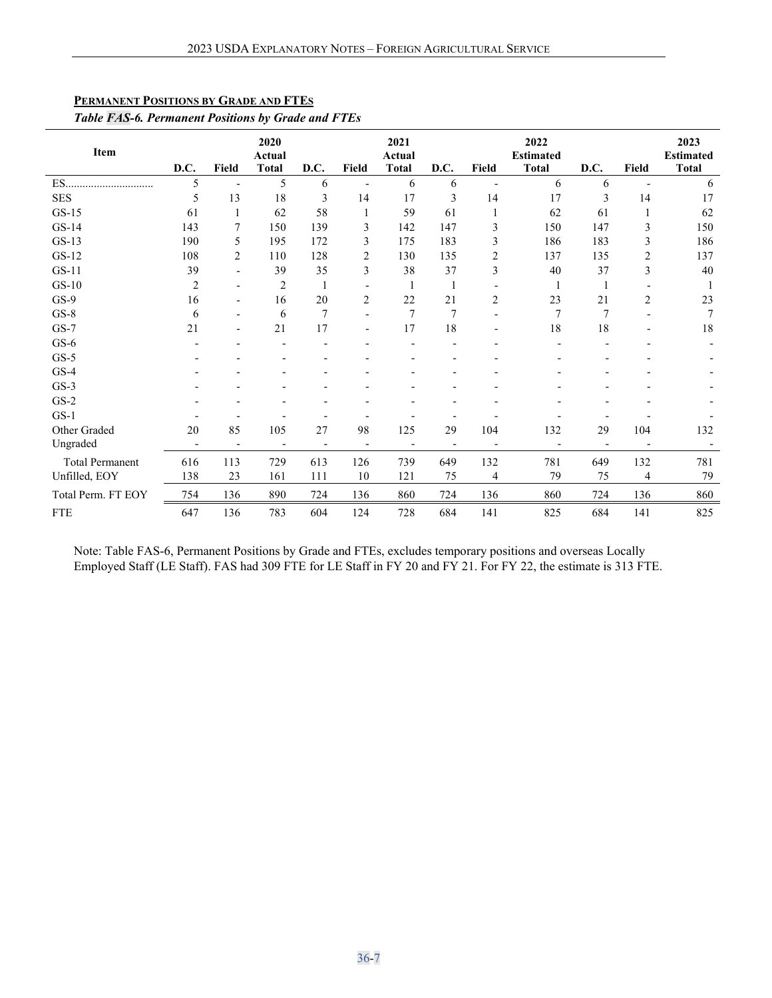| Item                   | D.C.                     | Field                        | 2020<br>Actual<br><b>Total</b> | D.C.           | Field                    | 2021<br>Actual<br><b>Total</b> | D.C.                     | Field          | 2022<br><b>Estimated</b><br><b>Total</b> | D.C.                     | Field          | 2023<br><b>Estimated</b><br><b>Total</b> |
|------------------------|--------------------------|------------------------------|--------------------------------|----------------|--------------------------|--------------------------------|--------------------------|----------------|------------------------------------------|--------------------------|----------------|------------------------------------------|
| ES.                    | 5                        |                              | 5                              | 6              |                          | 6                              | 6                        |                | 6                                        | 6                        |                | 6                                        |
| <b>SES</b>             | 5                        | 13                           | 18                             | 3              | 14                       | 17                             | 3                        | 14             | 17                                       | 3                        | 14             | 17                                       |
| $GS-15$                | 61                       | 1                            | 62                             | 58             | 1                        | 59                             | 61                       | 1              | 62                                       | 61                       | 1              | 62                                       |
| $GS-14$                | 143                      | 7                            | 150                            | 139            | 3                        | 142                            | 147                      | 3              | 150                                      | 147                      | 3              | 150                                      |
| $GS-13$                | 190                      | 5                            | 195                            | 172            | 3                        | 175                            | 183                      | 3              | 186                                      | 183                      | 3              | 186                                      |
| $GS-12$                | 108                      | $\overline{c}$               | 110                            | 128            | 2                        | 130                            | 135                      | $\overline{2}$ | 137                                      | 135                      | 2              | 137                                      |
| $GS-11$                | 39                       |                              | 39                             | 35             | 3                        | 38                             | 37                       | 3              | 40                                       | 37                       | 3              | 40                                       |
| $GS-10$                | 2                        |                              | $\overline{c}$                 | 1              |                          | 1                              | 1                        |                | -1                                       | 1                        |                |                                          |
| $GS-9$                 | 16                       | $\qquad \qquad \blacksquare$ | 16                             | 20             | 2                        | 22                             | 21                       | $\overline{2}$ | 23                                       | 21                       | $\overline{c}$ | 23                                       |
| $GS-8$                 | 6                        | ۰                            | 6                              | $\overline{7}$ | $\overline{a}$           | $\overline{7}$                 | $\overline{7}$           |                | $\overline{7}$                           | 7                        |                |                                          |
| $GS-7$                 | 21                       |                              | 21                             | 17             |                          | 17                             | 18                       |                | 18                                       | 18                       |                | 18                                       |
| $GS-6$                 |                          |                              |                                |                |                          |                                |                          |                |                                          |                          |                |                                          |
| $GS-5$                 |                          |                              |                                |                |                          |                                |                          |                |                                          |                          |                |                                          |
| $GS-4$                 |                          |                              |                                |                |                          |                                |                          |                |                                          |                          |                |                                          |
| $GS-3$                 |                          |                              |                                |                |                          |                                |                          |                |                                          |                          |                |                                          |
| $GS-2$                 |                          |                              |                                |                |                          |                                |                          |                |                                          |                          |                |                                          |
| $GS-1$                 |                          |                              |                                |                |                          |                                |                          |                |                                          |                          |                |                                          |
| Other Graded           | 20                       | 85                           | 105                            | 27             | 98                       | 125                            | 29                       | 104            | 132                                      | 29                       | 104            | 132                                      |
| Ungraded               | $\overline{\phantom{a}}$ | $\overline{\phantom{a}}$     | $\qquad \qquad$                |                | $\overline{\phantom{0}}$ |                                | $\overline{\phantom{a}}$ |                |                                          | $\overline{\phantom{a}}$ |                |                                          |
| <b>Total Permanent</b> | 616                      | 113                          | 729                            | 613            | 126                      | 739                            | 649                      | 132            | 781                                      | 649                      | 132            | 781                                      |
| Unfilled, EOY          | 138                      | 23                           | 161                            | 111            | 10                       | 121                            | 75                       | 4              | 79                                       | 75                       | 4              | 79                                       |
| Total Perm. FT EOY     | 754                      | 136                          | 890                            | 724            | 136                      | 860                            | 724                      | 136            | 860                                      | 724                      | 136            | 860                                      |
| <b>FTE</b>             | 647                      | 136                          | 783                            | 604            | 124                      | 728                            | 684                      | 141            | 825                                      | 684                      | 141            | 825                                      |

# <span id="page-6-0"></span>**PERMANENT POSITIONS BY GRADE AND FTES**

 $\ddot{\phantom{a}}$ 

# *Table FAS-6. Permanent Positions by Grade and FTEs*

Note: Table FAS-6, Permanent Positions by Grade and FTEs, excludes temporary positions and overseas Locally Employed Staff (LE Staff). FAS had 309 FTE for LE Staff in FY 20 and FY 21. For FY 22, the estimate is 313 FTE.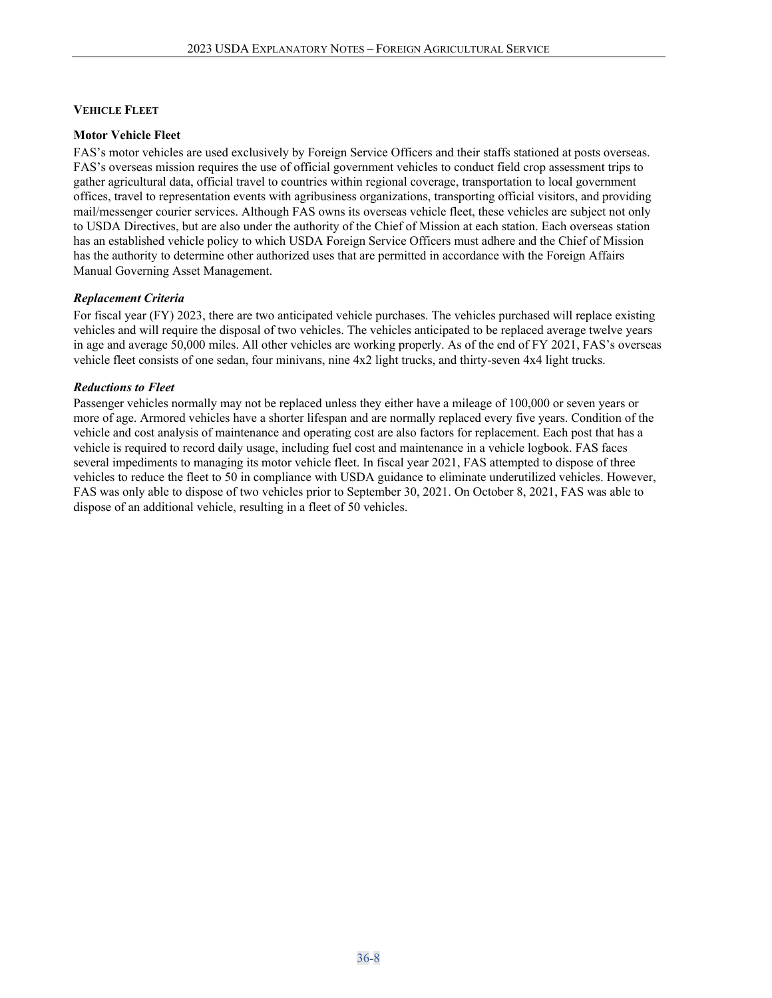#### <span id="page-7-0"></span>**VEHICLE FLEET**

#### <span id="page-7-1"></span>**Motor Vehicle Fleet**

FAS's motor vehicles are used exclusively by Foreign Service Officers and their staffs stationed at posts overseas. FAS's overseas mission requires the use of official government vehicles to conduct field crop assessment trips to gather agricultural data, official travel to countries within regional coverage, transportation to local government offices, travel to representation events with agribusiness organizations, transporting official visitors, and providing mail/messenger courier services. Although FAS owns its overseas vehicle fleet, these vehicles are subject not only to USDA Directives, but are also under the authority of the Chief of Mission at each station. Each overseas station has an established vehicle policy to which USDA Foreign Service Officers must adhere and the Chief of Mission has the authority to determine other authorized uses that are permitted in accordance with the Foreign Affairs Manual Governing Asset Management.

#### *Replacement Criteria*

For fiscal year (FY) 2023, there are two anticipated vehicle purchases. The vehicles purchased will replace existing vehicles and will require the disposal of two vehicles. The vehicles anticipated to be replaced average twelve years in age and average 50,000 miles. All other vehicles are working properly. As of the end of FY 2021, FAS's overseas vehicle fleet consists of one sedan, four minivans, nine 4x2 light trucks, and thirty-seven 4x4 light trucks.

#### *Reductions to Fleet*

Passenger vehicles normally may not be replaced unless they either have a mileage of 100,000 or seven years or more of age. Armored vehicles have a shorter lifespan and are normally replaced every five years. Condition of the vehicle and cost analysis of maintenance and operating cost are also factors for replacement. Each post that has a vehicle is required to record daily usage, including fuel cost and maintenance in a vehicle logbook. FAS faces several impediments to managing its motor vehicle fleet. In fiscal year 2021, FAS attempted to dispose of three vehicles to reduce the fleet to 50 in compliance with USDA guidance to eliminate underutilized vehicles. However, FAS was only able to dispose of two vehicles prior to September 30, 2021. On October 8, 2021, FAS was able to dispose of an additional vehicle, resulting in a fleet of 50 vehicles.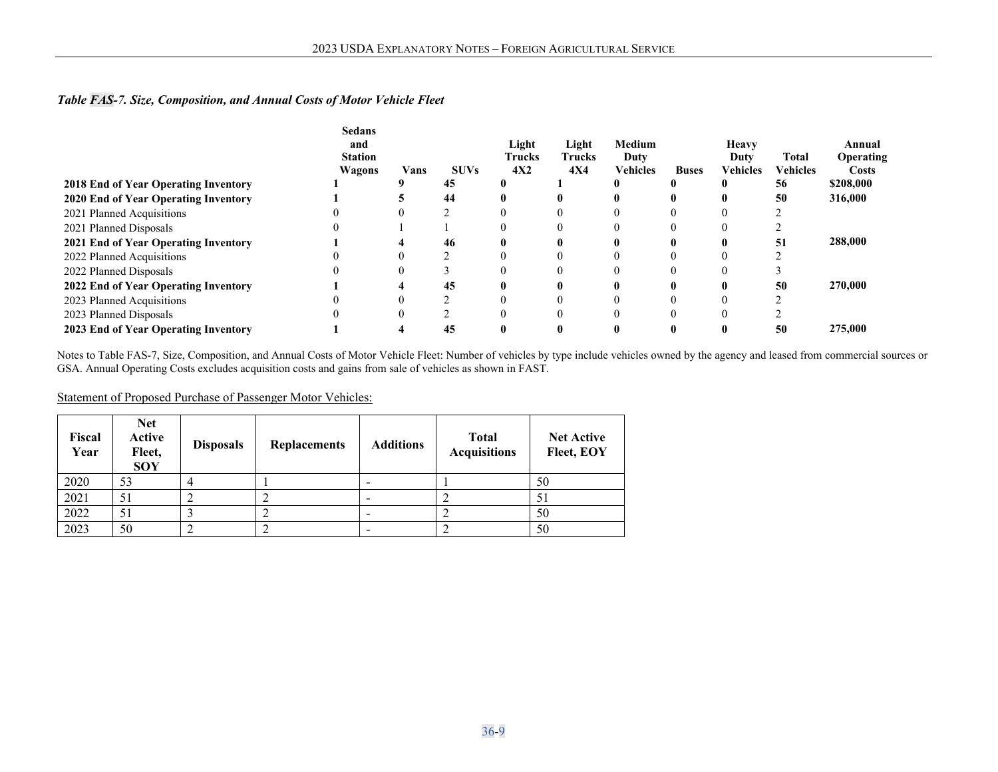## *Table FAS-7. Size, Composition, and Annual Costs of Motor Vehicle Fleet*

|                                      | <b>Sedans</b><br>and |      |             | Light         | Light      | Medium          |              | <b>Heavy</b> |                 | Annual           |
|--------------------------------------|----------------------|------|-------------|---------------|------------|-----------------|--------------|--------------|-----------------|------------------|
|                                      | <b>Station</b>       |      |             | <b>Trucks</b> | Trucks     | Duty            |              | Duty         | Total           | <b>Operating</b> |
|                                      | Wagons               | Vans | <b>SUVs</b> | 4X2           | <b>4X4</b> | <b>Vehicles</b> | <b>Buses</b> | Vehicles     | <b>Vehicles</b> | <b>Costs</b>     |
| 2018 End of Year Operating Inventory |                      |      | 45          |               |            |                 |              |              | 56              | \$208,000        |
| 2020 End of Year Operating Inventory |                      |      | 44          |               |            |                 |              |              | 50              | 316,000          |
| 2021 Planned Acquisitions            |                      |      |             |               |            |                 |              |              |                 |                  |
| 2021 Planned Disposals               |                      |      |             |               |            |                 |              |              |                 |                  |
| 2021 End of Year Operating Inventory |                      |      | 46          |               |            |                 |              |              | 51              | 288,000          |
| 2022 Planned Acquisitions            |                      |      |             |               |            |                 |              |              |                 |                  |
| 2022 Planned Disposals               |                      |      |             |               |            |                 |              |              |                 |                  |
| 2022 End of Year Operating Inventory |                      |      | 45          |               |            |                 |              |              | 50              | 270,000          |
| 2023 Planned Acquisitions            |                      |      |             |               |            |                 |              |              |                 |                  |
| 2023 Planned Disposals               |                      |      |             |               |            |                 |              |              |                 |                  |
| 2023 End of Year Operating Inventory |                      |      | 45          |               |            |                 |              |              | 50              | 275,000          |

Notes to Table FAS-7, Size, Composition, and Annual Costs of Motor Vehicle Fleet: Number of vehicles by type include vehicles owned by the agency and leased from commercial sources or GSA. Annual Operating Costs excludes acquisition costs and gains from sale of vehicles as shown in FAST.

#### Statement of Proposed Purchase of Passenger Motor Vehicles:

| Fiscal<br>Year | <b>Net</b><br>Active<br>Fleet,<br><b>SOY</b> | <b>Disposals</b> | <b>Replacements</b> | <b>Additions</b> | <b>Total</b><br><b>Acquisitions</b> | <b>Net Active</b><br>Fleet, EOY |
|----------------|----------------------------------------------|------------------|---------------------|------------------|-------------------------------------|---------------------------------|
| 2020           | 53                                           |                  |                     |                  |                                     | 50                              |
| 2021           | 51                                           |                  |                     |                  |                                     | 51                              |
| 2022           | 51                                           |                  |                     |                  |                                     | 50                              |
| 2023           | 50                                           |                  |                     |                  |                                     | 50                              |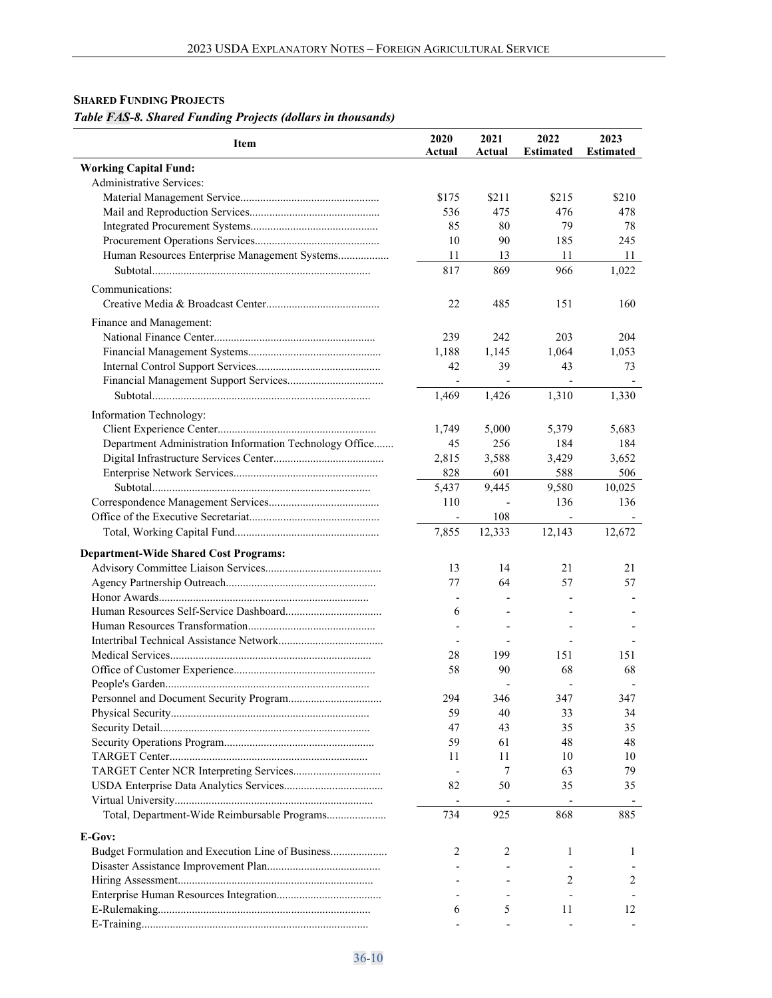# <span id="page-9-0"></span>**SHARED FUNDING PROJECTS** *Table FAS-8. Shared Funding Projects (dollars in thousands)*

| Item                                                    | 2020<br>Actual           | 2021<br>Actual | 2022<br><b>Estimated</b> | 2023<br><b>Estimated</b> |
|---------------------------------------------------------|--------------------------|----------------|--------------------------|--------------------------|
| <b>Working Capital Fund:</b>                            |                          |                |                          |                          |
| Administrative Services:                                |                          |                |                          |                          |
|                                                         | \$175                    | \$211          | \$215                    | \$210                    |
|                                                         | 536                      | 475            | 476                      | 478                      |
|                                                         | 85                       | 80             | 79                       | 78                       |
|                                                         | 10                       | 90             | 185                      | 245                      |
| Human Resources Enterprise Management Systems           | 11                       | 13             | 11                       | 11                       |
|                                                         | 817                      | 869            | 966                      | 1,022                    |
| Communications:                                         |                          |                |                          |                          |
|                                                         |                          |                |                          |                          |
|                                                         | 22                       | 485            | 151                      | 160                      |
| Finance and Management:                                 |                          |                |                          |                          |
|                                                         | 239                      | 242            | 203                      | 204                      |
|                                                         | 1,188                    | 1,145          | 1,064                    | 1,053                    |
|                                                         | 42                       | 39             | 43                       | 73                       |
|                                                         | $\overline{\phantom{a}}$ |                |                          |                          |
|                                                         | 1,469                    | 1,426          | 1,310                    | 1,330                    |
| Information Technology:                                 |                          |                |                          |                          |
|                                                         | 1,749                    | 5,000          | 5,379                    | 5,683                    |
| Department Administration Information Technology Office | 45                       | 256            | 184                      | 184                      |
|                                                         | 2,815                    | 3,588          | 3,429                    | 3.652                    |
|                                                         | 828                      | 601            | 588                      | 506                      |
|                                                         | 5,437                    | 9,445          | 9,580                    | 10,025                   |
|                                                         | 110                      |                | 136                      | 136                      |
|                                                         | $\overline{\phantom{a}}$ | 108            |                          |                          |
|                                                         | 7,855                    | 12,333         | 12,143                   | 12,672                   |
|                                                         |                          |                |                          |                          |
| <b>Department-Wide Shared Cost Programs:</b>            |                          |                |                          |                          |
|                                                         | 13                       | 14             | 21                       | 21                       |
|                                                         | 77                       | 64             | 57                       | 57                       |
|                                                         |                          |                |                          |                          |
|                                                         | 6                        |                |                          |                          |
|                                                         |                          |                |                          |                          |
|                                                         |                          |                |                          |                          |
|                                                         | 28                       | 199            | 151                      | 151                      |
|                                                         | 58                       | 90             | 68                       | 68                       |
|                                                         |                          |                |                          |                          |
|                                                         | 294                      | 346            | 347                      | 347                      |
|                                                         | 59                       | 40             | 33                       | 34                       |
|                                                         | 47                       | 43             | 35                       | 35                       |
|                                                         | 59                       | 61             | 48                       | 48                       |
|                                                         | 11                       | 11             | 10                       | 10                       |
|                                                         |                          | 7              | 63                       | 79                       |
|                                                         | 82                       | 50             | 35                       | 35                       |
|                                                         | $\overline{\phantom{a}}$ |                |                          |                          |
| Total, Department-Wide Reimbursable Programs            | 734                      | 925            | 868                      | 885                      |
|                                                         |                          |                |                          |                          |
| E-Gov:                                                  |                          |                |                          |                          |
| Budget Formulation and Execution Line of Business       | 2                        | 2              | 1                        | 1                        |
|                                                         |                          |                |                          |                          |
|                                                         |                          |                | 2                        | 2                        |
|                                                         |                          |                |                          |                          |
|                                                         | 6                        | 5              | 11                       | 12                       |
|                                                         |                          |                |                          |                          |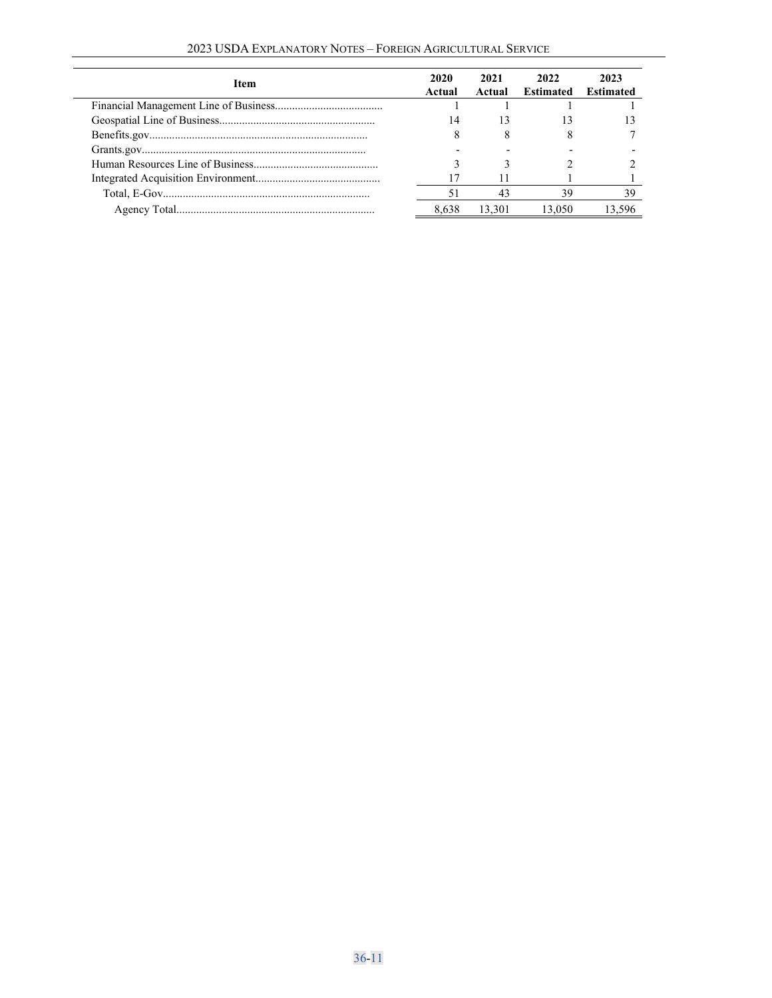| 2023 USDA EXPLANATORY NOTES - FOREIGN AGRICULTURAL SERVICE |  |  |  |  |  |
|------------------------------------------------------------|--|--|--|--|--|
|------------------------------------------------------------|--|--|--|--|--|

| Item | 2020<br>Actual | 2021<br>Actual | 2022<br>Estimated | 2023<br><b>Estimated</b> |
|------|----------------|----------------|-------------------|--------------------------|
|      |                |                |                   |                          |
|      | 14             | 13             |                   |                          |
|      | 8              |                |                   |                          |
|      |                |                |                   |                          |
|      |                |                |                   |                          |
|      |                |                |                   |                          |
|      |                | 43             | 39                | 39                       |
|      | 8.638          | 13.301         | 13.050            |                          |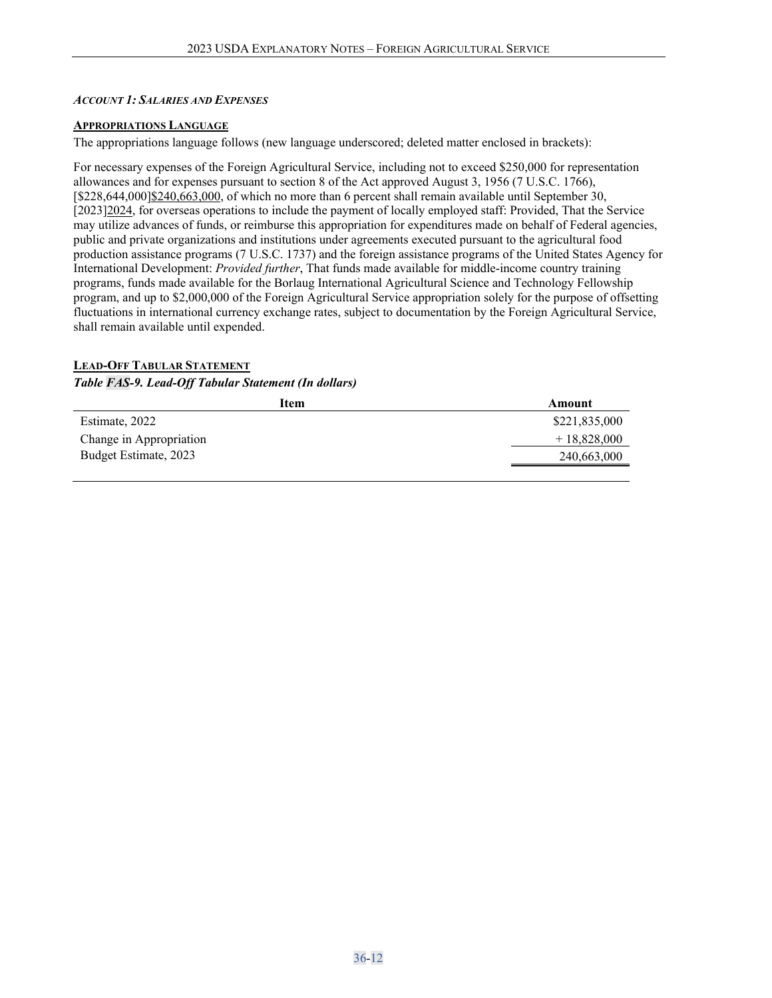#### <span id="page-11-0"></span>*ACCOUNT 1: SALARIES AND EXPENSES*

#### <span id="page-11-1"></span>**APPROPRIATIONS LANGUAGE**

The appropriations language follows (new language underscored; deleted matter enclosed in brackets):

For necessary expenses of the Foreign Agricultural Service, including not to exceed \$250,000 for representation allowances and for expenses pursuant to section 8 of the Act approved August 3, 1956 (7 U.S.C. 1766), [\$228,644,000]\$240,663,000, of which no more than 6 percent shall remain available until September 30, [2023]2024, for overseas operations to include the payment of locally employed staff: Provided, That the Service may utilize advances of funds, or reimburse this appropriation for expenditures made on behalf of Federal agencies, public and private organizations and institutions under agreements executed pursuant to the agricultural food production assistance programs (7 U.S.C. 1737) and the foreign assistance programs of the United States Agency for International Development: *Provided further*, That funds made available for middle-income country training programs, funds made available for the Borlaug International Agricultural Science and Technology Fellowship program, and up to \$2,000,000 of the Foreign Agricultural Service appropriation solely for the purpose of offsetting fluctuations in international currency exchange rates, subject to documentation by the Foreign Agricultural Service, shall remain available until expended.

#### <span id="page-11-2"></span>**LEAD-OFF TABULAR STATEMENT**

## *Table FAS-9. Lead-Off Tabular Statement (In dollars)*

| Item                    | Amount        |
|-------------------------|---------------|
| Estimate, 2022          | \$221,835,000 |
| Change in Appropriation | $+18,828,000$ |
| Budget Estimate, 2023   | 240,663,000   |
|                         |               |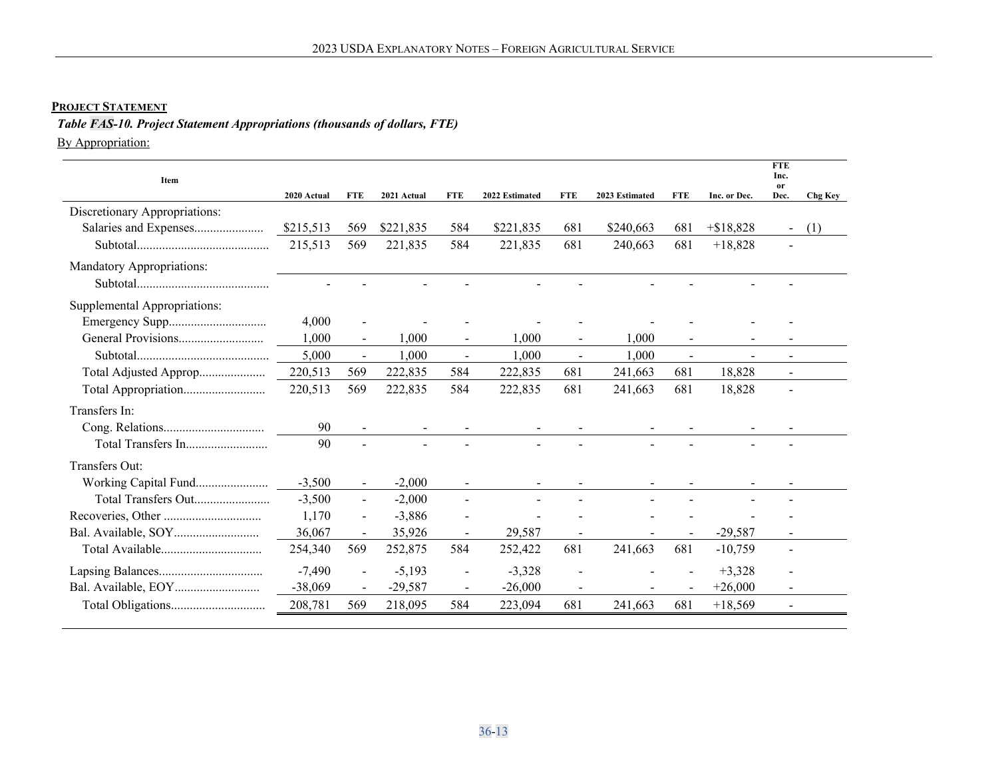# **PROJECT STATEMENT**

# *Table FAS-10. Project Statement Appropriations (thousands of dollars, FTE)*

By Appropriation:

<span id="page-12-0"></span>

| Item                          | 2020 Actual | <b>FTE</b>               | 2021 Actual | <b>FTE</b>                   | 2022 Estimated | <b>FTE</b>     | 2023 Estimated | <b>FTE</b>     | Inc. or Dec. | <b>FTE</b><br>Inc.<br><b>or</b><br>Dec. | <b>Chg Key</b> |
|-------------------------------|-------------|--------------------------|-------------|------------------------------|----------------|----------------|----------------|----------------|--------------|-----------------------------------------|----------------|
| Discretionary Appropriations: |             |                          |             |                              |                |                |                |                |              |                                         |                |
| Salaries and Expenses         | \$215,513   | 569                      | \$221,835   | 584                          | \$221,835      | 681            | \$240,663      | 681            | $+ $18.828$  | $\blacksquare$                          | (1)            |
|                               | 215,513     | 569                      | 221,835     | 584                          | 221,835        | 681            | 240,663        | 681            | $+18,828$    | $\blacksquare$                          |                |
| Mandatory Appropriations:     |             |                          |             |                              |                |                |                |                |              |                                         |                |
|                               |             |                          |             |                              |                |                |                |                |              |                                         |                |
| Supplemental Appropriations:  |             |                          |             |                              |                |                |                |                |              |                                         |                |
|                               | 4,000       |                          |             |                              |                |                |                |                |              |                                         |                |
| General Provisions            | 1,000       | $\blacksquare$           | 1,000       | $\overline{\phantom{a}}$     | 1,000          |                | 1,000          |                |              |                                         |                |
|                               | 5,000       | $\overline{\phantom{a}}$ | 1,000       | $\blacksquare$               | 1,000          | $\blacksquare$ | 1,000          | $\blacksquare$ |              | $\overline{\phantom{0}}$                |                |
| Total Adjusted Approp         | 220,513     | 569                      | 222,835     | 584                          | 222,835        | 681            | 241,663        | 681            | 18,828       |                                         |                |
| Total Appropriation           | 220,513     | 569                      | 222,835     | 584                          | 222,835        | 681            | 241,663        | 681            | 18,828       | $\overline{\phantom{0}}$                |                |
| Transfers In:                 |             |                          |             |                              |                |                |                |                |              |                                         |                |
|                               | 90          |                          |             |                              |                |                |                |                |              |                                         |                |
|                               | 90          |                          |             |                              |                |                |                |                |              |                                         |                |
| Transfers Out:                |             |                          |             |                              |                |                |                |                |              |                                         |                |
| Working Capital Fund          | $-3,500$    | $\blacksquare$           | $-2,000$    |                              |                |                |                |                |              |                                         |                |
| Total Transfers Out           | $-3,500$    | $\blacksquare$           | $-2,000$    | $\overline{a}$               |                |                |                |                |              |                                         |                |
|                               | 1,170       | $\blacksquare$           | $-3,886$    |                              |                |                |                |                |              |                                         |                |
|                               | 36,067      | $\blacksquare$           | 35,926      | $\qquad \qquad -$            | 29,587         |                |                |                | $-29,587$    |                                         |                |
| Total Available               | 254,340     | 569                      | 252,875     | 584                          | 252,422        | 681            | 241,663        | 681            | $-10,759$    | $\blacksquare$                          |                |
|                               | $-7,490$    | $\overline{\phantom{a}}$ | $-5,193$    | $\qquad \qquad \blacksquare$ | $-3,328$       |                |                |                | $+3,328$     |                                         |                |
|                               | $-38,069$   | $\blacksquare$           | $-29,587$   | $\blacksquare$               | $-26,000$      |                |                |                | $+26,000$    |                                         |                |
|                               | 208,781     | 569                      | 218,095     | 584                          | 223,094        | 681            | 241,663        | 681            | $+18,569$    | $\blacksquare$                          |                |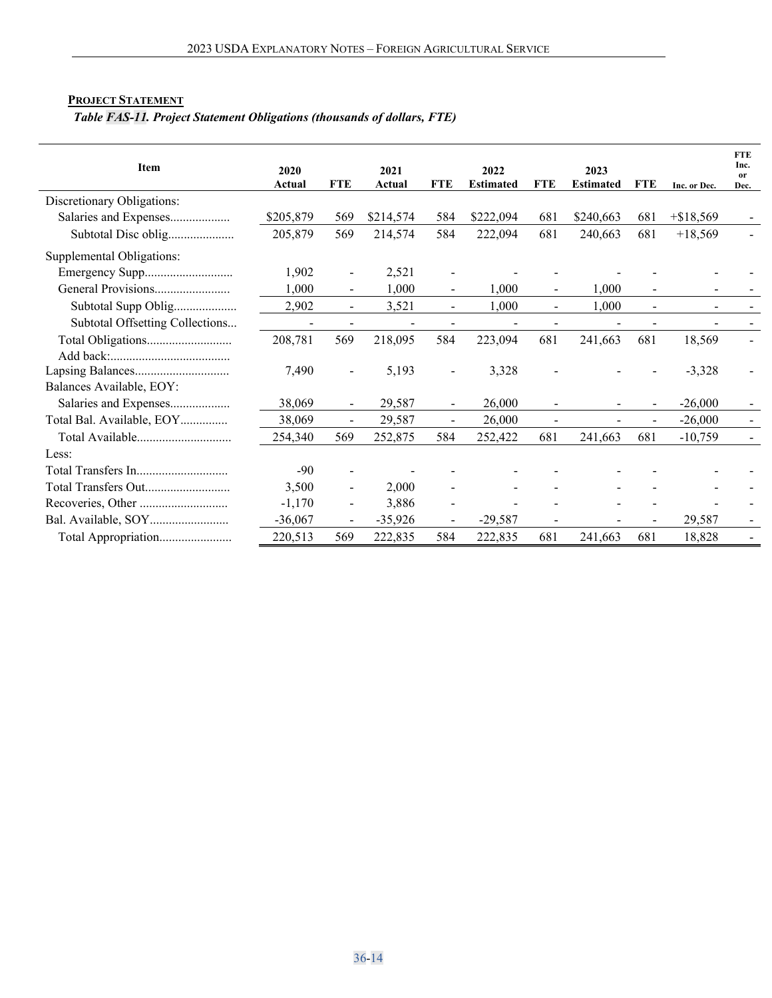## <span id="page-13-0"></span>**PROJECT STATEMENT**

*Table FAS-11. Project Statement Obligations (thousands of dollars, FTE)* 

| Item                            | 2020<br>Actual | <b>FTE</b>                   | 2021<br>Actual | <b>FTE</b> | 2022<br><b>Estimated</b> | <b>FTE</b>     | 2023<br><b>Estimated</b> | <b>FTE</b> | Inc. or Dec. | <b>FTE</b><br>Inc.<br><b>or</b><br>Dec. |
|---------------------------------|----------------|------------------------------|----------------|------------|--------------------------|----------------|--------------------------|------------|--------------|-----------------------------------------|
| Discretionary Obligations:      |                |                              |                |            |                          |                |                          |            |              |                                         |
| Salaries and Expenses           | \$205,879      | 569                          | \$214,574      | 584        | \$222,094                | 681            | \$240,663                | 681        | $+ $18,569$  |                                         |
| Subtotal Disc oblig             | 205,879        | 569                          | 214,574        | 584        | 222,094                  | 681            | 240,663                  | 681        | $+18,569$    |                                         |
| Supplemental Obligations:       |                |                              |                |            |                          |                |                          |            |              |                                         |
| Emergency Supp                  | 1,902          | $\qquad \qquad \blacksquare$ | 2,521          |            |                          |                |                          |            |              |                                         |
|                                 | 1,000          | $\blacksquare$               | 1,000          |            | 1.000                    | $\overline{a}$ | 1.000                    |            |              |                                         |
| Subtotal Supp Oblig             | 2,902          | $\overline{\phantom{a}}$     | 3,521          |            | 1,000                    |                | 1,000                    |            |              |                                         |
| Subtotal Offsetting Collections |                |                              |                |            |                          |                |                          |            |              |                                         |
|                                 | 208,781        | 569                          | 218,095        | 584        | 223,094                  | 681            | 241,663                  | 681        | 18,569       |                                         |
|                                 |                |                              |                |            |                          |                |                          |            |              |                                         |
|                                 | 7,490          |                              | 5,193          |            | 3,328                    |                |                          |            | $-3,328$     |                                         |
| Balances Available, EOY:        |                |                              |                |            |                          |                |                          |            |              |                                         |
| Salaries and Expenses           | 38,069         | $\blacksquare$               | 29,587         |            | 26,000                   |                |                          |            | $-26,000$    |                                         |
| Total Bal. Available, EOY       | 38,069         | $\blacksquare$               | 29,587         |            | 26,000                   |                |                          |            | $-26,000$    |                                         |
|                                 | 254,340        | 569                          | 252,875        | 584        | 252,422                  | 681            | 241,663                  | 681        | $-10,759$    |                                         |
| Less:                           |                |                              |                |            |                          |                |                          |            |              |                                         |
|                                 | $-90$          |                              |                |            |                          |                |                          |            |              |                                         |
| Total Transfers Out             | 3,500          |                              | 2,000          |            |                          |                |                          |            |              |                                         |
|                                 | $-1,170$       | $\blacksquare$               | 3,886          |            |                          |                |                          |            |              |                                         |
|                                 | $-36,067$      | $\blacksquare$               | $-35,926$      |            | $-29,587$                |                |                          |            | 29,587       |                                         |
| Total Appropriation             | 220,513        | 569                          | 222,835        | 584        | 222,835                  | 681            | 241,663                  | 681        | 18,828       |                                         |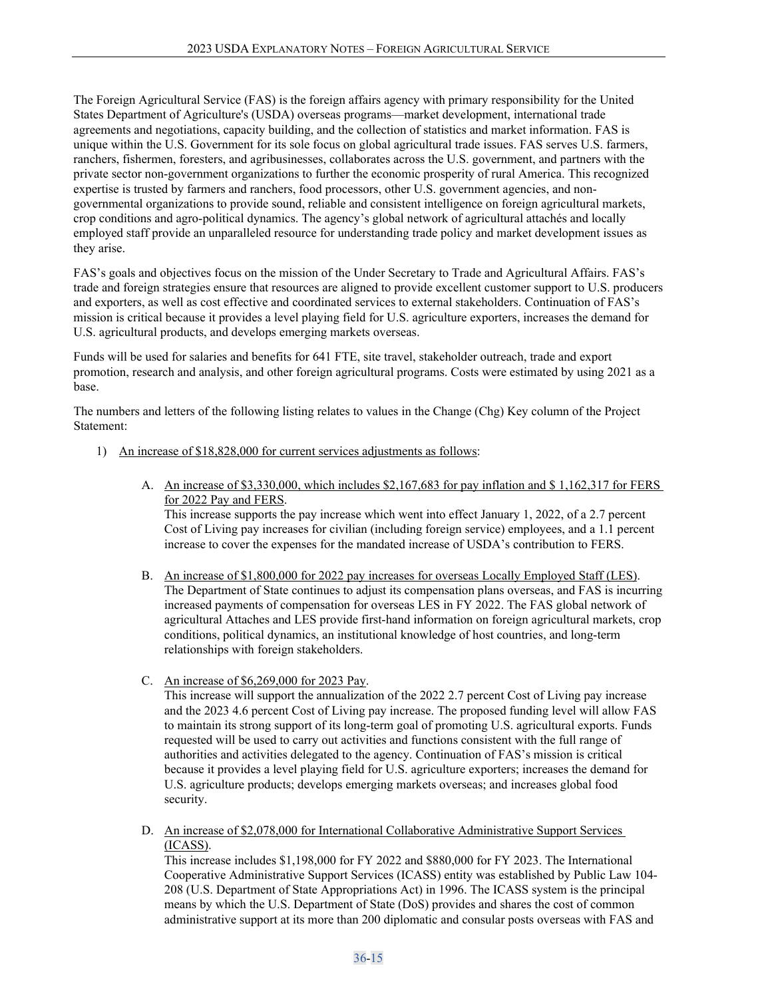The Foreign Agricultural Service (FAS) is the foreign affairs agency with primary responsibility for the United States Department of Agriculture's (USDA) overseas programs—market development, international trade agreements and negotiations, capacity building, and the collection of statistics and market information. FAS is unique within the U.S. Government for its sole focus on global agricultural trade issues. FAS serves U.S. farmers, ranchers, fishermen, foresters, and agribusinesses, collaborates across the U.S. government, and partners with the private sector non-government organizations to further the economic prosperity of rural America. This recognized expertise is trusted by farmers and ranchers, food processors, other U.S. government agencies, and nongovernmental organizations to provide sound, reliable and consistent intelligence on foreign agricultural markets, crop conditions and agro-political dynamics. The agency's global network of agricultural attachés and locally employed staff provide an unparalleled resource for understanding trade policy and market development issues as they arise.

FAS's goals and objectives focus on the mission of the Under Secretary to Trade and Agricultural Affairs. FAS's trade and foreign strategies ensure that resources are aligned to provide excellent customer support to U.S. producers and exporters, as well as cost effective and coordinated services to external stakeholders. Continuation of FAS's mission is critical because it provides a level playing field for U.S. agriculture exporters, increases the demand for U.S. agricultural products, and develops emerging markets overseas.

Funds will be used for salaries and benefits for 641 FTE, site travel, stakeholder outreach, trade and export promotion, research and analysis, and other foreign agricultural programs. Costs were estimated by using 2021 as a base.

The numbers and letters of the following listing relates to values in the Change (Chg) Key column of the Project Statement:

- 1) An increase of \$18,828,000 for current services adjustments as follows:
	- A. An increase of \$3,330,000, which includes \$2,167,683 for pay inflation and \$ 1,162,317 for FERS for 2022 Pay and FERS.

This increase supports the pay increase which went into effect January 1, 2022, of a 2.7 percent Cost of Living pay increases for civilian (including foreign service) employees, and a 1.1 percent increase to cover the expenses for the mandated increase of USDA's contribution to FERS.

- B. An increase of \$1,800,000 for 2022 pay increases for overseas Locally Employed Staff (LES). The Department of State continues to adjust its compensation plans overseas, and FAS is incurring increased payments of compensation for overseas LES in FY 2022. The FAS global network of agricultural Attaches and LES provide first-hand information on foreign agricultural markets, crop conditions, political dynamics, an institutional knowledge of host countries, and long-term relationships with foreign stakeholders.
- C. An increase of \$6,269,000 for 2023 Pay.

This increase will support the annualization of the 2022 2.7 percent Cost of Living pay increase and the 2023 4.6 percent Cost of Living pay increase. The proposed funding level will allow FAS to maintain its strong support of its long-term goal of promoting U.S. agricultural exports. Funds requested will be used to carry out activities and functions consistent with the full range of authorities and activities delegated to the agency. Continuation of FAS's mission is critical because it provides a level playing field for U.S. agriculture exporters; increases the demand for U.S. agriculture products; develops emerging markets overseas; and increases global food security.

D. An increase of \$2,078,000 for International Collaborative Administrative Support Services (ICASS).

This increase includes \$1,198,000 for FY 2022 and \$880,000 for FY 2023. The International Cooperative Administrative Support Services (ICASS) entity was established by Public Law 104- 208 (U.S. Department of State Appropriations Act) in 1996. The ICASS system is the principal means by which the U.S. Department of State (DoS) provides and shares the cost of common administrative support at its more than 200 diplomatic and consular posts overseas with FAS and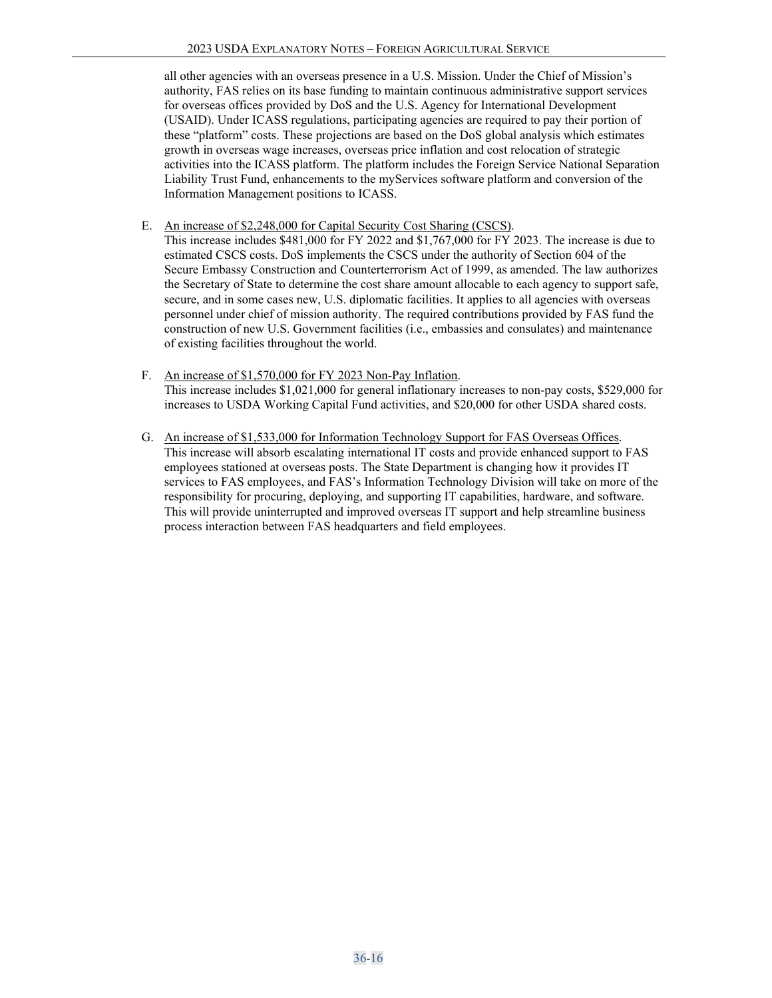all other agencies with an overseas presence in a U.S. Mission. Under the Chief of Mission's authority, FAS relies on its base funding to maintain continuous administrative support services for overseas offices provided by DoS and the U.S. Agency for International Development (USAID). Under ICASS regulations, participating agencies are required to pay their portion of these "platform" costs. These projections are based on the DoS global analysis which estimates growth in overseas wage increases, overseas price inflation and cost relocation of strategic activities into the ICASS platform. The platform includes the Foreign Service National Separation Liability Trust Fund, enhancements to the myServices software platform and conversion of the Information Management positions to ICASS.

- E. An increase of \$2,248,000 for Capital Security Cost Sharing (CSCS).
- This increase includes \$481,000 for FY 2022 and \$1,767,000 for FY 2023. The increase is due to estimated CSCS costs. DoS implements the CSCS under the authority of Section 604 of the Secure Embassy Construction and Counterterrorism Act of 1999, as amended. The law authorizes the Secretary of State to determine the cost share amount allocable to each agency to support safe, secure, and in some cases new, U.S. diplomatic facilities. It applies to all agencies with overseas personnel under chief of mission authority. The required contributions provided by FAS fund the construction of new U.S. Government facilities (i.e., embassies and consulates) and maintenance of existing facilities throughout the world.
- F. An increase of \$1,570,000 for FY 2023 Non-Pay Inflation. This increase includes \$1,021,000 for general inflationary increases to non-pay costs, \$529,000 for increases to USDA Working Capital Fund activities, and \$20,000 for other USDA shared costs.
- G. An increase of \$1,533,000 for Information Technology Support for FAS Overseas Offices. This increase will absorb escalating international IT costs and provide enhanced support to FAS employees stationed at overseas posts. The State Department is changing how it provides IT services to FAS employees, and FAS's Information Technology Division will take on more of the responsibility for procuring, deploying, and supporting IT capabilities, hardware, and software. This will provide uninterrupted and improved overseas IT support and help streamline business process interaction between FAS headquarters and field employees.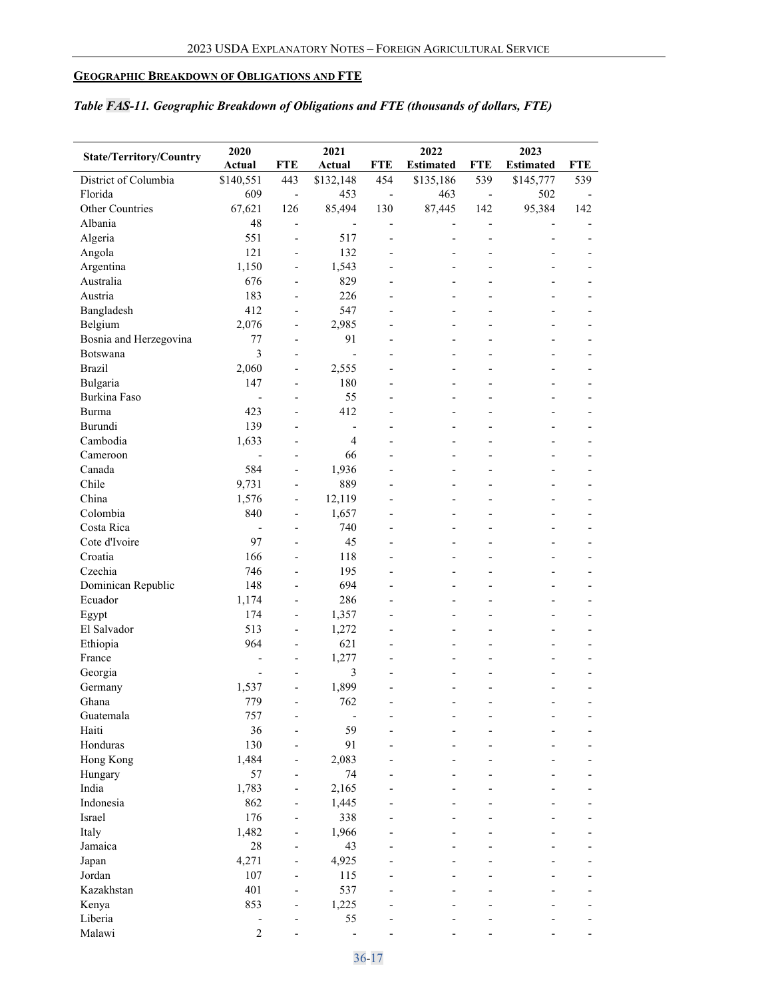# <span id="page-16-0"></span>**GEOGRAPHIC BREAKDOWN OF OBLIGATIONS AND FTE**

# *Table FAS-11. Geographic Breakdown of Obligations and FTE (thousands of dollars, FTE)*

|                                | 2020                           |                              | 2021                     |                          | 2022                     |                          | 2023                     |                |
|--------------------------------|--------------------------------|------------------------------|--------------------------|--------------------------|--------------------------|--------------------------|--------------------------|----------------|
| <b>State/Territory/Country</b> | Actual                         | <b>FTE</b>                   | Actual                   | <b>FTE</b>               | <b>Estimated</b>         | <b>FTE</b>               | <b>Estimated</b>         | <b>FTE</b>     |
| District of Columbia           | \$140,551                      | 443                          | \$132,148                | 454                      | \$135,186                | 539                      | \$145,777                | 539            |
| Florida                        | 609                            | $\qquad \qquad \blacksquare$ | 453                      | $\overline{\phantom{a}}$ | 463                      | $\overline{\phantom{a}}$ | 502                      |                |
| Other Countries                | 67,621                         | 126                          | 85,494                   | 130                      | 87,445                   | 142                      | 95,384                   | 142            |
| Albania                        | 48                             | $\overline{\phantom{a}}$     |                          | $\overline{\phantom{a}}$ |                          | $\overline{a}$           |                          |                |
| Algeria                        | 551                            | $\overline{a}$               | 517                      | $\overline{\phantom{a}}$ |                          | $\overline{a}$           | $\overline{a}$           |                |
| Angola                         | 121                            | $\qquad \qquad \blacksquare$ | 132                      | $\overline{a}$           | $\overline{a}$           | $\overline{a}$           | $\overline{a}$           |                |
| Argentina                      | 1,150                          | $\qquad \qquad \blacksquare$ | 1,543                    | $\overline{\phantom{a}}$ | $\overline{\phantom{a}}$ | $\overline{a}$           | $\overline{\phantom{a}}$ |                |
| Australia                      | 676                            | $\overline{\phantom{a}}$     | 829                      |                          | $\overline{a}$           | $\overline{a}$           | $\overline{a}$           |                |
| Austria                        | 183                            | $\overline{\phantom{a}}$     | 226                      |                          |                          | $\overline{a}$           |                          |                |
| Bangladesh                     | 412                            | $\overline{\phantom{m}}$     | 547                      | $\overline{\phantom{a}}$ |                          | $\overline{\phantom{0}}$ |                          |                |
| Belgium                        | 2,076                          | $\overline{\phantom{0}}$     | 2,985                    |                          |                          |                          |                          |                |
| Bosnia and Herzegovina         | 77                             | $\overline{a}$               | 91                       | $\overline{a}$           | $\overline{a}$           |                          |                          |                |
| Botswana                       | 3                              | $\overline{a}$               | $\overline{a}$           | $\overline{\phantom{a}}$ | $\overline{\phantom{a}}$ | $\overline{a}$           | $\overline{\phantom{0}}$ |                |
| <b>Brazil</b>                  | 2,060                          | $\overline{a}$               | 2,555                    |                          |                          |                          |                          |                |
| Bulgaria                       | 147                            | $\overline{a}$               | 180                      |                          |                          |                          |                          |                |
| Burkina Faso                   | $\overline{a}$                 | $\overline{a}$               | 55                       | $\overline{\phantom{a}}$ | $\overline{\phantom{a}}$ | $\overline{a}$           | $\overline{\phantom{0}}$ |                |
| Burma                          | 423                            | $\overline{\phantom{0}}$     | 412                      |                          |                          |                          |                          |                |
| Burundi                        | 139                            | $\overline{\phantom{a}}$     | $\overline{\phantom{0}}$ | $\overline{\phantom{0}}$ | $\overline{a}$           |                          | $\overline{a}$           |                |
| Cambodia                       | 1,633                          | $\overline{\phantom{a}}$     | $\overline{4}$           | $\overline{\phantom{a}}$ | $\overline{\phantom{a}}$ | $\overline{\phantom{0}}$ | $\overline{\phantom{a}}$ |                |
| Cameroon                       |                                | $\qquad \qquad \blacksquare$ | 66                       |                          |                          |                          | $\overline{a}$           |                |
| Canada                         | 584                            | $\overline{a}$               | 1,936                    |                          |                          |                          |                          |                |
| Chile                          | 9,731                          | $\qquad \qquad \blacksquare$ | 889                      |                          |                          | $\overline{\phantom{0}}$ | $\overline{\phantom{0}}$ |                |
| China                          | 1,576                          | $\overline{\phantom{0}}$     | 12,119                   |                          |                          |                          |                          |                |
| Colombia                       | 840                            | $\qquad \qquad \blacksquare$ | 1,657                    | $\overline{a}$           | $\overline{a}$           | $\overline{a}$           | $\overline{a}$           |                |
| Costa Rica                     |                                | $\overline{a}$               | 740                      |                          |                          |                          |                          |                |
| Cote d'Ivoire                  | $\overline{\phantom{a}}$<br>97 | $\overline{a}$               | 45                       | $\overline{\phantom{a}}$ | $\overline{\phantom{a}}$ | $\overline{\phantom{0}}$ | $\overline{\phantom{0}}$ |                |
|                                |                                |                              |                          |                          |                          |                          | $\overline{a}$           |                |
| Croatia                        | 166                            | $\overline{a}$               | 118                      | $\overline{\phantom{a}}$ | $\overline{a}$           | $\overline{a}$           | $\overline{a}$           |                |
| Czechia                        | 746                            | $\overline{a}$               | 195                      | $\overline{a}$           | $\overline{\phantom{a}}$ | $\overline{a}$           | $\overline{\phantom{0}}$ | $\overline{a}$ |
| Dominican Republic             | 148                            | $\overline{\phantom{0}}$     | 694                      |                          |                          |                          | $\overline{a}$           |                |
| Ecuador                        | 1,174                          | $\qquad \qquad \blacksquare$ | 286                      | $\overline{a}$           | $\overline{a}$           | $\overline{a}$           | $\overline{a}$           |                |
| Egypt                          | 174                            | $\qquad \qquad \blacksquare$ | 1,357                    | $\overline{\phantom{a}}$ | $\overline{\phantom{a}}$ | $\overline{a}$           | $\overline{\phantom{a}}$ |                |
| El Salvador                    | 513                            | $\overline{\phantom{a}}$     | 1,272                    | $\overline{\phantom{0}}$ | $\overline{a}$           | $\overline{a}$           | $\overline{a}$           |                |
| Ethiopia                       | 964                            | $\qquad \qquad \blacksquare$ | 621                      |                          |                          | $\overline{a}$           |                          |                |
| France                         |                                | $\qquad \qquad \blacksquare$ | 1,277                    | $\overline{\phantom{a}}$ |                          | $\overline{\phantom{0}}$ |                          |                |
| Georgia                        |                                |                              | 3                        |                          |                          |                          |                          |                |
| Germany                        | 1,537                          | $\overline{a}$               | 1,899                    | $\overline{a}$           |                          |                          |                          |                |
| Ghana                          | 779                            |                              | 762                      |                          |                          |                          |                          |                |
| Guatemala                      | 757                            | -                            |                          |                          |                          |                          |                          |                |
| Haiti                          | 36                             | $\overline{a}$               | 59                       |                          |                          |                          |                          |                |
| Honduras                       | 130                            | $\overline{\phantom{0}}$     | 91                       |                          |                          |                          |                          |                |
| Hong Kong                      | 1,484                          | $\overline{\phantom{0}}$     | 2,083                    |                          |                          |                          |                          |                |
| Hungary                        | 57                             | $\overline{\phantom{0}}$     | 74                       |                          |                          |                          |                          |                |
| India                          | 1,783                          | $\overline{\phantom{a}}$     | 2,165                    |                          |                          |                          |                          |                |
| Indonesia                      | 862                            | $\overline{\phantom{0}}$     | 1,445                    |                          |                          |                          |                          |                |
| Israel                         | 176                            | $\overline{a}$               | 338                      |                          |                          |                          |                          |                |
| Italy                          | 1,482                          | $\overline{\phantom{0}}$     | 1,966                    |                          |                          |                          |                          |                |
| Jamaica                        | $28\,$                         | $\overline{\phantom{0}}$     | 43                       |                          |                          |                          |                          |                |
| Japan                          | 4,271                          | $\overline{a}$               | 4,925                    |                          |                          |                          |                          |                |
| Jordan                         | 107                            | $\overline{a}$               | 115                      |                          |                          |                          |                          |                |
| Kazakhstan                     | 401                            | $\overline{\phantom{a}}$     | 537                      |                          |                          |                          |                          |                |
| Kenya                          | 853                            | $\overline{a}$               | 1,225                    |                          |                          |                          |                          |                |
| Liberia                        | $\qquad \qquad \blacksquare$   |                              | 55                       |                          |                          |                          |                          |                |
| Malawi                         | $\overline{2}$                 |                              |                          |                          |                          |                          |                          |                |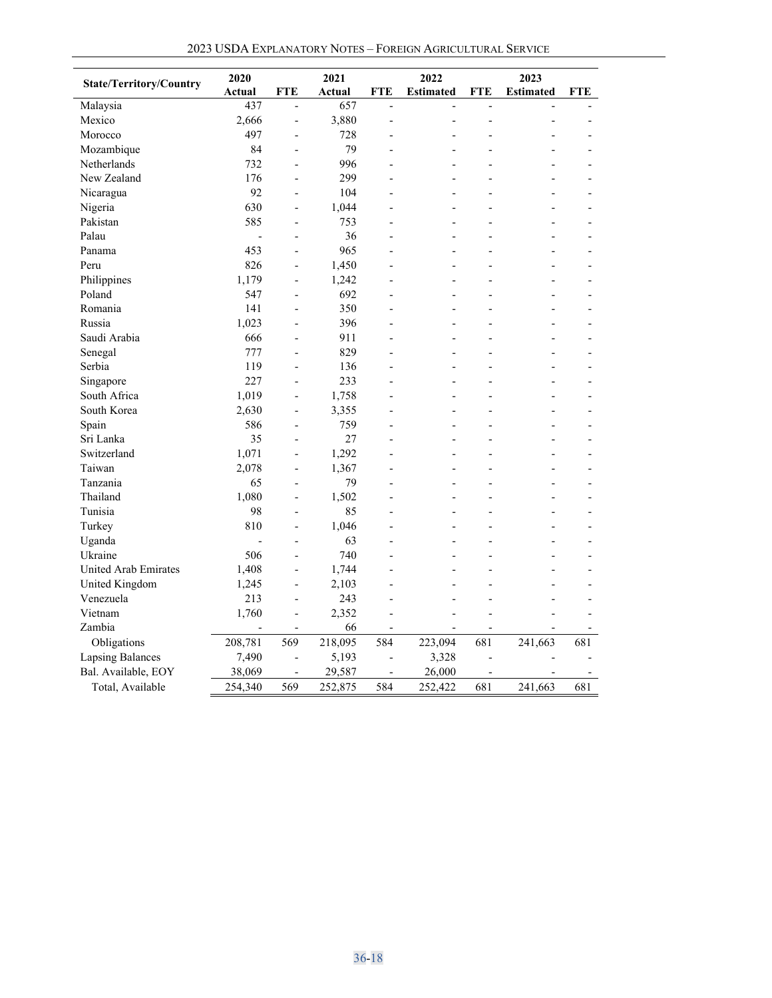| 2023 USDA EXPLANATORY NOTES - FOREIGN AGRICULTURAL SERVICE |
|------------------------------------------------------------|
|------------------------------------------------------------|

| <b>State/Territory/Country</b> | 2020                     |                          | 2021    |                              | 2022                     |                          | 2023             |     |
|--------------------------------|--------------------------|--------------------------|---------|------------------------------|--------------------------|--------------------------|------------------|-----|
|                                | Actual                   | <b>FTE</b>               | Actual  | <b>FTE</b>                   | <b>Estimated</b>         | <b>FTE</b>               | <b>Estimated</b> | FTE |
| Malaysia                       | 437                      | $\overline{a}$           | 657     | $\overline{a}$               | $\overline{a}$           | $\overline{a}$           |                  |     |
| Mexico                         | 2,666                    | $\overline{a}$           | 3,880   | $\overline{a}$               |                          | $\overline{a}$           |                  |     |
| Morocco                        | 497                      | $\overline{a}$           | 728     |                              |                          |                          |                  |     |
| Mozambique                     | 84                       | $\overline{a}$           | 79      |                              |                          |                          |                  |     |
| Netherlands                    | 732                      | $\overline{a}$           | 996     |                              |                          |                          |                  |     |
| New Zealand                    | 176                      | $\overline{a}$           | 299     |                              |                          | $\overline{a}$           |                  |     |
| Nicaragua                      | 92                       | $\overline{a}$           | 104     |                              |                          |                          |                  |     |
| Nigeria                        | 630                      | $\overline{a}$           | 1,044   |                              |                          |                          |                  |     |
| Pakistan                       | 585                      | $\overline{a}$           | 753     |                              | $\overline{\phantom{a}}$ |                          |                  |     |
| Palau                          | $\overline{a}$           | $\overline{a}$           | 36      |                              |                          |                          |                  |     |
| Panama                         | 453                      | $\overline{a}$           | 965     |                              |                          |                          |                  |     |
| Peru                           | 826                      | $\overline{a}$           | 1,450   |                              |                          |                          | $\overline{a}$   |     |
| Philippines                    | 1,179                    | $\overline{a}$           | 1,242   |                              |                          |                          |                  |     |
| Poland                         | 547                      |                          | 692     |                              |                          |                          |                  |     |
| Romania                        | 141                      | $\overline{a}$           | 350     |                              |                          |                          |                  |     |
| Russia                         | 1,023                    | L,                       | 396     |                              | $\overline{a}$           |                          | $\overline{a}$   |     |
| Saudi Arabia                   | 666                      | L,                       | 911     |                              |                          |                          |                  |     |
| Senegal                        | 777                      | $\overline{a}$           | 829     |                              |                          |                          | $\overline{a}$   |     |
| Serbia                         | 119                      | L,                       | 136     | $\overline{a}$               | L.                       | L.                       | $\overline{a}$   |     |
| Singapore                      | 227                      | $\overline{\phantom{a}}$ | 233     | $\overline{a}$               | $\overline{\phantom{a}}$ | $\overline{\phantom{0}}$ | $\overline{a}$   |     |
| South Africa                   | 1,019                    | $\overline{a}$           | 1,758   |                              |                          |                          |                  |     |
| South Korea                    | 2,630                    | $\overline{a}$           | 3,355   |                              |                          |                          |                  |     |
| Spain                          | 586                      | $\overline{a}$           | 759     |                              |                          |                          |                  |     |
| Sri Lanka                      | 35                       | L,                       | 27      |                              |                          |                          |                  |     |
| Switzerland                    | 1,071                    | L,                       | 1,292   |                              |                          |                          |                  |     |
| Taiwan                         | 2,078                    | $\overline{a}$           | 1,367   |                              |                          |                          |                  |     |
| Tanzania                       | 65                       | $\overline{\phantom{a}}$ | 79      | $\overline{a}$               | $\overline{a}$           |                          | L,               |     |
| Thailand                       | 1,080                    | L,                       | 1,502   |                              |                          |                          |                  |     |
| Tunisia                        | 98                       | $\overline{a}$           | 85      |                              |                          |                          |                  |     |
| Turkey                         | 810                      | $\overline{a}$           | 1,046   |                              |                          |                          |                  |     |
| Uganda                         | $\overline{\phantom{a}}$ | $\overline{a}$           | 63      |                              | $\overline{a}$           |                          | $\overline{a}$   |     |
| Ukraine                        | 506                      | $\overline{a}$           | 740     |                              |                          |                          |                  |     |
| <b>United Arab Emirates</b>    | 1,408                    | L,                       | 1,744   |                              |                          |                          |                  |     |
| United Kingdom                 | 1,245                    | $\overline{a}$           | 2,103   |                              |                          |                          |                  |     |
| Venezuela                      | 213                      | $\overline{a}$           | 243     | $\overline{a}$               |                          |                          |                  |     |
| Vietnam                        | 1,760                    | L,                       | 2,352   |                              |                          |                          |                  |     |
| Zambia                         |                          | $\overline{\phantom{m}}$ | 66      |                              |                          |                          |                  |     |
| Obligations                    | 208,781                  | 569                      | 218,095 | 584                          | 223,094                  | 681                      | 241,663          | 681 |
| <b>Lapsing Balances</b>        | 7,490                    | $\overline{a}$           | 5,193   | $\qquad \qquad \blacksquare$ | 3,328                    | $\overline{a}$           |                  |     |
| Bal. Available, EOY            | 38,069                   | $\overline{a}$           | 29,587  | $\overline{\phantom{a}}$     | 26,000                   |                          |                  |     |
| Total, Available               | 254,340                  | 569                      | 252,875 | 584                          | 252,422                  | 681                      | 241,663          | 681 |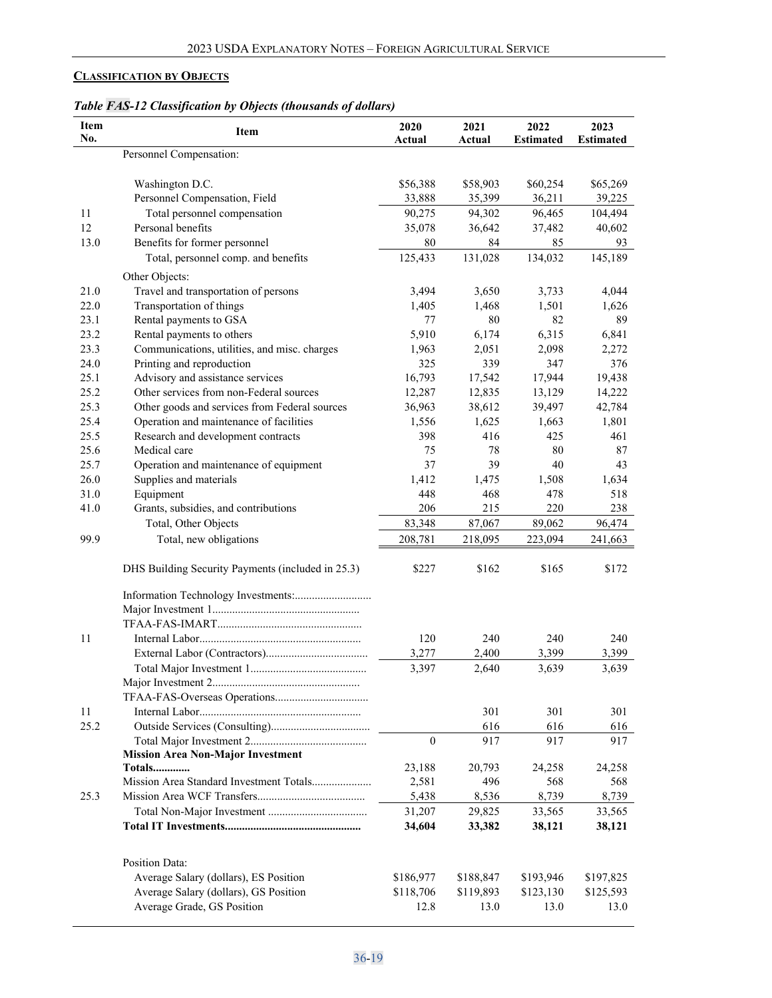# <span id="page-18-0"></span>**CLASSIFICATION BY OBJECTS**

|  |  | Table FAS-12 Classification by Objects (thousands of dollars) |  |
|--|--|---------------------------------------------------------------|--|
|  |  |                                                               |  |

| Item<br>2020<br>2021<br>Item<br>No.<br>Actual<br>Actual                   | 2022<br><b>Estimated</b> | 2023<br><b>Estimated</b> |
|---------------------------------------------------------------------------|--------------------------|--------------------------|
| Personnel Compensation:                                                   |                          |                          |
|                                                                           |                          |                          |
| Washington D.C.<br>\$56,388<br>\$58,903                                   | \$60,254                 | \$65,269                 |
| Personnel Compensation, Field<br>33,888<br>35,399                         | 36,211                   | 39,225                   |
| 11<br>Total personnel compensation<br>90,275<br>94,302                    | 96,465                   | 104,494                  |
| Personal benefits<br>12<br>35,078<br>36,642                               | 37,482                   | 40,602                   |
| Benefits for former personnel<br>13.0<br>80<br>84                         | 85                       | 93                       |
| Total, personnel comp. and benefits<br>125,433<br>131,028                 | 134,032                  | 145,189                  |
| Other Objects:                                                            |                          |                          |
| 21.0<br>Travel and transportation of persons<br>3,494<br>3,650            | 3,733                    | 4,044                    |
| 22.0<br>Transportation of things<br>1,405<br>1,468                        | 1,501                    | 1,626                    |
| 23.1<br>Rental payments to GSA<br>77                                      | 80<br>82                 | 89                       |
| 23.2<br>5,910<br>6,174<br>Rental payments to others                       | 6,315                    | 6,841                    |
| 23.3<br>Communications, utilities, and misc. charges<br>2,051<br>1,963    | 2,098                    | 2,272                    |
| Printing and reproduction<br>339<br>24.0<br>325                           | 347                      | 376                      |
| 25.1<br>Advisory and assistance services<br>16,793<br>17,542              | 17,944                   | 19,438                   |
| 25.2<br>Other services from non-Federal sources<br>12,287<br>12,835       | 13,129                   | 14,222                   |
| 25.3<br>Other goods and services from Federal sources<br>36,963<br>38,612 | 39,497                   | 42,784                   |
| 25.4<br>Operation and maintenance of facilities<br>1,556<br>1,625         | 1,663                    | 1,801                    |
| 25.5<br>Research and development contracts<br>398<br>416                  | 425                      | 461                      |
| 25.6<br>Medical care<br>75<br>78                                          | 80                       | 87                       |
| 37<br>25.7<br>Operation and maintenance of equipment                      | 39<br>40                 | 43                       |
| 26.0<br>Supplies and materials<br>1,412<br>1,475                          | 1,508                    | 1,634                    |
| 31.0<br>Equipment<br>448<br>468                                           | 478                      | 518                      |
| Grants, subsidies, and contributions<br>41.0<br>206<br>215                | 220                      | 238                      |
| Total, Other Objects<br>83,348<br>87,067                                  | 89,062                   | 96,474                   |
| Total, new obligations<br>99.9<br>208,781<br>218,095                      | 223,094                  | 241,663                  |
| \$227<br>DHS Building Security Payments (included in 25.3)<br>\$162       | \$165                    | \$172                    |
|                                                                           |                          |                          |
|                                                                           |                          |                          |
|                                                                           |                          |                          |
| 240<br>11<br>120                                                          | 240                      | 240                      |
| 3,277<br>2,400                                                            | 3,399                    | 3,399                    |
| 3,397<br>2,640                                                            | 3,639                    | 3,639                    |
|                                                                           |                          |                          |
|                                                                           |                          |                          |
| 301<br>11                                                                 | 301                      | 301                      |
| 25.2<br>616                                                               | 616                      | 616                      |
| $\theta$<br>917                                                           | 917                      | 917                      |
| <b>Mission Area Non-Major Investment</b>                                  |                          |                          |
| 23,188<br><b>Totals</b><br>20,793                                         | 24,258                   | 24,258                   |
| 2,581<br>496<br>Mission Area Standard Investment Totals                   | 568                      | 568                      |
| 25.3<br>5,438<br>8,536                                                    | 8,739                    | 8,739                    |
| 31,207<br>29,825                                                          | 33,565                   | 33,565                   |
| 34,604<br>33,382                                                          | 38,121                   | 38,121                   |
|                                                                           |                          |                          |
| Position Data:                                                            |                          |                          |
| Average Salary (dollars), ES Position<br>\$186,977<br>\$188,847           | \$193,946                | \$197,825                |
| Average Salary (dollars), GS Position<br>\$118,706<br>\$119,893           | \$123,130                | \$125,593                |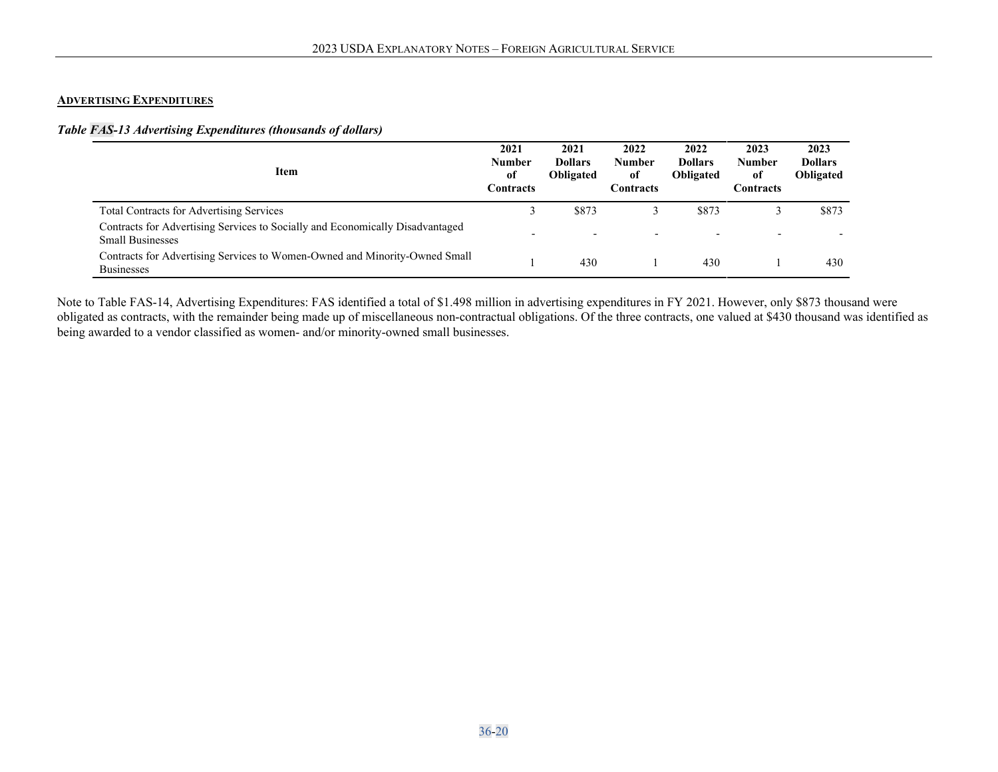#### **ADVERTISING EXPENDITURES**

## *Table FAS-13 Advertising Expenditures (thousands of dollars)*

| Item                                                                                                     | 2021<br><b>Number</b><br>of<br><b>Contracts</b> | 2021<br><b>Dollars</b><br><b>Obligated</b> | 2022<br>Number<br>of<br>Contracts | 2022<br><b>Dollars</b><br><b>Obligated</b> | 2023<br>Number<br>of<br>Contracts | 2023<br><b>Dollars</b><br>Obligated |
|----------------------------------------------------------------------------------------------------------|-------------------------------------------------|--------------------------------------------|-----------------------------------|--------------------------------------------|-----------------------------------|-------------------------------------|
| <b>Total Contracts for Advertising Services</b>                                                          |                                                 | \$873                                      |                                   | \$873                                      |                                   | \$873                               |
| Contracts for Advertising Services to Socially and Economically Disadvantaged<br><b>Small Businesses</b> |                                                 |                                            |                                   |                                            |                                   |                                     |
| Contracts for Advertising Services to Women-Owned and Minority-Owned Small<br><b>Businesses</b>          |                                                 | 430                                        |                                   | 430                                        |                                   | 430                                 |

<span id="page-19-0"></span>Note to Table FAS-14, Advertising Expenditures: FAS identified a total of \$1.498 million in advertising expenditures in FY 2021. However, only \$873 thousand were obligated as contracts, with the remainder being made up of miscellaneous non-contractual obligations. Of the three contracts, one valued at \$430 thousand was identified as being awarded to a vendor classified as women- and/or minority-owned small businesses.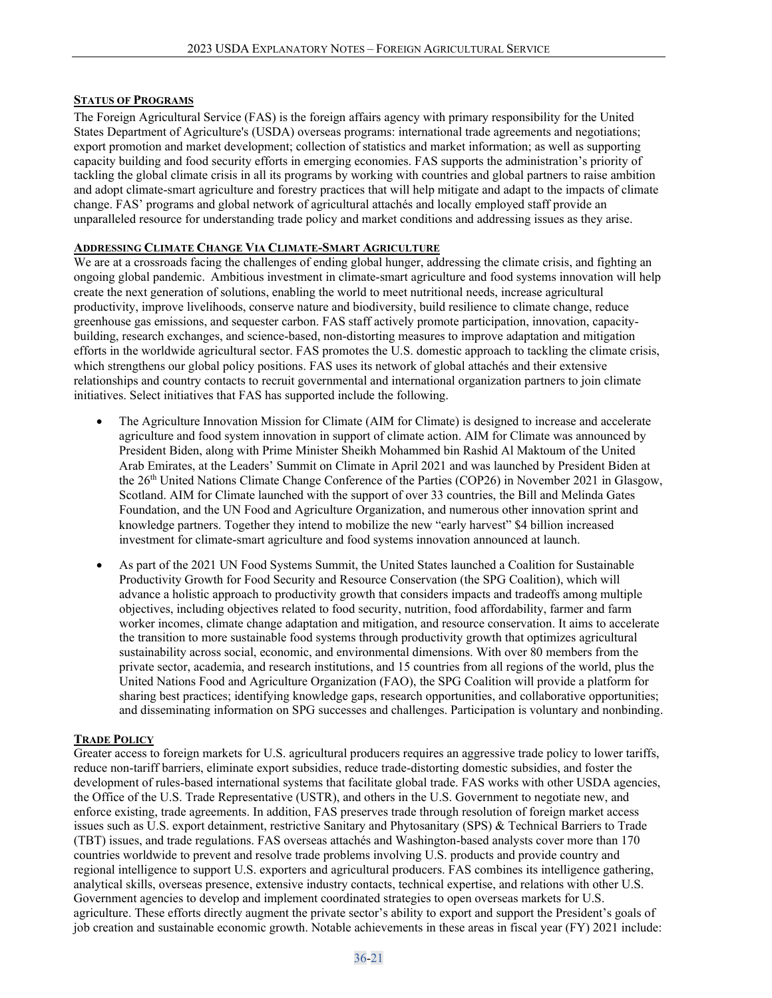#### <span id="page-20-0"></span>**STATUS OF PROGRAMS**

The Foreign Agricultural Service (FAS) is the foreign affairs agency with primary responsibility for the United States Department of Agriculture's (USDA) overseas programs: international trade agreements and negotiations; export promotion and market development; collection of statistics and market information; as well as supporting capacity building and food security efforts in emerging economies. FAS supports the administration's priority of tackling the global climate crisis in all its programs by working with countries and global partners to raise ambition and adopt climate-smart agriculture and forestry practices that will help mitigate and adapt to the impacts of climate change. FAS' programs and global network of agricultural attachés and locally employed staff provide an unparalleled resource for understanding trade policy and market conditions and addressing issues as they arise.

### **ADDRESSING CLIMATE CHANGE VIA CLIMATE-SMART AGRICULTURE**

We are at a crossroads facing the challenges of ending global hunger, addressing the climate crisis, and fighting an ongoing global pandemic.  Ambitious investment in climate-smart agriculture and food systems innovation will help create the next generation of solutions, enabling the world to meet nutritional needs, increase agricultural productivity, improve livelihoods, conserve nature and biodiversity, build resilience to climate change, reduce greenhouse gas emissions, and sequester carbon. FAS staff actively promote participation, innovation, capacitybuilding, research exchanges, and science-based, non-distorting measures to improve adaptation and mitigation efforts in the worldwide agricultural sector. FAS promotes the U.S. domestic approach to tackling the climate crisis, which strengthens our global policy positions. FAS uses its network of global attachés and their extensive relationships and country contacts to recruit governmental and international organization partners to join climate initiatives. Select initiatives that FAS has supported include the following.

- The Agriculture Innovation Mission for Climate (AIM for Climate) is designed to increase and accelerate agriculture and food system innovation in support of climate action. AIM for Climate was announced by President Biden, along with Prime Minister Sheikh Mohammed bin Rashid Al Maktoum of the United Arab Emirates, at the Leaders' Summit on Climate in April 2021 and was launched by President Biden at the 26<sup>th</sup> United Nations Climate Change Conference of the Parties (COP26) in November 2021 in Glasgow, Scotland. AIM for Climate launched with the support of over 33 countries, the Bill and Melinda Gates Foundation, and the UN Food and Agriculture Organization, and numerous other innovation sprint and knowledge partners. Together they intend to mobilize the new "early harvest" \$4 billion increased investment for climate-smart agriculture and food systems innovation announced at launch.
- As part of the [2021 UN Food Systems Summit,](https://www.usda.gov/oce/sustainability/un-summit) the United States launched a Coalition for Sustainable Productivity Growth for Food Security and Resource Conservation (the SPG Coalition), which will advance a holistic approach to productivity growth that considers impacts and tradeoffs among multiple objectives, including objectives related to food security, nutrition, food affordability, farmer and farm worker incomes, climate change adaptation and mitigation, and resource conservation. It aims to accelerate the transition to more sustainable food systems through productivity growth that optimizes agricultural sustainability across social, economic, and environmental dimensions. With over 80 members from the private sector, academia, and research institutions, and 15 countries from all regions of the world, plus the United Nations Food and Agriculture Organization (FAO), the SPG Coalition will provide a platform for sharing best practices; identifying knowledge gaps, research opportunities, and collaborative opportunities; and disseminating information on SPG successes and challenges. Participation is voluntary and nonbinding.

#### **TRADE POLICY**

Greater access to foreign markets for U.S. agricultural producers requires an aggressive trade policy to lower tariffs, reduce non-tariff barriers, eliminate export subsidies, reduce trade-distorting domestic subsidies, and foster the development of rules-based international systems that facilitate global trade. FAS works with other USDA agencies, the Office of the U.S. Trade Representative (USTR), and others in the U.S. Government to negotiate new, and enforce existing, trade agreements. In addition, FAS preserves trade through resolution of foreign market access issues such as U.S. export detainment, restrictive Sanitary and Phytosanitary (SPS) & Technical Barriers to Trade (TBT) issues, and trade regulations. FAS overseas attachés and Washington-based analysts cover more than 170 countries worldwide to prevent and resolve trade problems involving U.S. products and provide country and regional intelligence to support U.S. exporters and agricultural producers. FAS combines its intelligence gathering, analytical skills, overseas presence, extensive industry contacts, technical expertise, and relations with other U.S. Government agencies to develop and implement coordinated strategies to open overseas markets for U.S. agriculture. These efforts directly augment the private sector's ability to export and support the President's goals of job creation and sustainable economic growth. Notable achievements in these areas in fiscal year (FY) 2021 include: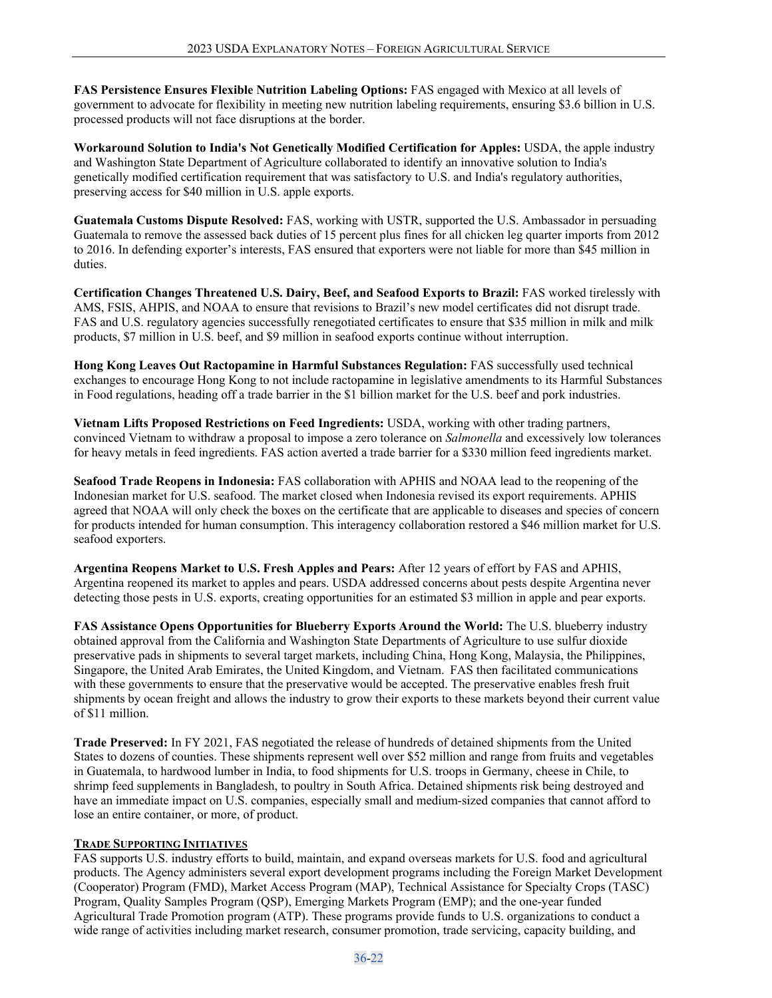**FAS Persistence Ensures Flexible Nutrition Labeling Options:** FAS engaged with Mexico at all levels of government to advocate for flexibility in meeting new nutrition labeling requirements, ensuring \$3.6 billion in U.S. processed products will not face disruptions at the border.

**Workaround Solution to India's Not Genetically Modified Certification for Apples:** USDA, the apple industry and Washington State Department of Agriculture collaborated to identify an innovative solution to India's genetically modified certification requirement that was satisfactory to U.S. and India's regulatory authorities, preserving access for \$40 million in U.S. apple exports.

**Guatemala Customs Dispute Resolved:** FAS, working with USTR, supported the U.S. Ambassador in persuading Guatemala to remove the assessed back duties of 15 percent plus fines for all chicken leg quarter imports from 2012 to 2016. In defending exporter's interests, FAS ensured that exporters were not liable for more than \$45 million in duties.

**Certification Changes Threatened U.S. Dairy, Beef, and Seafood Exports to Brazil:** FAS worked tirelessly with AMS, FSIS, AHPIS, and NOAA to ensure that revisions to Brazil's new model certificates did not disrupt trade. FAS and U.S. regulatory agencies successfully renegotiated certificates to ensure that \$35 million in milk and milk products, \$7 million in U.S. beef, and \$9 million in seafood exports continue without interruption.

**Hong Kong Leaves Out Ractopamine in Harmful Substances Regulation:** FAS successfully used technical exchanges to encourage Hong Kong to not include ractopamine in legislative amendments to its Harmful Substances in Food regulations, heading off a trade barrier in the \$1 billion market for the U.S. beef and pork industries.

**Vietnam Lifts Proposed Restrictions on Feed Ingredients:** USDA, working with other trading partners, convinced Vietnam to withdraw a proposal to impose a zero tolerance on *Salmonella* and excessively low tolerances for heavy metals in feed ingredients. FAS action averted a trade barrier for a \$330 million feed ingredients market.

**Seafood Trade Reopens in Indonesia:** FAS collaboration with APHIS and NOAA lead to the reopening of the Indonesian market for U.S. seafood. The market closed when Indonesia revised its export requirements. APHIS agreed that NOAA will only check the boxes on the certificate that are applicable to diseases and species of concern for products intended for human consumption. This interagency collaboration restored a \$46 million market for U.S. seafood exporters.

**Argentina Reopens Market to U.S. Fresh Apples and Pears:** After 12 years of effort by FAS and APHIS, Argentina reopened its market to apples and pears. USDA addressed concerns about pests despite Argentina never detecting those pests in U.S. exports, creating opportunities for an estimated \$3 million in apple and pear exports.

**FAS Assistance Opens Opportunities for Blueberry Exports Around the World:** The U.S. blueberry industry obtained approval from the California and Washington State Departments of Agriculture to use sulfur dioxide preservative pads in shipments to several target markets, including China, Hong Kong, Malaysia, the Philippines, Singapore, the United Arab Emirates, the United Kingdom, and Vietnam.  FAS then facilitated communications with these governments to ensure that the preservative would be accepted. The preservative enables fresh fruit shipments by ocean freight and allows the industry to grow their exports to these markets beyond their current value of \$11 million.

**Trade Preserved:** In FY 2021, FAS negotiated the release of hundreds of detained shipments from the United States to dozens of counties. These shipments represent well over \$52 million and range from fruits and vegetables in Guatemala, to hardwood lumber in India, to food shipments for U.S. troops in Germany, cheese in Chile, to shrimp feed supplements in Bangladesh, to poultry in South Africa. Detained shipments risk being destroyed and have an immediate impact on U.S. companies, especially small and medium-sized companies that cannot afford to lose an entire container, or more, of product.

#### **TRADE SUPPORTING INITIATIVES**

FAS supports U.S. industry efforts to build, maintain, and expand overseas markets for U.S. food and agricultural products. The Agency administers several export development programs including the Foreign Market Development (Cooperator) Program (FMD), Market Access Program (MAP), Technical Assistance for Specialty Crops (TASC) Program, Quality Samples Program (QSP), Emerging Markets Program (EMP); and the one-year funded Agricultural Trade Promotion program (ATP). These programs provide funds to U.S. organizations to conduct a wide range of activities including market research, consumer promotion, trade servicing, capacity building, and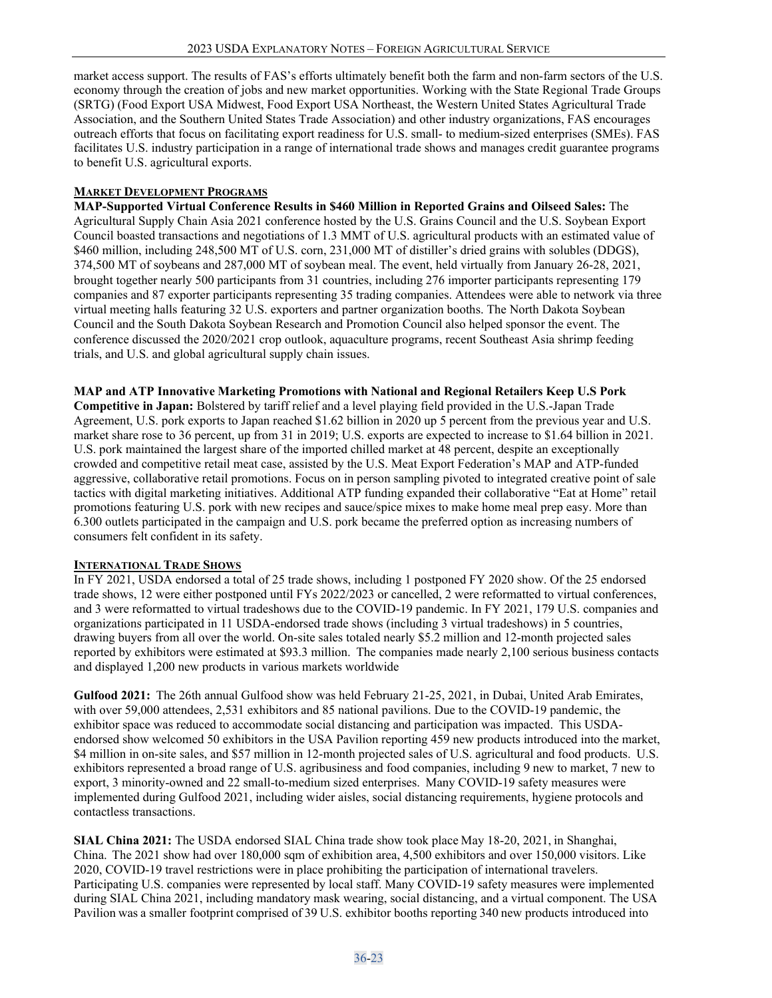market access support. The results of FAS's efforts ultimately benefit both the farm and non-farm sectors of the U.S. economy through the creation of jobs and new market opportunities. Working with the State Regional Trade Groups (SRTG) (Food Export USA Midwest, Food Export USA Northeast, the Western United States Agricultural Trade Association, and the Southern United States Trade Association) and other industry organizations, FAS encourages outreach efforts that focus on facilitating export readiness for U.S. small- to medium-sized enterprises (SMEs). FAS facilitates U.S. industry participation in a range of international trade shows and manages credit guarantee programs to benefit U.S. agricultural exports.

#### **MARKET DEVELOPMENT PROGRAMS**

**MAP-Supported Virtual Conference Results in \$460 Million in Reported Grains and Oilseed Sales:** The Agricultural Supply Chain Asia 2021 conference hosted by the U.S. Grains Council and the U.S. Soybean Export Council boasted transactions and negotiations of 1.3 MMT of U.S. agricultural products with an estimated value of \$460 million, including 248,500 MT of U.S. corn, 231,000 MT of distiller's dried grains with solubles (DDGS), 374,500 MT of soybeans and 287,000 MT of soybean meal. The event, held virtually from January 26-28, 2021, brought together nearly 500 participants from 31 countries, including 276 importer participants representing 179 companies and 87 exporter participants representing 35 trading companies. Attendees were able to network via three virtual meeting halls featuring 32 U.S. exporters and partner organization booths. The North Dakota Soybean Council and the South Dakota Soybean Research and Promotion Council also helped sponsor the event. The conference discussed the 2020/2021 crop outlook, aquaculture programs, recent Southeast Asia shrimp feeding trials, and U.S. and global agricultural supply chain issues.

#### **MAP and ATP Innovative Marketing Promotions with National and Regional Retailers Keep U.S Pork**

**Competitive in Japan:** Bolstered by tariff relief and a level playing field provided in the U.S.-Japan Trade Agreement, U.S. pork exports to Japan reached \$1.62 billion in 2020 up 5 percent from the previous year and U.S. market share rose to 36 percent, up from 31 in 2019; U.S. exports are expected to increase to \$1.64 billion in 2021. U.S. pork maintained the largest share of the imported chilled market at 48 percent, despite an exceptionally crowded and competitive retail meat case, assisted by the U.S. Meat Export Federation's MAP and ATP-funded aggressive, collaborative retail promotions. Focus on in person sampling pivoted to integrated creative point of sale tactics with digital marketing initiatives. Additional ATP funding expanded their collaborative "Eat at Home" retail promotions featuring U.S. pork with new recipes and sauce/spice mixes to make home meal prep easy. More than 6.300 outlets participated in the campaign and U.S. pork became the preferred option as increasing numbers of consumers felt confident in its safety.

#### **INTERNATIONAL TRADE SHOWS**

In FY 2021, USDA endorsed a total of 25 trade shows, including 1 postponed FY 2020 show. Of the 25 endorsed trade shows, 12 were either postponed until FYs 2022/2023 or cancelled, 2 were reformatted to virtual conferences, and 3 were reformatted to virtual tradeshows due to the COVID-19 pandemic. In FY 2021, 179 U.S. companies and organizations participated in 11 USDA-endorsed trade shows (including 3 virtual tradeshows) in 5 countries, drawing buyers from all over the world. On-site sales totaled nearly \$5.2 million and 12-month projected sales reported by exhibitors were estimated at \$93.3 million.  The companies made nearly 2,100 serious business contacts and displayed 1,200 new products in various markets worldwide

Gulfood 2021: The 26th annual Gulfood show was held February 21-25, 2021, in Dubai, United Arab Emirates, with over 59,000 attendees, 2,531 exhibitors and 85 national pavilions. Due to the COVID-19 pandemic, the exhibitor space was reduced to accommodate social distancing and participation was impacted.  This USDAendorsed show welcomed 50 exhibitors in the USA Pavilion reporting 459 new products introduced into the market, \$4 million in on-site sales, and \$57 million in 12-month projected sales of U.S. agricultural and food products. U.S. exhibitors represented a broad range of U.S. agribusiness and food companies, including 9 new to market, 7 new to export, 3 minority-owned and 22 small-to-medium sized enterprises.  Many COVID-19 safety measures were implemented during Gulfood 2021, including wider aisles, social distancing requirements, hygiene protocols and contactless transactions.

**SIAL China 2021:** The USDA endorsed SIAL China trade show took place May 18-20, 2021, in Shanghai, China.  The 2021 show had over 180,000 sqm of exhibition area, 4,500 exhibitors and over 150,000 visitors. Like 2020, COVID-19 travel restrictions were in place prohibiting the participation of international travelers. Participating U.S. companies were represented by local staff. Many COVID-19 safety measures were implemented during SIAL China 2021, including mandatory mask wearing, social distancing, and a virtual component. The USA Pavilion was a smaller footprint comprised of 39 U.S. exhibitor booths reporting 340 new products introduced into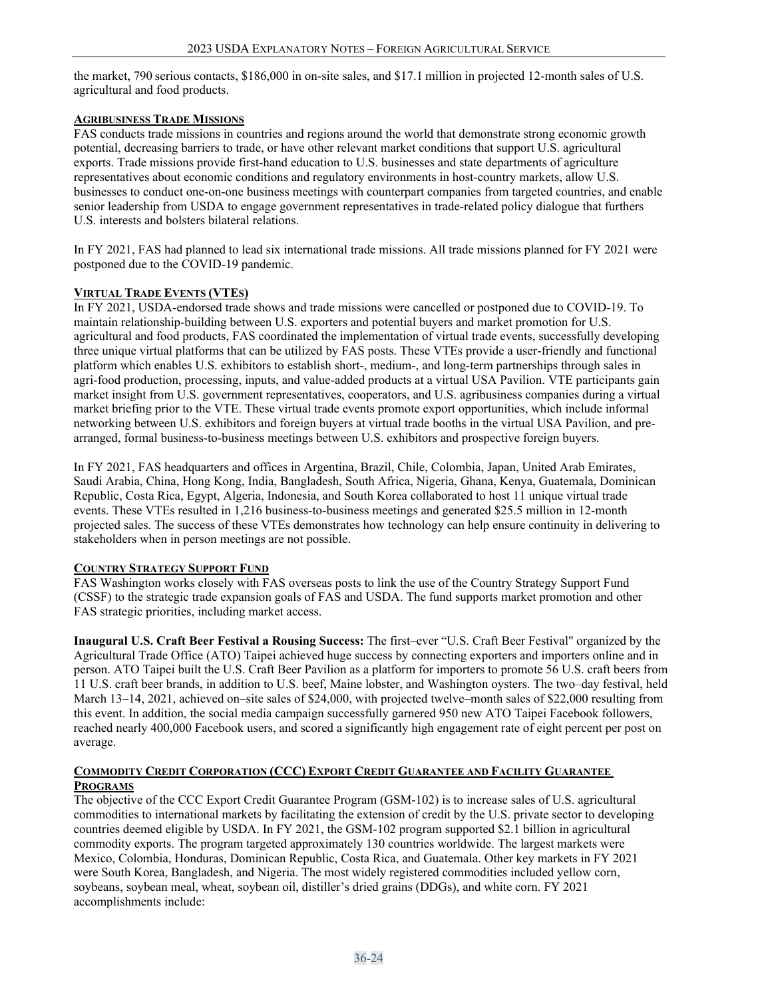the market, 790 serious contacts, \$186,000 in on-site sales, and \$17.1 million in projected 12-month sales of U.S. agricultural and food products.

#### **AGRIBUSINESS TRADE MISSIONS**

FAS conducts trade missions in countries and regions around the world that demonstrate strong economic growth potential, decreasing barriers to trade, or have other relevant market conditions that support U.S. agricultural exports. Trade missions provide first-hand education to U.S. businesses and state departments of agriculture representatives about economic conditions and regulatory environments in host-country markets, allow U.S. businesses to conduct one-on-one business meetings with counterpart companies from targeted countries, and enable senior leadership from USDA to engage government representatives in trade-related policy dialogue that furthers U.S. interests and bolsters bilateral relations.

In FY 2021, FAS had planned to lead six international trade missions. All trade missions planned for FY 2021 were postponed due to the COVID-19 pandemic.

## **VIRTUAL TRADE EVENTS (VTES)**

In FY 2021, USDA-endorsed trade shows and trade missions were cancelled or postponed due to COVID-19. To maintain relationship-building between U.S. exporters and potential buyers and market promotion for U.S. agricultural and food products, FAS coordinated the implementation of virtual trade events, successfully developing three unique virtual platforms that can be utilized by FAS posts. These VTEs provide a user-friendly and functional platform which enables U.S. exhibitors to establish short-, medium-, and long-term partnerships through sales in agri-food production, processing, inputs, and value-added products at a virtual USA Pavilion. VTE participants gain market insight from U.S. government representatives, cooperators, and U.S. agribusiness companies during a virtual market briefing prior to the VTE. These virtual trade events promote export opportunities, which include informal networking between U.S. exhibitors and foreign buyers at virtual trade booths in the virtual USA Pavilion, and prearranged, formal business-to-business meetings between U.S. exhibitors and prospective foreign buyers.

In FY 2021, FAS headquarters and offices in Argentina, Brazil, Chile, Colombia, Japan, United Arab Emirates, Saudi Arabia, China, Hong Kong, India, Bangladesh, South Africa, Nigeria, Ghana, Kenya, Guatemala, Dominican Republic, Costa Rica, Egypt, Algeria, Indonesia, and South Korea collaborated to host 11 unique virtual trade events. These VTEs resulted in 1,216 business-to-business meetings and generated \$25.5 million in 12-month projected sales. The success of these VTEs demonstrates how technology can help ensure continuity in delivering to stakeholders when in person meetings are not possible.

# **COUNTRY STRATEGY SUPPORT FUND**

FAS Washington works closely with FAS overseas posts to link the use of the Country Strategy Support Fund (CSSF) to the strategic trade expansion goals of FAS and USDA. The fund supports market promotion and other FAS strategic priorities, including market access.

**Inaugural U.S. Craft Beer Festival a Rousing Success:** The first–ever "U.S. Craft Beer Festival" organized by the Agricultural Trade Office (ATO) Taipei achieved huge success by connecting exporters and importers online and in person. ATO Taipei built the U.S. Craft Beer Pavilion as a platform for importers to promote 56 U.S. craft beers from 11 U.S. craft beer brands, in addition to U.S. beef, Maine lobster, and Washington oysters. The two–day festival, held March 13–14, 2021, achieved on–site sales of \$24,000, with projected twelve–month sales of \$22,000 resulting from this event. In addition, the social media campaign successfully garnered 950 new ATO Taipei Facebook followers, reached nearly 400,000 Facebook users, and scored a significantly high engagement rate of eight percent per post on average.

## **COMMODITY CREDIT CORPORATION (CCC) EXPORT CREDIT GUARANTEE AND FACILITY GUARANTEE PROGRAMS**

The objective of the CCC Export Credit Guarantee Program (GSM-102) is to increase sales of U.S. agricultural commodities to international markets by facilitating the extension of credit by the U.S. private sector to developing countries deemed eligible by USDA. In FY 2021, the GSM-102 program supported \$2.1 billion in agricultural commodity exports. The program targeted approximately 130 countries worldwide. The largest markets were Mexico, Colombia, Honduras, Dominican Republic, Costa Rica, and Guatemala. Other key markets in FY 2021 were South Korea, Bangladesh, and Nigeria. The most widely registered commodities included yellow corn, soybeans, soybean meal, wheat, soybean oil, distiller's dried grains (DDGs), and white corn. FY 2021 accomplishments include: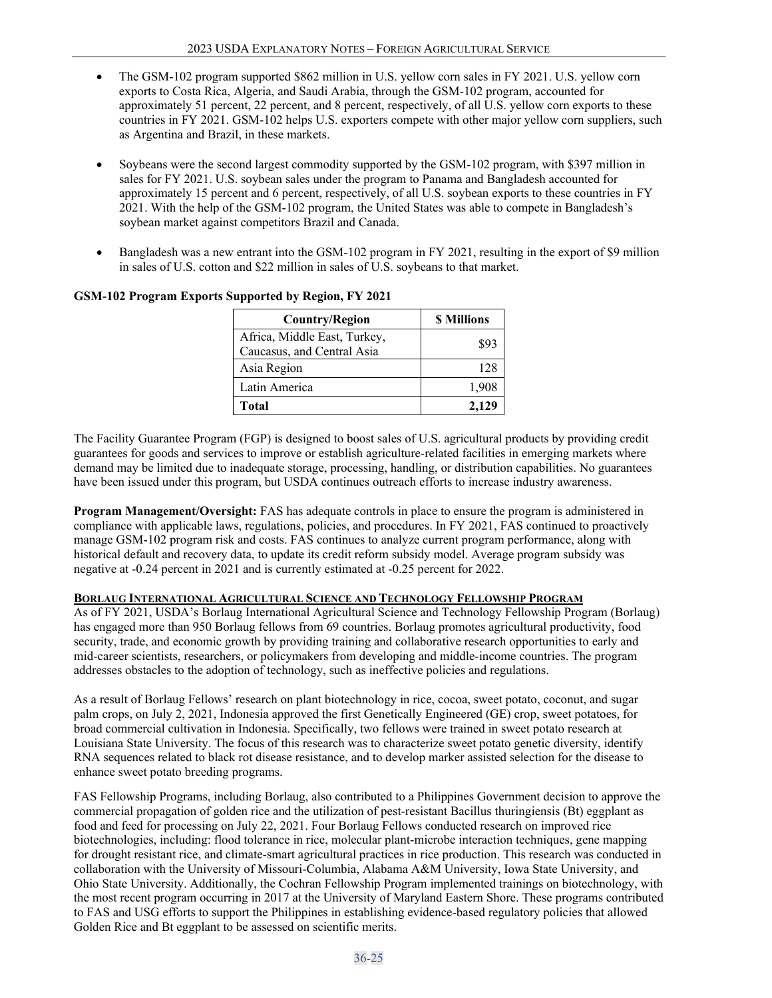- The GSM-102 program supported \$862 million in U.S. yellow corn sales in FY 2021. U.S. yellow corn exports to Costa Rica, Algeria, and Saudi Arabia, through the GSM-102 program, accounted for approximately 51 percent, 22 percent, and 8 percent, respectively, of all U.S. yellow corn exports to these countries in FY 2021. GSM-102 helps U.S. exporters compete with other major yellow corn suppliers, such as Argentina and Brazil, in these markets.
- Soybeans were the second largest commodity supported by the GSM-102 program, with \$397 million in sales for FY 2021. U.S. soybean sales under the program to Panama and Bangladesh accounted for approximately 15 percent and 6 percent, respectively, of all U.S. soybean exports to these countries in FY 2021. With the help of the GSM-102 program, the United States was able to compete in Bangladesh's soybean market against competitors Brazil and Canada.
- Bangladesh was a new entrant into the GSM-102 program in FY 2021, resulting in the export of \$9 million in sales of U.S. cotton and \$22 million in sales of U.S. soybeans to that market.

| <b>Country/Region</b>                                      | <b>S</b> Millions |
|------------------------------------------------------------|-------------------|
| Africa, Middle East, Turkey,<br>Caucasus, and Central Asia | \$93              |
| Asia Region                                                | 128               |
| Latin America                                              | 1,908             |
| Total                                                      | 2,129             |

# **GSM-102 Program Exports Supported by Region, FY 2021**

The Facility Guarantee Program (FGP) is designed to boost sales of U.S. agricultural products by providing credit guarantees for goods and services to improve or establish agriculture-related facilities in emerging markets where demand may be limited due to inadequate storage, processing, handling, or distribution capabilities. No guarantees have been issued under this program, but USDA continues outreach efforts to increase industry awareness.

**Program Management/Oversight:** FAS has adequate controls in place to ensure the program is administered in compliance with applicable laws, regulations, policies, and procedures. In FY 2021, FAS continued to proactively manage GSM-102 program risk and costs. FAS continues to analyze current program performance, along with historical default and recovery data, to update its credit reform subsidy model. Average program subsidy was negative at -0.24 percent in 2021 and is currently estimated at -0.25 percent for 2022.

#### **BORLAUG INTERNATIONAL AGRICULTURAL SCIENCE AND TECHNOLOGY FELLOWSHIP PROGRAM**

As of FY 2021, USDA's Borlaug International Agricultural Science and Technology Fellowship Program (Borlaug) has engaged more than 950 Borlaug fellows from 69 countries. Borlaug promotes agricultural productivity, food security, trade, and economic growth by providing training and collaborative research opportunities to early and mid-career scientists, researchers, or policymakers from developing and middle-income countries. The program addresses obstacles to the adoption of technology, such as ineffective policies and regulations.

As a result of Borlaug Fellows' research on plant biotechnology in rice, cocoa, sweet potato, coconut, and sugar palm crops, on July 2, 2021, Indonesia approved the first Genetically Engineered (GE) crop, sweet potatoes, for broad commercial cultivation in Indonesia. Specifically, two fellows were trained in sweet potato research at Louisiana State University. The focus of this research was to characterize sweet potato genetic diversity, identify RNA sequences related to black rot disease resistance, and to develop marker assisted selection for the disease to enhance sweet potato breeding programs.

FAS Fellowship Programs, including Borlaug, also contributed to a Philippines Government decision to approve the commercial propagation of golden rice and the utilization of pest-resistant Bacillus thuringiensis (Bt) eggplant as food and feed for processing on July 22, 2021. Four Borlaug Fellows conducted research on improved rice biotechnologies, including: flood tolerance in rice, molecular plant-microbe interaction techniques, gene mapping for drought resistant rice, and climate-smart agricultural practices in rice production. This research was conducted in collaboration with the University of Missouri-Columbia, Alabama A&M University, Iowa State University, and Ohio State University. Additionally, the Cochran Fellowship Program implemented trainings on biotechnology, with the most recent program occurring in 2017 at the University of Maryland Eastern Shore. These programs contributed to FAS and USG efforts to support the Philippines in establishing evidence-based regulatory policies that allowed Golden Rice and Bt eggplant to be assessed on scientific merits.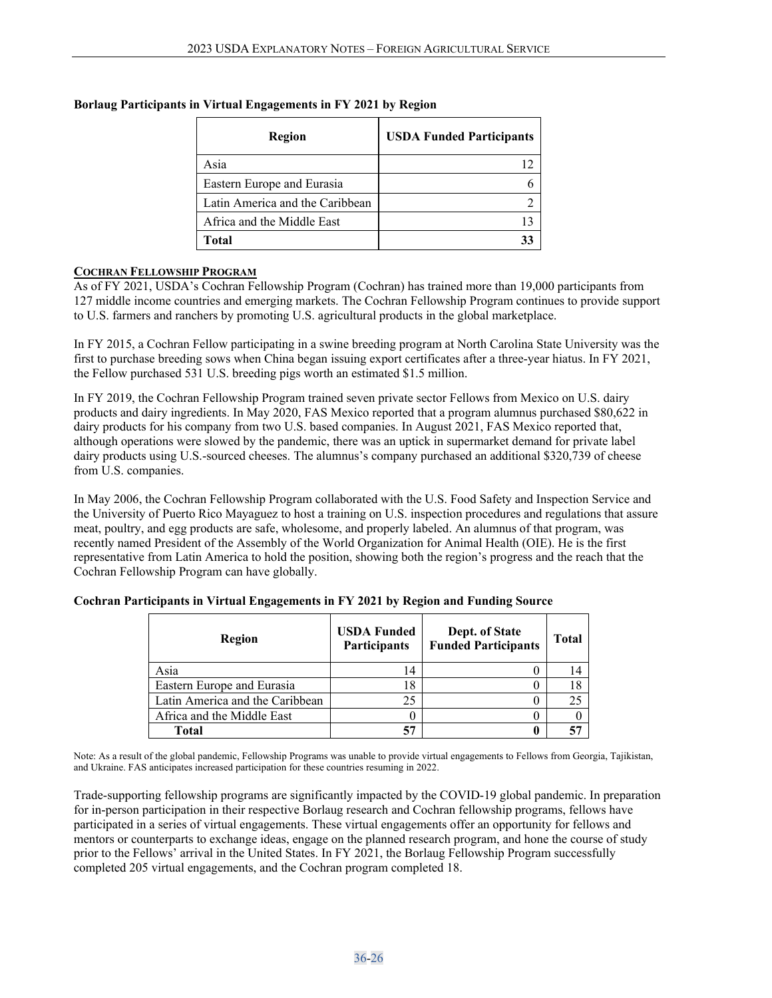| Region                          | <b>USDA Funded Participants</b> |
|---------------------------------|---------------------------------|
| Asia                            |                                 |
| Eastern Europe and Eurasia      |                                 |
| Latin America and the Caribbean |                                 |
| Africa and the Middle East      |                                 |
| Total                           |                                 |

## **Borlaug Participants in Virtual Engagements in FY 2021 by Region**

#### **COCHRAN FELLOWSHIP PROGRAM**

As of FY 2021, USDA's Cochran Fellowship Program (Cochran) has trained more than 19,000 participants from 127 middle income countries and emerging markets. The Cochran Fellowship Program continues to provide support to U.S. farmers and ranchers by promoting U.S. agricultural products in the global marketplace.

In FY 2015, a Cochran Fellow participating in a swine breeding program at North Carolina State University was the first to purchase breeding sows when China began issuing export certificates after a three-year hiatus. In FY 2021, the Fellow purchased 531 U.S. breeding pigs worth an estimated \$1.5 million.

In FY 2019, the Cochran Fellowship Program trained seven private sector Fellows from Mexico on U.S. dairy products and dairy ingredients. In May 2020, FAS Mexico reported that a program alumnus purchased \$80,622 in dairy products for his company from two U.S. based companies. In August 2021, FAS Mexico reported that, although operations were slowed by the pandemic, there was an uptick in supermarket demand for private label dairy products using U.S.-sourced cheeses. The alumnus's company purchased an additional \$320,739 of cheese from U.S. companies.

In May 2006, the Cochran Fellowship Program collaborated with the U.S. Food Safety and Inspection Service and the University of Puerto Rico Mayaguez to host a training on U.S. inspection procedures and regulations that assure meat, poultry, and egg products are safe, wholesome, and properly labeled. An alumnus of that program, was recently named President of the Assembly of the World Organization for Animal Health (OIE). He is the first representative from Latin America to hold the position, showing both the region's progress and the reach that the Cochran Fellowship Program can have globally.

| Region                          | <b>USDA Funded</b><br>Participants | Dept. of State<br><b>Funded Participants</b> | <b>Total</b> |
|---------------------------------|------------------------------------|----------------------------------------------|--------------|
| Asia                            | 14                                 |                                              |              |
| Eastern Europe and Eurasia      | 18                                 |                                              |              |
| Latin America and the Caribbean | 25                                 |                                              | 25           |
| Africa and the Middle East      |                                    |                                              |              |
| Total                           | 57                                 |                                              |              |

#### **Cochran Participants in Virtual Engagements in FY 2021 by Region and Funding Source**

Note: As a result of the global pandemic, Fellowship Programs was unable to provide virtual engagements to Fellows from Georgia, Tajikistan, and Ukraine. FAS anticipates increased participation for these countries resuming in 2022.

Trade-supporting fellowship programs are significantly impacted by the COVID-19 global pandemic. In preparation for in-person participation in their respective Borlaug research and Cochran fellowship programs, fellows have participated in a series of virtual engagements. These virtual engagements offer an opportunity for fellows and mentors or counterparts to exchange ideas, engage on the planned research program, and hone the course of study prior to the Fellows' arrival in the United States. In FY 2021, the Borlaug Fellowship Program successfully completed 205 virtual engagements, and the Cochran program completed 18.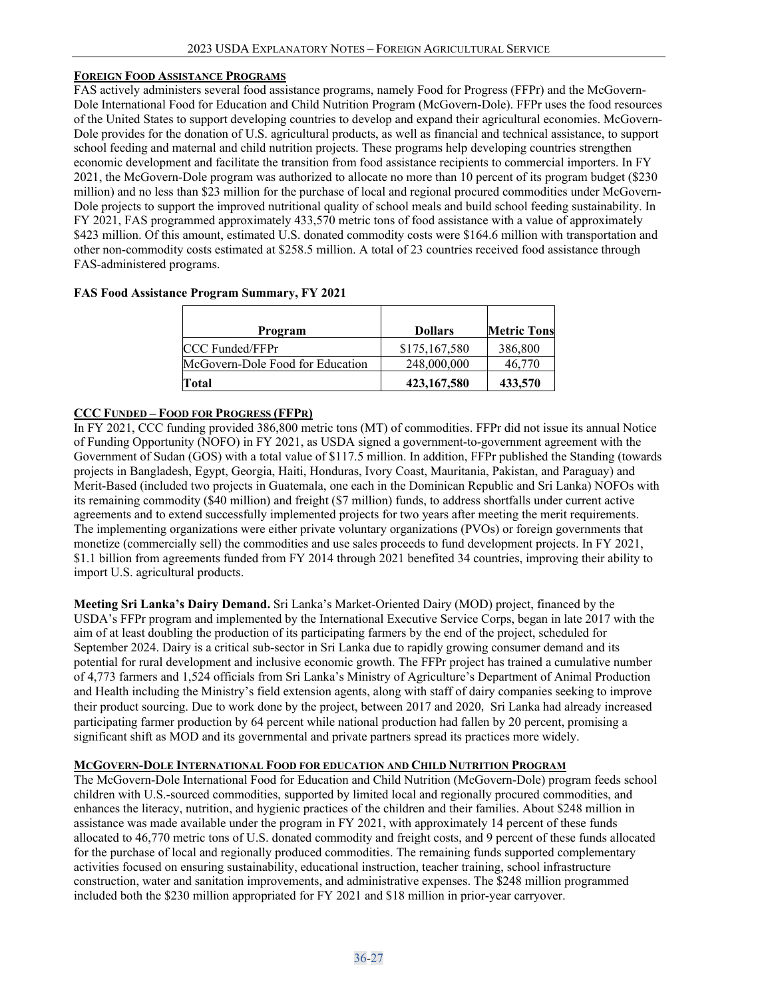#### **FOREIGN FOOD ASSISTANCE PROGRAMS**

FAS actively administers several food assistance programs, namely Food for Progress (FFPr) and the McGovern-Dole International Food for Education and Child Nutrition Program (McGovern-Dole). FFPr uses the food resources of the United States to support developing countries to develop and expand their agricultural economies. McGovern-Dole provides for the donation of U.S. agricultural products, as well as financial and technical assistance, to support school feeding and maternal and child nutrition projects. These programs help developing countries strengthen economic development and facilitate the transition from food assistance recipients to commercial importers. In FY 2021, the McGovern-Dole program was authorized to allocate no more than 10 percent of its program budget (\$230 million) and no less than \$23 million for the purchase of local and regional procured commodities under McGovern-Dole projects to support the improved nutritional quality of school meals and build school feeding sustainability. In FY 2021, FAS programmed approximately 433,570 metric tons of food assistance with a value of approximately \$423 million. Of this amount, estimated U.S. donated commodity costs were \$164.6 million with transportation and other non-commodity costs estimated at \$258.5 million. A total of 23 countries received food assistance through FAS-administered programs.

| $\frac{1}{2}$                    |                |                    |
|----------------------------------|----------------|--------------------|
|                                  |                |                    |
| Program                          | <b>Dollars</b> | <b>Metric Tons</b> |
| <b>CCC Funded/FFPr</b>           | \$175,167,580  | 386,800            |
| McGovern-Dole Food for Education | 248,000,000    | 46,770             |

#### **FAS Food Assistance Program Summary, FY 2021**

#### **CCC FUNDED – FOOD FOR PROGRESS (FFPR)**

In FY 2021, CCC funding provided 386,800 metric tons (MT) of commodities. FFPr did not issue its annual Notice of Funding Opportunity (NOFO) in FY 2021, as USDA signed a government-to-government agreement with the Government of Sudan (GOS) with a total value of \$117.5 million. In addition, FFPr published the Standing (towards projects in Bangladesh, Egypt, Georgia, Haiti, Honduras, Ivory Coast, Mauritania, Pakistan, and Paraguay) and Merit-Based (included two projects in Guatemala, one each in the Dominican Republic and Sri Lanka) NOFOs with its remaining commodity (\$40 million) and freight (\$7 million) funds, to address shortfalls under current active agreements and to extend successfully implemented projects for two years after meeting the merit requirements. The implementing organizations were either private voluntary organizations (PVOs) or foreign governments that monetize (commercially sell) the commodities and use sales proceeds to fund development projects. In FY 2021, \$1.1 billion from agreements funded from FY 2014 through 2021 benefited 34 countries, improving their ability to import U.S. agricultural products.

**Total 423,167,580 433,570**

**Meeting Sri Lanka's Dairy Demand.** Sri Lanka's Market-Oriented Dairy (MOD) project, financed by the USDA's FFPr program and implemented by the International Executive Service Corps, began in late 2017 with the aim of at least doubling the production of its participating farmers by the end of the project, scheduled for September 2024. Dairy is a critical sub-sector in Sri Lanka due to rapidly growing consumer demand and its potential for rural development and inclusive economic growth. The FFPr project has trained a cumulative number of 4,773 farmers and 1,524 officials from Sri Lanka's Ministry of Agriculture's Department of Animal Production and Health including the Ministry's field extension agents, along with staff of dairy companies seeking to improve their product sourcing. Due to work done by the project, between 2017 and 2020, Sri Lanka had already increased participating farmer production by 64 percent while national production had fallen by 20 percent, promising a significant shift as MOD and its governmental and private partners spread its practices more widely.

#### **MCGOVERN-DOLE INTERNATIONAL FOOD FOR EDUCATION AND CHILD NUTRITION PROGRAM**

The McGovern-Dole International Food for Education and Child Nutrition (McGovern-Dole) program feeds school children with U.S.-sourced commodities, supported by limited local and regionally procured commodities, and enhances the literacy, nutrition, and hygienic practices of the children and their families. About \$248 million in assistance was made available under the program in FY 2021, with approximately 14 percent of these funds allocated to 46,770 metric tons of U.S. donated commodity and freight costs, and 9 percent of these funds allocated for the purchase of local and regionally produced commodities. The remaining funds supported complementary activities focused on ensuring sustainability, educational instruction, teacher training, school infrastructure construction, water and sanitation improvements, and administrative expenses. The \$248 million programmed included both the \$230 million appropriated for FY 2021 and \$18 million in prior-year carryover.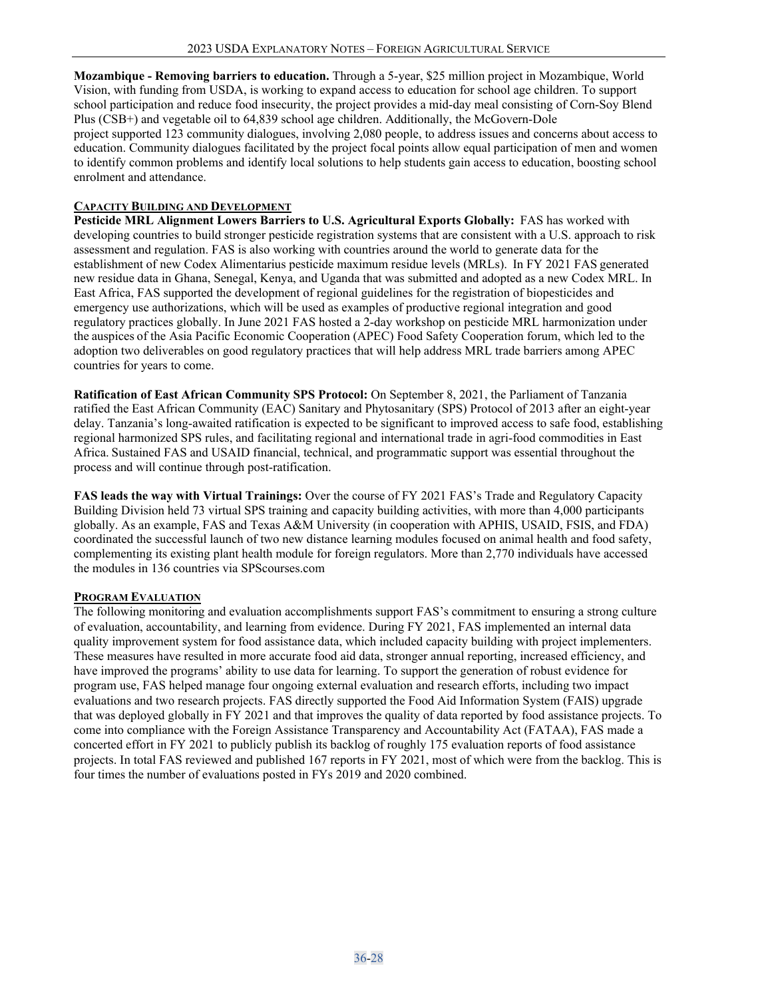**Mozambique - Removing barriers to education.** Through a 5-year, \$25 million project in Mozambique, World Vision, with funding from USDA, is working to expand access to education for school age children. To support school participation and reduce food insecurity, the project provides a mid-day meal consisting of Corn-Soy Blend Plus (CSB+) and vegetable oil to 64,839 school age children. Additionally, the McGovern-Dole project supported 123 community dialogues, involving 2,080 people, to address issues and concerns about access to education. Community dialogues facilitated by the project focal points allow equal participation of men and women to identify common problems and identify local solutions to help students gain access to education, boosting school enrolment and attendance.

### **CAPACITY BUILDING AND DEVELOPMENT**

**Pesticide MRL Alignment Lowers Barriers to U.S. Agricultural Exports Globally:** FAS has worked with developing countries to build stronger pesticide registration systems that are consistent with a U.S. approach to risk assessment and regulation. FAS is also working with countries around the world to generate data for the establishment of new Codex Alimentarius pesticide maximum residue levels (MRLs).  In FY 2021 FAS generated new residue data in Ghana, Senegal, Kenya, and Uganda that was submitted and adopted as a new Codex MRL. In East Africa, FAS supported the development of regional guidelines for the registration of biopesticides and emergency use authorizations, which will be used as examples of productive regional integration and good regulatory practices globally. In June 2021 FAS hosted a 2-day workshop on pesticide MRL harmonization under the auspices of the Asia Pacific Economic Cooperation (APEC) Food Safety Cooperation forum, which led to the adoption two deliverables on good regulatory practices that will help address MRL trade barriers among APEC countries for years to come.

**Ratification of East African Community SPS Protocol:** On September 8, 2021, the Parliament of Tanzania ratified the East African Community (EAC) Sanitary and Phytosanitary (SPS) Protocol of 2013 after an eight-year delay. Tanzania's long-awaited ratification is expected to be significant to improved access to safe food, establishing regional harmonized SPS rules, and facilitating regional and international trade in agri-food commodities in East Africa. Sustained FAS and USAID financial, technical, and programmatic support was essential throughout the process and will continue through post-ratification.

**FAS leads the way with Virtual Trainings:** Over the course of FY 2021 FAS's Trade and Regulatory Capacity Building Division held 73 virtual SPS training and capacity building activities, with more than 4,000 participants globally. As an example, FAS and Texas A&M University (in cooperation with APHIS, USAID, FSIS, and FDA) coordinated the successful launch of two new distance learning modules focused on animal health and food safety, complementing its existing plant health module for foreign regulators. More than 2,770 individuals have accessed the modules in 136 countries via SPScourses.com

#### **PROGRAM EVALUATION**

The following monitoring and evaluation accomplishments support FAS's commitment to ensuring a strong culture of evaluation, accountability, and learning from evidence. During FY 2021, FAS implemented an internal data quality improvement system for food assistance data, which included capacity building with project implementers. These measures have resulted in more accurate food aid data, stronger annual reporting, increased efficiency, and have improved the programs' ability to use data for learning. To support the generation of robust evidence for program use, FAS helped manage four ongoing external evaluation and research efforts, including two impact evaluations and two research projects. FAS directly supported the Food Aid Information System (FAIS) upgrade that was deployed globally in FY 2021 and that improves the quality of data reported by food assistance projects. To come into compliance with the Foreign Assistance Transparency and Accountability Act (FATAA), FAS made a concerted effort in FY 2021 to publicly publish its backlog of roughly 175 evaluation reports of food assistance projects. In total FAS reviewed and published 167 reports in FY 2021, most of which were from the backlog. This is four times the number of evaluations posted in FYs 2019 and 2020 combined.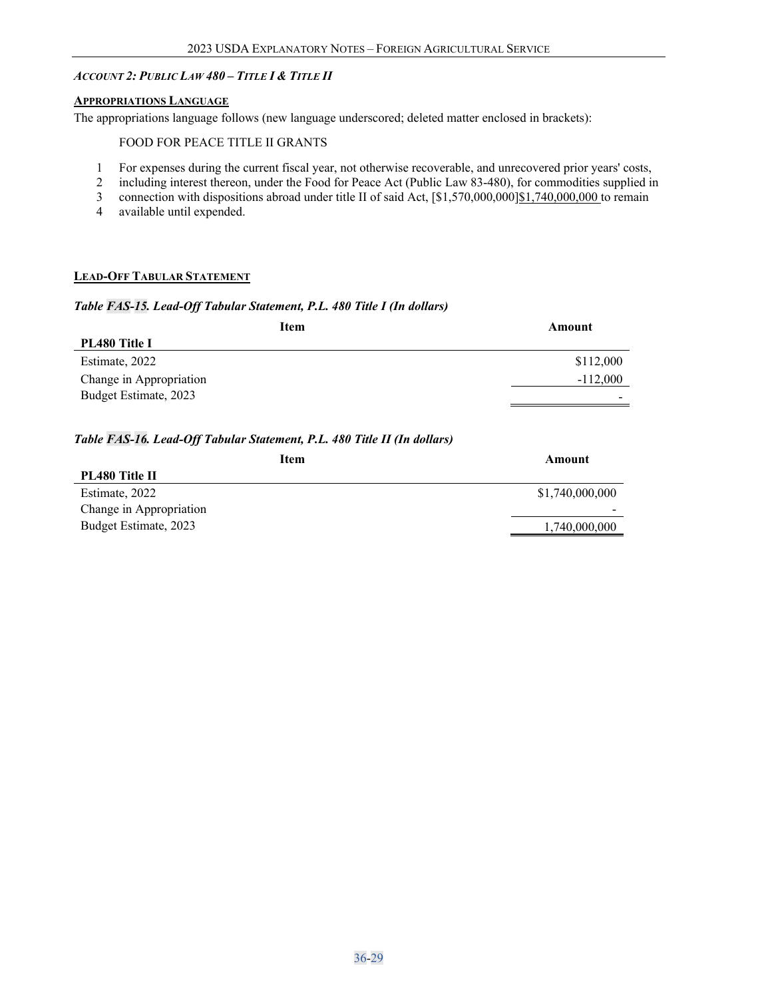## <span id="page-28-0"></span>*ACCOUNT 2: PUBLIC LAW 480 – TITLE I & TITLE II*

#### <span id="page-28-1"></span>**APPROPRIATIONS LANGUAGE**

The appropriations language follows (new language underscored; deleted matter enclosed in brackets):

#### FOOD FOR PEACE TITLE II GRANTS

- 1 For expenses during the current fiscal year, not otherwise recoverable, and unrecovered prior years' costs,
- 2 including interest thereon, under the Food for Peace Act (Public Law 83-480), for commodities supplied in
- 3 connection with dispositions abroad under title II of said Act,  $\frac{1}{31}$ , 570,000,000 $\frac{1}{31}$ , 740,000,000 to remain
- 4 available until expended.

#### <span id="page-28-2"></span>**LEAD-OFF TABULAR STATEMENT**

#### *Table FAS-15. Lead-Off Tabular Statement, P.L. 480 Title I (In dollars)*

| Item                    | Amount     |
|-------------------------|------------|
| PL480 Title I           |            |
| Estimate, 2022          | \$112,000  |
| Change in Appropriation | $-112,000$ |
| Budget Estimate, 2023   | -          |

#### *Table FAS-16. Lead-Off Tabular Statement, P.L. 480 Title II (In dollars)*

| Amount          |
|-----------------|
|                 |
| \$1,740,000,000 |
|                 |
| 1,740,000,000   |
|                 |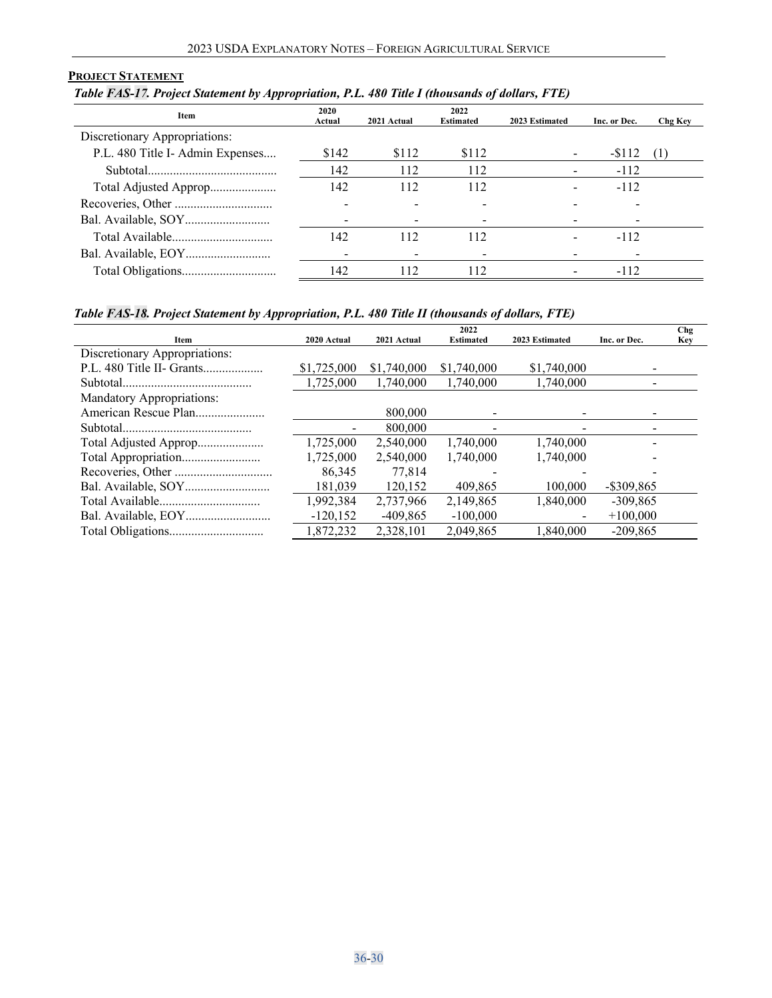### <span id="page-29-0"></span>**PROJECT STATEMENT**

*Table FAS-17. Project Statement by Appropriation, P.L. 480 Title I (thousands of dollars, FTE)*

| Item                             | 2020<br>Actual | 2021 Actual | 2022<br><b>Estimated</b> | 2023 Estimated | Inc. or Dec. | Chg Key |
|----------------------------------|----------------|-------------|--------------------------|----------------|--------------|---------|
| Discretionary Appropriations:    |                |             |                          |                |              |         |
| P.L. 480 Title I- Admin Expenses | \$142          | \$112       | \$112                    |                | $-112$       |         |
|                                  | 142            | 112         | 112                      |                | $-112$       |         |
| Total Adjusted Approp            | 142            | 112         | 112                      |                | $-112$       |         |
|                                  |                |             |                          |                |              |         |
|                                  |                |             |                          |                |              |         |
|                                  | 142            | 112         | 112                      |                | $-112$       |         |
|                                  |                |             |                          |                |              |         |
|                                  | 142            | 112         | 112                      |                | $-112$       |         |

## *Table FAS-18. Project Statement by Appropriation, P.L. 480 Title II (thousands of dollars, FTE)*

| $\sim$ , and the set of $\sim$ , and $\sim$ , and $\sim$ , and $\sim$ |             |             |                          |                |              |                          |
|-----------------------------------------------------------------------|-------------|-------------|--------------------------|----------------|--------------|--------------------------|
| Item                                                                  | 2020 Actual | 2021 Actual | 2022<br><b>Estimated</b> | 2023 Estimated | Inc. or Dec. | <b>Chg</b><br><b>Key</b> |
| Discretionary Appropriations:                                         |             |             |                          |                |              |                          |
| P.L. 480 Title II- Grants                                             | \$1,725,000 | \$1,740,000 | \$1,740,000              | \$1,740,000    |              |                          |
|                                                                       | 1,725,000   | 1,740,000   | 1,740,000                | 1,740,000      |              |                          |
| <b>Mandatory Appropriations:</b>                                      |             |             |                          |                |              |                          |
| American Rescue Plan                                                  |             | 800,000     |                          |                | -            |                          |
|                                                                       |             | 800,000     |                          |                |              |                          |
| Total Adjusted Approp                                                 | 1,725,000   | 2,540,000   | 1.740.000                | 1.740.000      |              |                          |
| Total Appropriation                                                   | 1,725,000   | 2,540,000   | 1,740,000                | 1.740.000      |              |                          |
|                                                                       | 86,345      | 77,814      |                          |                |              |                          |
|                                                                       | 181.039     | 120,152     | 409.865                  | 100,000        | -\$309.865   |                          |
|                                                                       | 1.992.384   | 2.737.966   | 2.149.865                | 1,840,000      | $-309.865$   |                          |
|                                                                       | $-120, 152$ | $-409,865$  | $-100,000$               |                | $+100,000$   |                          |
|                                                                       | 1,872,232   | 2.328.101   | 2.049.865                | 1,840,000      | $-209.865$   |                          |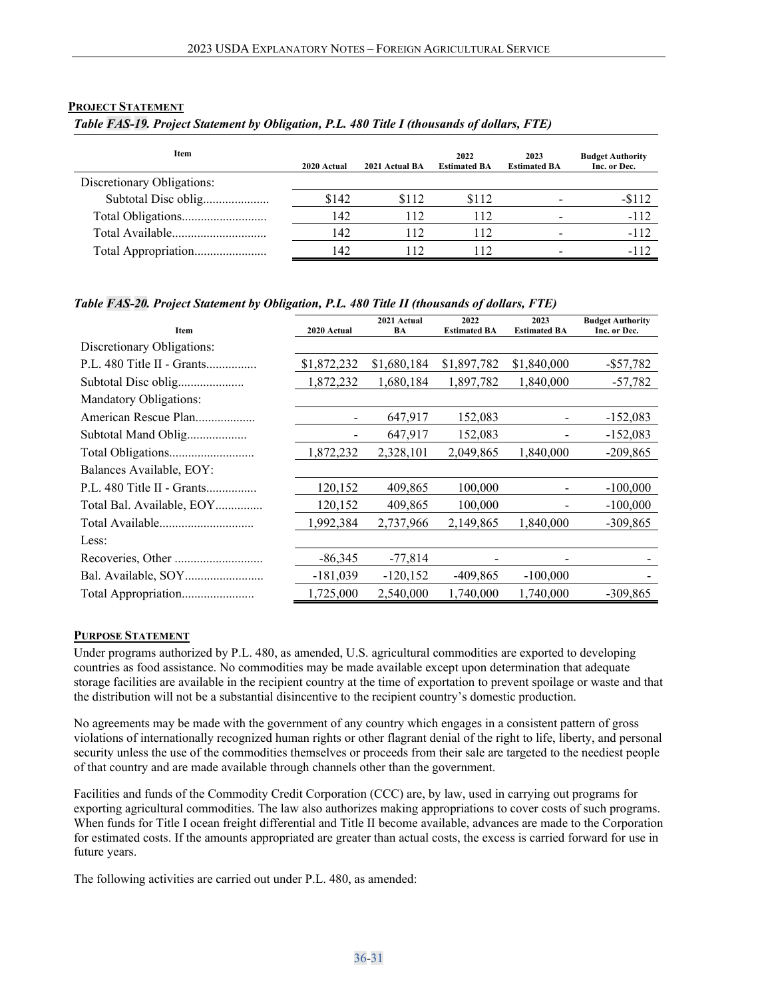#### <span id="page-30-0"></span>**PROJECT STATEMENT**

| Table FAS-19. Project Statement by Obligation, P.L. 480 Title I (thousands of dollars, FTE) |  |  |  |
|---------------------------------------------------------------------------------------------|--|--|--|
|                                                                                             |  |  |  |

| Item                       | 2020 Actual | 2021 Actual BA | 2022<br><b>Estimated BA</b> | 2023<br><b>Estimated BA</b> | <b>Budget Authority</b><br>Inc. or Dec. |
|----------------------------|-------------|----------------|-----------------------------|-----------------------------|-----------------------------------------|
| Discretionary Obligations: |             |                |                             |                             |                                         |
| Subtotal Disc oblig        | \$142       | \$112          | \$112                       | $\overline{\phantom{0}}$    | $-$112$                                 |
|                            | 142         | 112            | 112                         | -                           | $-112$                                  |
|                            | 142         | 112            | 112                         |                             | $-112$                                  |
|                            | 142         | 112            | 112                         |                             | $-112$                                  |

#### *Table FAS-20. Project Statement by Obligation, P.L. 480 Title II (thousands of dollars, FTE)*

| Item                       | 2020 Actual | 2021 Actual<br>BA | 2022<br><b>Estimated BA</b> | 2023<br><b>Estimated BA</b> | <b>Budget Authority</b><br>Inc. or Dec. |
|----------------------------|-------------|-------------------|-----------------------------|-----------------------------|-----------------------------------------|
| Discretionary Obligations: |             |                   |                             |                             |                                         |
| P.L. 480 Title II - Grants | \$1,872,232 | \$1,680,184       | \$1,897,782                 | \$1,840,000                 | $-$ \$57,782                            |
| Subtotal Disc oblig        | 1,872,232   | 1,680,184         | 1,897,782                   | 1,840,000                   | $-57,782$                               |
| Mandatory Obligations:     |             |                   |                             |                             |                                         |
| American Rescue Plan       |             | 647,917           | 152,083                     |                             | $-152,083$                              |
| Subtotal Mand Oblig        |             | 647,917           | 152,083                     |                             | $-152,083$                              |
|                            | 1,872,232   | 2,328,101         | 2,049,865                   | 1,840,000                   | $-209,865$                              |
| Balances Available, EOY:   |             |                   |                             |                             |                                         |
| P.L. 480 Title II - Grants | 120,152     | 409,865           | 100,000                     |                             | $-100,000$                              |
| Total Bal. Available, EOY  | 120,152     | 409,865           | 100,000                     |                             | $-100,000$                              |
| Total Available            | 1,992,384   | 2,737,966         | 2,149,865                   | 1,840,000                   | $-309,865$                              |
| Less:                      |             |                   |                             |                             |                                         |
|                            | $-86,345$   | -77,814           |                             |                             |                                         |
|                            | $-181,039$  | $-120,152$        | $-409,865$                  | $-100,000$                  |                                         |
| Total Appropriation        | 1,725,000   | 2,540,000         | 1,740,000                   | 1,740,000                   | $-309,865$                              |

#### <span id="page-30-1"></span>**PURPOSE STATEMENT**

Under programs authorized by P.L. 480, as amended, U.S. agricultural commodities are exported to developing countries as food assistance. No commodities may be made available except upon determination that adequate storage facilities are available in the recipient country at the time of exportation to prevent spoilage or waste and that the distribution will not be a substantial disincentive to the recipient country's domestic production.

No agreements may be made with the government of any country which engages in a consistent pattern of gross violations of internationally recognized human rights or other flagrant denial of the right to life, liberty, and personal security unless the use of the commodities themselves or proceeds from their sale are targeted to the neediest people of that country and are made available through channels other than the government.

Facilities and funds of the Commodity Credit Corporation (CCC) are, by law, used in carrying out programs for exporting agricultural commodities. The law also authorizes making appropriations to cover costs of such programs. When funds for Title I ocean freight differential and Title II become available, advances are made to the Corporation for estimated costs. If the amounts appropriated are greater than actual costs, the excess is carried forward for use in future years.

The following activities are carried out under P.L. 480, as amended: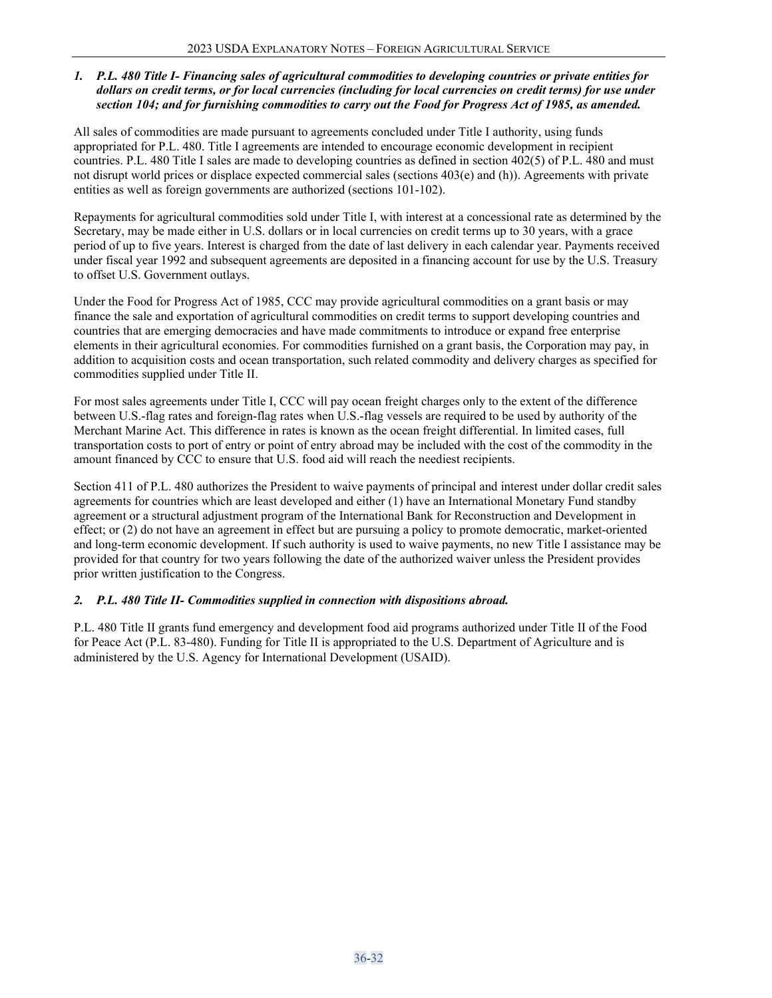## *1. P.L. 480 Title I- Financing sales of agricultural commodities to developing countries or private entities for dollars on credit terms, or for local currencies (including for local currencies on credit terms) for use under section 104; and for furnishing commodities to carry out the Food for Progress Act of 1985, as amended.*

All sales of commodities are made pursuant to agreements concluded under Title I authority, using funds appropriated for P.L. 480. Title I agreements are intended to encourage economic development in recipient countries. P.L. 480 Title I sales are made to developing countries as defined in section 402(5) of P.L. 480 and must not disrupt world prices or displace expected commercial sales (sections 403(e) and (h)). Agreements with private entities as well as foreign governments are authorized (sections 101-102).

Repayments for agricultural commodities sold under Title I, with interest at a concessional rate as determined by the Secretary, may be made either in U.S. dollars or in local currencies on credit terms up to 30 years, with a grace period of up to five years. Interest is charged from the date of last delivery in each calendar year. Payments received under fiscal year 1992 and subsequent agreements are deposited in a financing account for use by the U.S. Treasury to offset U.S. Government outlays.

Under the Food for Progress Act of 1985, CCC may provide agricultural commodities on a grant basis or may finance the sale and exportation of agricultural commodities on credit terms to support developing countries and countries that are emerging democracies and have made commitments to introduce or expand free enterprise elements in their agricultural economies. For commodities furnished on a grant basis, the Corporation may pay, in addition to acquisition costs and ocean transportation, such related commodity and delivery charges as specified for commodities supplied under Title II.

For most sales agreements under Title I, CCC will pay ocean freight charges only to the extent of the difference between U.S.-flag rates and foreign-flag rates when U.S.-flag vessels are required to be used by authority of the Merchant Marine Act. This difference in rates is known as the ocean freight differential. In limited cases, full transportation costs to port of entry or point of entry abroad may be included with the cost of the commodity in the amount financed by CCC to ensure that U.S. food aid will reach the neediest recipients.

Section 411 of P.L. 480 authorizes the President to waive payments of principal and interest under dollar credit sales agreements for countries which are least developed and either (1) have an International Monetary Fund standby agreement or a structural adjustment program of the International Bank for Reconstruction and Development in effect; or (2) do not have an agreement in effect but are pursuing a policy to promote democratic, market-oriented and long-term economic development. If such authority is used to waive payments, no new Title I assistance may be provided for that country for two years following the date of the authorized waiver unless the President provides prior written justification to the Congress.

# *2. P.L. 480 Title II- Commodities supplied in connection with dispositions abroad.*

P.L. 480 Title II grants fund emergency and development food aid programs authorized under Title II of the Food for Peace Act (P.L. 83-480). Funding for Title II is appropriated to the U.S. Department of Agriculture and is administered by the U.S. Agency for International Development (USAID).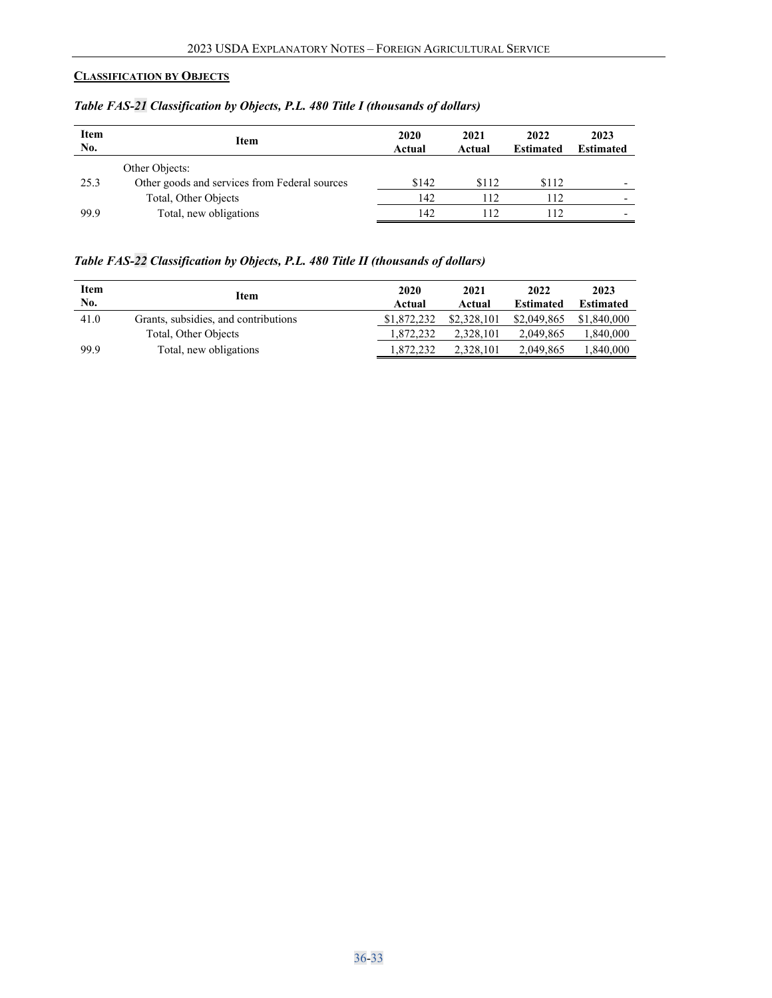# <span id="page-32-0"></span>**CLASSIFICATION BY OBJECTS**

| <b>Item</b><br>No. | <b>Item</b>                                   | 2020<br>Actual | 2021<br>Actual | 2022<br><b>Estimated</b> | 2023<br><b>Estimated</b> |
|--------------------|-----------------------------------------------|----------------|----------------|--------------------------|--------------------------|
|                    | Other Objects:                                |                |                |                          |                          |
| 25.3               | Other goods and services from Federal sources | \$142          | \$112          | \$112                    | $\overline{\phantom{0}}$ |
|                    | Total, Other Objects                          | 142            | 112            | 112                      |                          |
| 99.9               | Total, new obligations                        | 142            | 112            | 112                      | $\overline{\phantom{0}}$ |

*Table FAS-21 Classification by Objects, P.L. 480 Title I (thousands of dollars)*

## *Table FAS-22 Classification by Objects, P.L. 480 Title II (thousands of dollars)*

| Item<br>No. | <b>Item</b>                          | 2020<br>Actual | 2021<br>Actual | 2022<br><b>Estimated</b> | 2023<br><b>Estimated</b> |
|-------------|--------------------------------------|----------------|----------------|--------------------------|--------------------------|
| 41.0        | Grants, subsidies, and contributions | \$1,872,232    | \$2,328,101    | \$2,049,865              | \$1,840,000              |
|             | Total, Other Objects                 | 1.872.232      | 2,328,101      | 2,049,865                | .340,000                 |
| 99.9        | Total, new obligations               | .872.232       | 2.328.101      | 2.049.865                | .340,000                 |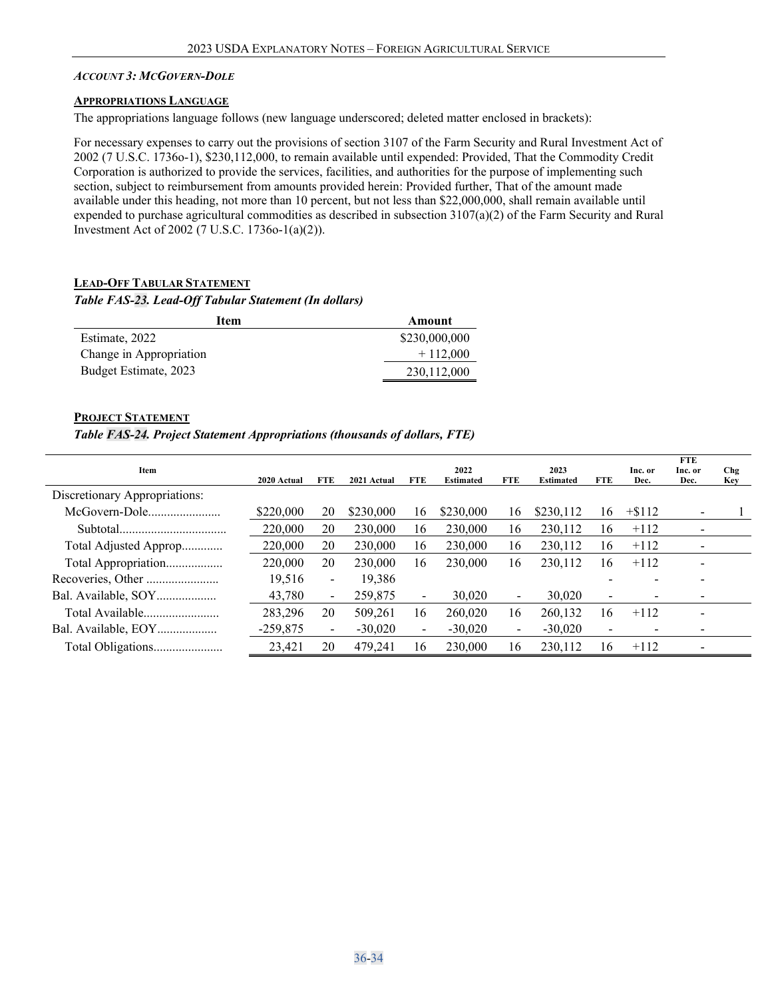#### <span id="page-33-0"></span>*ACCOUNT 3: MCGOVERN-DOLE*

#### <span id="page-33-1"></span>**APPROPRIATIONS LANGUAGE**

The appropriations language follows (new language underscored; deleted matter enclosed in brackets):

For necessary expenses to carry out the provisions of section 3107 of the Farm Security and Rural Investment Act of 2002 (7 U.S.C. 1736o-1), \$230,112,000, to remain available until expended: Provided, That the Commodity Credit Corporation is authorized to provide the services, facilities, and authorities for the purpose of implementing such section, subject to reimbursement from amounts provided herein: Provided further, That of the amount made available under this heading, not more than 10 percent, but not less than \$22,000,000, shall remain available until expended to purchase agricultural commodities as described in subsection 3107(a)(2) of the Farm Security and Rural Investment Act of 2002 (7 U.S.C. 1736o-1(a)(2)).

#### <span id="page-33-2"></span>**LEAD-OFF TABULAR STATEMENT**

#### *Table FAS-23. Lead-Off Tabular Statement (In dollars)*

| <b>Item</b>             | Amount        |
|-------------------------|---------------|
| Estimate, 2022          | \$230,000,000 |
| Change in Appropriation | $+112,000$    |
| Budget Estimate, 2023   | 230,112,000   |

#### <span id="page-33-3"></span>**PROJECT STATEMENT**

#### *Table FAS-24. Project Statement Appropriations (thousands of dollars, FTE)*

| Item                          | 2020 Actual | FTE                      | 2021 Actual | <b>FTE</b>               | 2022<br><b>Estimated</b> | <b>FTE</b> | 2023<br><b>Estimated</b> | <b>FTE</b>               | Inc. or<br>Dec. | <b>FTE</b><br>Inc. or<br>Dec. | Chg<br><b>Key</b> |
|-------------------------------|-------------|--------------------------|-------------|--------------------------|--------------------------|------------|--------------------------|--------------------------|-----------------|-------------------------------|-------------------|
| Discretionary Appropriations: |             |                          |             |                          |                          |            |                          |                          |                 |                               |                   |
| McGovern-Dole                 | \$220,000   | 20                       | \$230,000   | 16                       | \$230,000                | 16         | \$230,112                | 16                       | $+ $112$        | $\overline{\phantom{0}}$      |                   |
|                               | 220,000     | 20                       | 230,000     | 16                       | 230,000                  | 16         | 230,112                  | 16                       | $+112$          |                               |                   |
| Total Adjusted Approp         | 220,000     | 20                       | 230,000     | 16                       | 230,000                  | 16         | 230,112                  | 16                       | $+112$          |                               |                   |
| Total Appropriation           | 220,000     | 20                       | 230,000     | 16                       | 230,000                  | 16         | 230.112                  | 16                       | $+112$          |                               |                   |
|                               | 19.516      | Ξ.                       | 19,386      |                          |                          |            |                          |                          |                 |                               |                   |
| Bal. Available, SOY           | 43,780      | $\overline{\phantom{a}}$ | 259,875     | $\overline{\phantom{0}}$ | 30,020                   | Ξ.         | 30,020                   | $\overline{\phantom{0}}$ |                 |                               |                   |
|                               | 283,296     | 20                       | 509,261     | 16                       | 260,020                  | 16         | 260,132                  | 16                       | $+112$          |                               |                   |
| Bal. Available, EOY           | $-259,875$  | $\blacksquare$           | $-30,020$   | $\blacksquare$           | $-30,020$                | Ξ.         | $-30,020$                | $\overline{\phantom{a}}$ | -               | $\overline{\phantom{0}}$      |                   |
| Total Obligations             | 23,421      | 20                       | 479.241     | 16                       | 230,000                  | 16         | 230.112                  | 16                       | $+112$          | $\overline{\phantom{0}}$      |                   |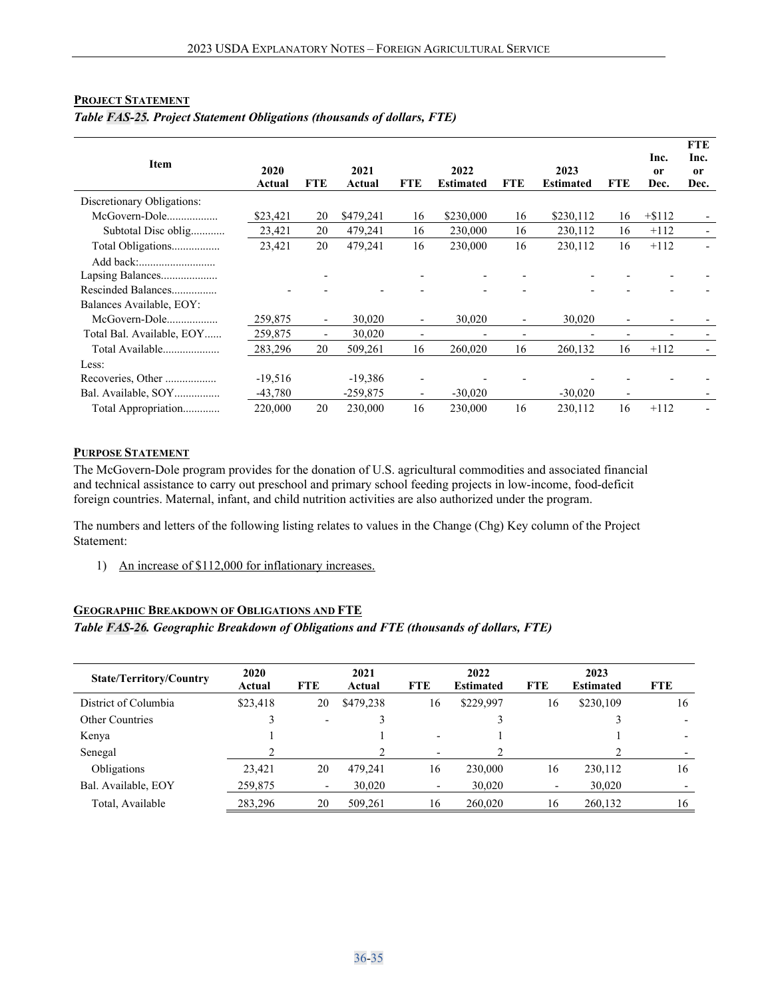#### <span id="page-34-0"></span>**PROJECT STATEMENT**

| <b>Item</b>                                    | 2020<br>Actual | <b>FTE</b>               | 2021<br>Actual | <b>FTE</b>               | 2022<br>Estimated | <b>FTE</b>               | 2023<br><b>Estimated</b> | <b>FTE</b>               | Inc.<br>0r<br>Dec.       | <b>FTE</b><br>Inc.<br><sub>or</sub><br>Dec. |
|------------------------------------------------|----------------|--------------------------|----------------|--------------------------|-------------------|--------------------------|--------------------------|--------------------------|--------------------------|---------------------------------------------|
| Discretionary Obligations:                     |                |                          |                |                          |                   |                          |                          |                          |                          |                                             |
| McGovern-Dole                                  | \$23,421       | 20                       | \$479,241      | 16                       | \$230,000         | 16                       | \$230,112                | 16                       | $+ $112$                 |                                             |
| Subtotal Disc oblig                            | 23,421         | 20                       | 479,241        | 16                       | 230,000           | 16                       | 230,112                  | 16                       | $+112$                   |                                             |
| Total Obligations                              | 23,421         | 20                       | 479,241        | 16                       | 230,000           | 16                       | 230,112                  | 16                       | $+112$                   |                                             |
| Rescinded Balances<br>Balances Available, EOY: |                |                          |                |                          |                   |                          |                          |                          |                          |                                             |
| McGovern-Dole                                  | 259,875        | $\overline{\phantom{a}}$ | 30,020         | $\overline{\phantom{a}}$ | 30,020            | $\overline{\phantom{a}}$ | 30,020                   | $\overline{\phantom{a}}$ | $\overline{\phantom{a}}$ |                                             |
| Total Bal. Available, EOY                      | 259,875        | $\overline{\phantom{a}}$ | 30,020         | $\overline{\phantom{a}}$ |                   | $\overline{\phantom{a}}$ | $\overline{\phantom{0}}$ | $\overline{\phantom{0}}$ |                          |                                             |
| Total Available                                | 283,296        | 20                       | 509,261        | 16                       | 260,020           | 16                       | 260,132                  | 16                       | $+112$                   |                                             |
| Less:                                          |                |                          |                |                          |                   |                          |                          |                          |                          |                                             |
| Recoveries, Other                              | $-19,516$      |                          | $-19,386$      | $\qquad \qquad$          |                   |                          |                          |                          |                          |                                             |
| Bal. Available, SOY                            | $-43,780$      |                          | $-259,875$     | $\overline{\phantom{0}}$ | $-30,020$         |                          | $-30,020$                | $\overline{\phantom{0}}$ |                          |                                             |
| Total Appropriation                            | 220,000        | 20                       | 230,000        | 16                       | 230,000           | 16                       | 230,112                  | 16                       | $+112$                   |                                             |

#### *Table FAS-25. Project Statement Obligations (thousands of dollars, FTE)*

#### <span id="page-34-1"></span>**PURPOSE STATEMENT**

The McGovern-Dole program provides for the donation of U.S. agricultural commodities and associated financial and technical assistance to carry out preschool and primary school feeding projects in low-income, food-deficit foreign countries. Maternal, infant, and child nutrition activities are also authorized under the program.

The numbers and letters of the following listing relates to values in the Change (Chg) Key column of the Project Statement:

1) An increase of \$112,000 for inflationary increases.

#### <span id="page-34-2"></span>**GEOGRAPHIC BREAKDOWN OF OBLIGATIONS AND FTE**

#### *Table FAS-26. Geographic Breakdown of Obligations and FTE (thousands of dollars, FTE)*

| <b>State/Territory/Country</b> | 2020<br>Actual | <b>FTE</b>               | 2021<br>Actual | <b>FTE</b>               | 2022<br><b>Estimated</b> | <b>FTE</b> | 2023<br><b>Estimated</b> | <b>FTE</b> |
|--------------------------------|----------------|--------------------------|----------------|--------------------------|--------------------------|------------|--------------------------|------------|
| District of Columbia           | \$23,418       | 20                       | \$479,238      | 16                       | \$229,997                | 16         | \$230,109                | 16         |
| <b>Other Countries</b>         |                | $\overline{\phantom{a}}$ |                |                          |                          |            |                          |            |
| Kenya                          |                |                          |                | $\overline{\phantom{0}}$ |                          |            |                          |            |
| Senegal                        |                |                          |                | $\overline{\phantom{0}}$ |                          |            |                          |            |
| Obligations                    | 23,421         | 20                       | 479.241        | 16                       | 230,000                  | 16         | 230,112                  | 16         |
| Bal. Available, EOY            | 259,875        | $\overline{\phantom{a}}$ | 30,020         | $\overline{\phantom{a}}$ | 30,020                   |            | 30,020                   |            |
| Total, Available               | 283,296        | 20                       | 509.261        | 16                       | 260,020                  | 16         | 260.132                  | 16         |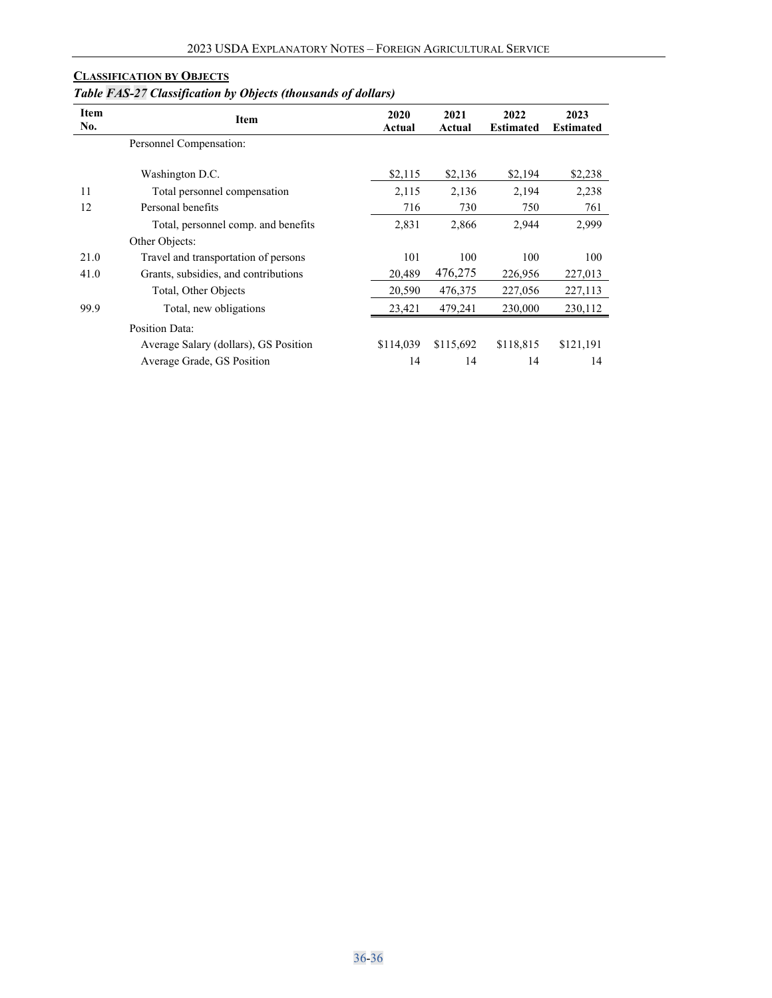# <span id="page-35-0"></span>**CLASSIFICATION BY OBJECTS**

# *Table FAS-27 Classification by Objects (thousands of dollars)*

| <b>Item</b><br>No. | <b>Item</b>                           | 2020<br>Actual | 2021<br>Actual | 2022<br><b>Estimated</b> | 2023<br><b>Estimated</b> |
|--------------------|---------------------------------------|----------------|----------------|--------------------------|--------------------------|
|                    | Personnel Compensation:               |                |                |                          |                          |
|                    | Washington D.C.                       | \$2,115        | \$2,136        | \$2,194                  | \$2,238                  |
| 11                 | Total personnel compensation          | 2,115          | 2,136          | 2,194                    | 2,238                    |
| 12                 | Personal benefits                     | 716            | 730            | 750                      | 761                      |
|                    | Total, personnel comp. and benefits   | 2,831          | 2,866          | 2,944                    | 2,999                    |
|                    | Other Objects:                        |                |                |                          |                          |
| 21.0               | Travel and transportation of persons  | 101            | 100            | 100                      | 100                      |
| 41.0               | Grants, subsidies, and contributions  | 20.489         | 476,275        | 226,956                  | 227,013                  |
|                    | Total, Other Objects                  | 20,590         | 476,375        | 227,056                  | 227,113                  |
| 99.9               | Total, new obligations                | 23,421         | 479,241        | 230,000                  | 230,112                  |
|                    | Position Data:                        |                |                |                          |                          |
|                    | Average Salary (dollars), GS Position | \$114,039      | \$115,692      | \$118,815                | \$121,191                |
|                    | Average Grade, GS Position            | 14             | 14             | 14                       | 14                       |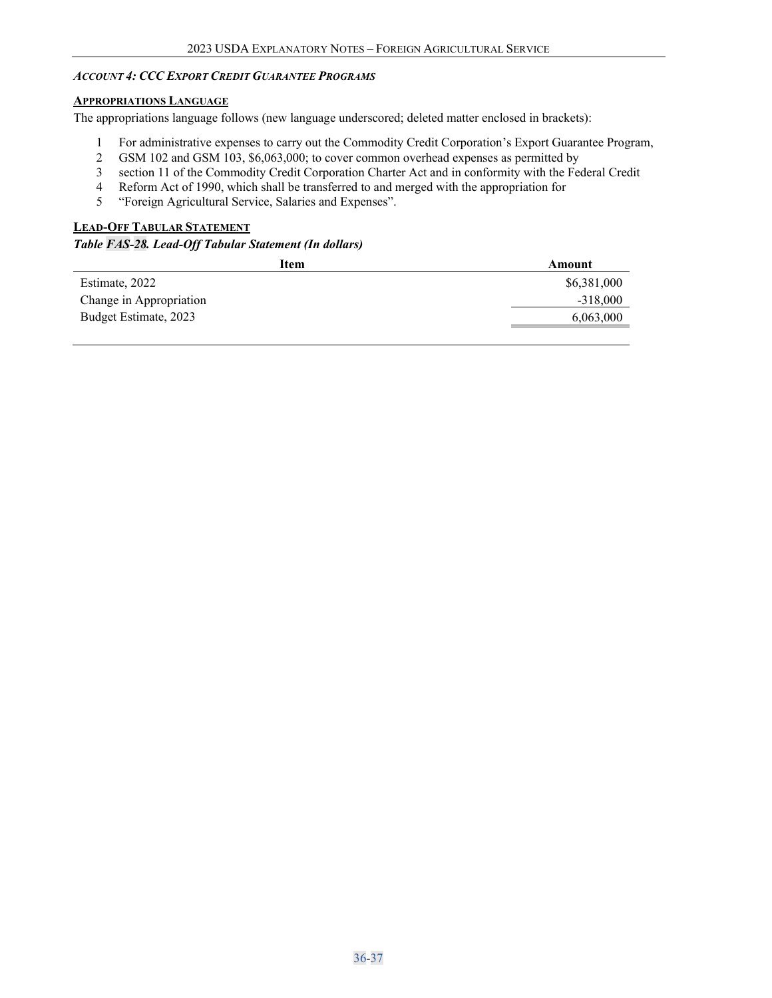### <span id="page-36-0"></span>*ACCOUNT 4: CCC EXPORT CREDIT GUARANTEE PROGRAMS*

#### <span id="page-36-1"></span>**APPROPRIATIONS LANGUAGE**

The appropriations language follows (new language underscored; deleted matter enclosed in brackets):

- 1 For administrative expenses to carry out the Commodity Credit Corporation's Export Guarantee Program,
- 2 GSM 102 and GSM 103, \$6,063,000; to cover common overhead expenses as permitted by
- 3 section 11 of the Commodity Credit Corporation Charter Act and in conformity with the Federal Credit
- 4 Reform Act of 1990, which shall be transferred to and merged with the appropriation for<br>5 "Foreign Agricultural Service, Salaries and Expenses".
- 5 "Foreign Agricultural Service, Salaries and Expenses".

## <span id="page-36-2"></span>**LEAD-OFF TABULAR STATEMENT**

*Table FAS-28. Lead-Off Tabular Statement (In dollars)*

| Item                    | Amount      |
|-------------------------|-------------|
| Estimate, 2022          | \$6,381,000 |
| Change in Appropriation | $-318,000$  |
| Budget Estimate, 2023   | 6,063,000   |
|                         |             |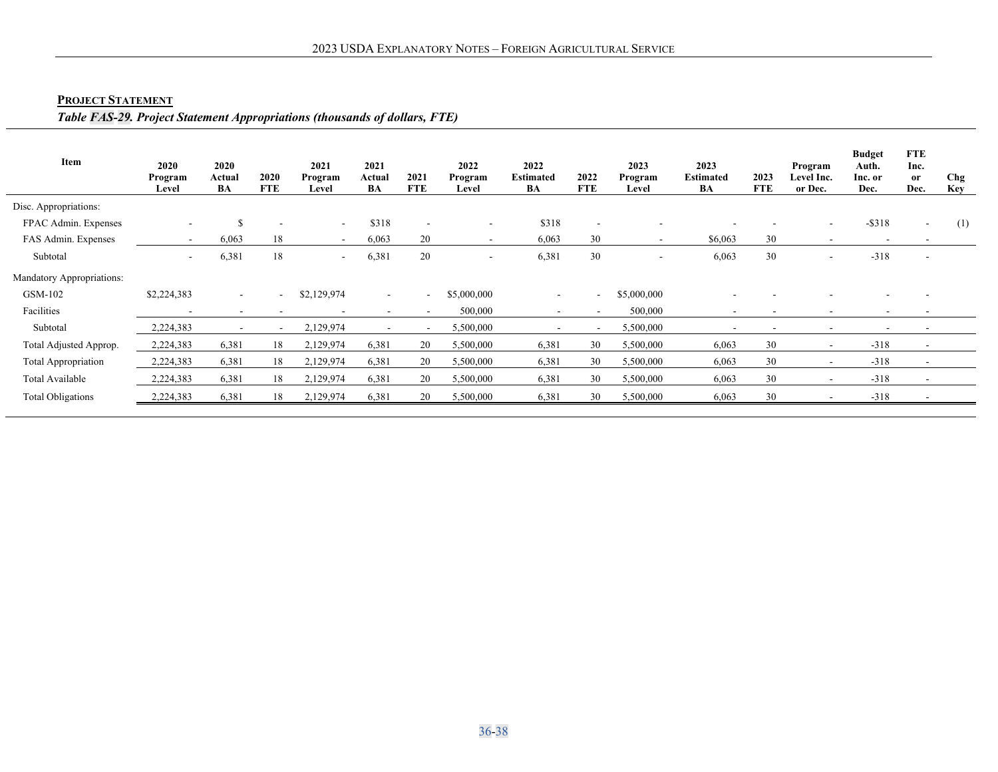# **PROJECT STATEMENT**

# *Table FAS-29. Project Statement Appropriations (thousands of dollars, FTE)*

<span id="page-37-0"></span>

| Item                       | 2020<br>Program<br>Level | 2020<br>Actual<br>BA | 2020<br><b>FTE</b>       | 2021<br>Program<br>Level | 2021<br>Actual<br>BA | 2021<br><b>FTE</b>       | 2022<br>Program<br>Level | 2022<br><b>Estimated</b><br>BA | 2022<br><b>FTE</b> | 2023<br>Program<br>Level | 2023<br><b>Estimated</b><br>BA | 2023<br><b>FTE</b> | Program<br>Level Inc.<br>or Dec. | <b>Budget</b><br>Auth.<br>Inc. or<br>Dec. | <b>FTE</b><br>Inc.<br>or<br>Dec. | Chg<br>Key |
|----------------------------|--------------------------|----------------------|--------------------------|--------------------------|----------------------|--------------------------|--------------------------|--------------------------------|--------------------|--------------------------|--------------------------------|--------------------|----------------------------------|-------------------------------------------|----------------------------------|------------|
| Disc. Appropriations:      |                          |                      |                          |                          |                      |                          |                          |                                |                    |                          |                                |                    |                                  |                                           |                                  |            |
| FPAC Admin. Expenses       | $\overline{\phantom{a}}$ | S                    | $\overline{\phantom{a}}$ | $\overline{\phantom{a}}$ | \$318                | $\overline{\phantom{a}}$ | $\sim$                   | \$318                          |                    |                          |                                |                    | $\overline{\phantom{a}}$         | $-$ \$318                                 | $\overline{\phantom{a}}$         | (1)        |
| FAS Admin. Expenses        | $\sim$                   | 6,063                | 18                       | $\sim$                   | 6,063                | 20                       | $\sim$                   | 6,063                          | 30                 | $\sim$                   | \$6,063                        | 30                 | $\overline{\phantom{a}}$         |                                           |                                  |            |
| Subtotal                   | $\sim$                   | 6,381                | 18                       | ٠                        | 6,381                | 20                       | $\overline{\phantom{a}}$ | 6,381                          | 30                 |                          | 6,063                          | 30                 | $\overline{\phantom{a}}$         | $-318$                                    |                                  |            |
| Mandatory Appropriations:  |                          |                      |                          |                          |                      |                          |                          |                                |                    |                          |                                |                    |                                  |                                           |                                  |            |
| GSM-102                    | \$2,224,383              | $\sim$               | $\sim$                   | \$2,129,974              | $\sim$               | $\overline{\phantom{a}}$ | \$5,000,000              | $\sim$                         | $\sim$ 10 $\pm$    | \$5,000,000              |                                |                    |                                  |                                           |                                  |            |
| Facilities                 | $\overline{\phantom{a}}$ | $\sim$               |                          |                          |                      |                          | 500,000                  |                                |                    | 500,000                  | $\overline{\phantom{0}}$       |                    | $\overline{\phantom{a}}$         |                                           |                                  |            |
| Subtotal                   | 2,224,383                | $\sim$               | $\sim$                   | 2,129,974                |                      |                          | 5,500,000                |                                |                    | 5,500,000                | $\overline{\phantom{a}}$       |                    | $\overline{\phantom{a}}$         |                                           |                                  |            |
| Total Adjusted Approp.     | 2,224,383                | 6,381                | 18                       | 2,129,974                | 6,381                | 20                       | 5,500,000                | 6,381                          | 30                 | 5,500,000                | 6,063                          | 30                 | $\overline{\phantom{a}}$         | $-318$                                    |                                  |            |
| <b>Total Appropriation</b> | 2,224,383                | 6,381                | 18                       | 2,129,974                | 6,381                | 20                       | 5,500,000                | 6,381                          | 30                 | 5,500,000                | 6,063                          | 30                 | $\overline{\phantom{a}}$         | $-318$                                    | $\overline{\phantom{0}}$         |            |
| Total Available            | 2,224,383                | 6,381                | 18                       | 2,129,974                | 6,381                | 20                       | 5,500,000                | 6,381                          | 30                 | 5,500,000                | 6,063                          | 30                 |                                  | $-318$                                    |                                  |            |
| <b>Total Obligations</b>   | 2,224,383                | 6,381                | 18                       | 2,129,974                | 6,381                | 20                       | 5,500,000                | 6,381                          | 30                 | 5,500,000                | 6,063                          | 30                 |                                  | $-318$                                    |                                  |            |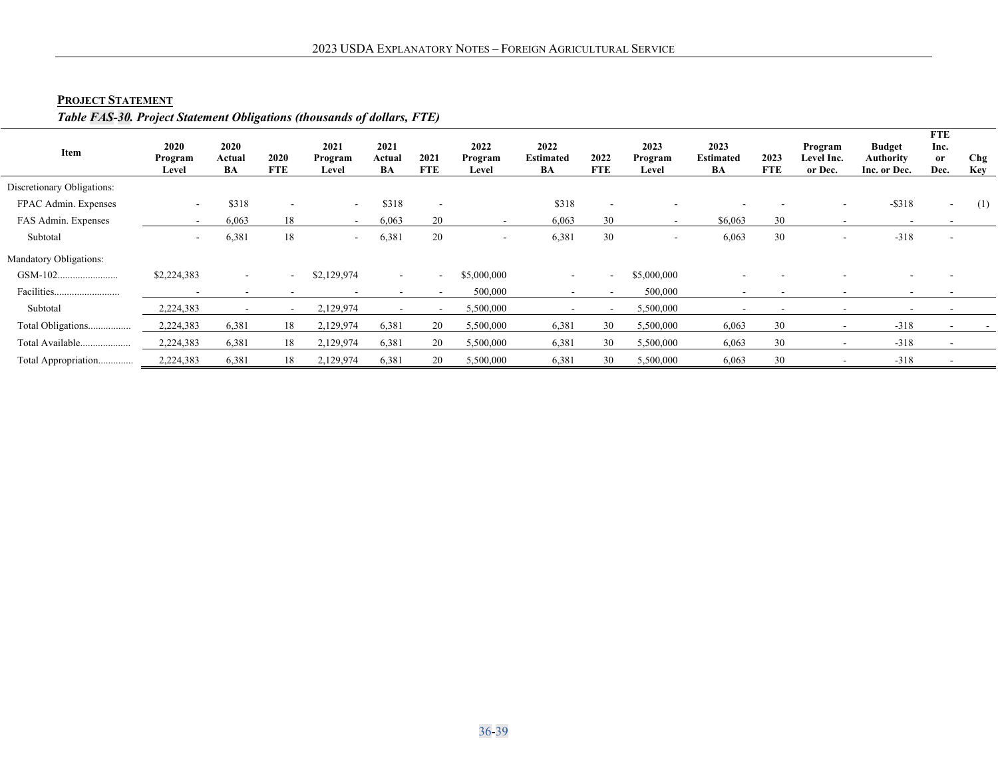# **PROJECT STATEMENT**

# *Table FAS-30. Project Statement Obligations (thousands of dollars, FTE)*

<span id="page-38-0"></span>

| Item                       | 2020<br>Program<br>Level | 2020<br>Actual<br>BA     | 2020<br><b>FTE</b>       | 2021<br>Program<br>Level | 2021<br>Actual<br>BA     | 2021<br><b>FTE</b> | 2022<br>Program<br>Level | 2022<br><b>Estimated</b><br>BA | 2022<br><b>FTE</b> | 2023<br>Program<br>Level | 2023<br><b>Estimated</b><br>BA | 2023<br><b>FTE</b> | Program<br>Level Inc.<br>or Dec. | <b>Budget</b><br><b>Authority</b><br>Inc. or Dec. | <b>FTE</b><br>Inc.<br>or<br>Dec. | Chg<br>Key |
|----------------------------|--------------------------|--------------------------|--------------------------|--------------------------|--------------------------|--------------------|--------------------------|--------------------------------|--------------------|--------------------------|--------------------------------|--------------------|----------------------------------|---------------------------------------------------|----------------------------------|------------|
| Discretionary Obligations: |                          |                          |                          |                          |                          |                    |                          |                                |                    |                          |                                |                    |                                  |                                                   |                                  |            |
| FPAC Admin. Expenses       | $\overline{\phantom{a}}$ | \$318                    | $\overline{\phantom{a}}$ | $\overline{\phantom{a}}$ | \$318                    | $\sim$             |                          | \$318                          | . .                |                          |                                |                    | $\overline{\phantom{a}}$         | $-$ \$318                                         | $\sim$                           | (1)        |
| FAS Admin. Expenses        | $\overline{\phantom{a}}$ | 6,063                    | 18                       | $\overline{\phantom{a}}$ | 6,063                    | 20                 |                          | 6,063                          | 30                 |                          | \$6,063                        | 30                 | $\overline{\phantom{a}}$         |                                                   |                                  |            |
| Subtotal                   | $\sim$                   | 6,381                    | 18                       | $\overline{\phantom{a}}$ | 6,381                    | 20                 | $\sim$                   | 6,381                          | 30                 | $\overline{\phantom{a}}$ | 6,063                          | 30                 | $\overline{\phantom{a}}$         | $-318$                                            |                                  |            |
| Mandatory Obligations:     |                          |                          |                          |                          |                          |                    |                          |                                |                    |                          |                                |                    |                                  |                                                   |                                  |            |
|                            | \$2,224,383              | $\sim$                   | $\sim$                   | \$2,129,974              | $\sim$                   | $\sim$             | \$5,000,000              | $\sim$                         | $\sim$ 10 $\,$     | \$5,000,000              |                                |                    |                                  |                                                   |                                  |            |
|                            | $\overline{\phantom{0}}$ | $\overline{\phantom{a}}$ | $\sim$                   | $\overline{\phantom{a}}$ | $\overline{\phantom{0}}$ | $\sim$             | 500,000                  | $\overline{\phantom{0}}$       |                    | 500,000                  | $\overline{\phantom{a}}$       |                    | $\sim$                           | $\sim$                                            |                                  |            |
| Subtotal                   | 2,224,383                |                          |                          | 2,129,974                |                          |                    | 5,500,000                |                                |                    | 5,500,000                |                                |                    | $\overline{\phantom{a}}$         |                                                   |                                  |            |
| Total Obligations          | 2,224,383                | 6,381                    | 18                       | 2,129,974                | 6,381                    | 20                 | 5,500,000                | 6,381                          | 30                 | 5,500,000                | 6,063                          | 30                 | $\overline{\phantom{a}}$         | $-318$                                            |                                  |            |
| Total Available            | 2,224,383                | 6,381                    | 18                       | 2,129,974                | 6,381                    | 20                 | 5,500,000                | 6,381                          | 30                 | 5,500,000                | 6,063                          | 30                 | $\sim$                           | $-318$                                            | $\sim$                           |            |
| Total Appropriation        | 2,224,383                | 6,381                    | 18                       | 2,129,974                | 6,381                    | 20                 | 5,500,000                | 6,381                          | 30                 | 5,500,000                | 6,063                          | 30                 | $\overline{\phantom{a}}$         | $-318$                                            |                                  |            |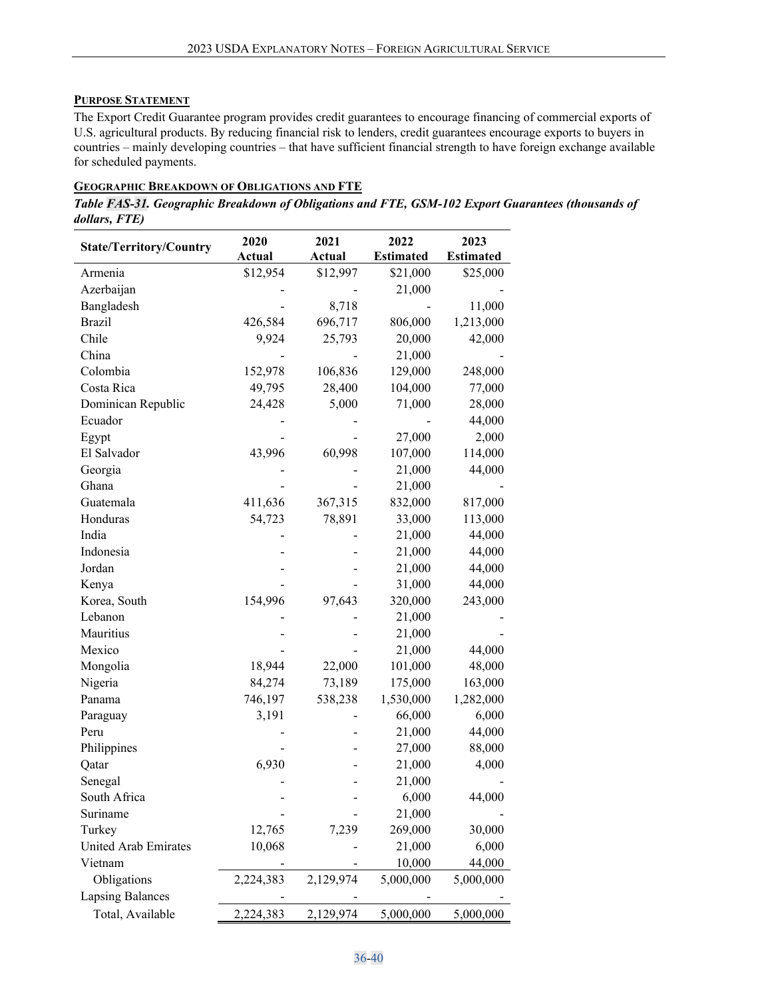## <span id="page-39-0"></span>**PURPOSE STATEMENT**

The Export Credit Guarantee program provides credit guarantees to encourage financing of commercial exports of U.S. agricultural products. By reducing financial risk to lenders, credit guarantees encourage exports to buyers in countries – mainly developing countries – that have sufficient financial strength to have foreign exchange available for scheduled payments.

#### <span id="page-39-1"></span>**GEOGRAPHIC BREAKDOWN OF OBLIGATIONS AND FTE**

*Table FAS-31. Geographic Breakdown of Obligations and FTE, GSM-102 Export Guarantees (thousands of dollars, FTE)*

| <b>State/Territory/Country</b> | 2020          | 2021      | 2022             | 2023             |
|--------------------------------|---------------|-----------|------------------|------------------|
|                                | <b>Actual</b> | Actual    | <b>Estimated</b> | <b>Estimated</b> |
| Armenia                        | \$12,954      | \$12,997  | \$21,000         | \$25,000         |
| Azerbaijan                     |               |           | 21,000           |                  |
| Bangladesh                     |               | 8,718     |                  | 11,000           |
| <b>Brazil</b>                  | 426,584       | 696,717   | 806,000          | 1,213,000        |
| Chile                          | 9,924         | 25,793    | 20,000           | 42,000           |
| China                          |               |           | 21,000           |                  |
| Colombia                       | 152,978       | 106,836   | 129,000          | 248,000          |
| Costa Rica                     | 49,795        | 28,400    | 104,000          | 77,000           |
| Dominican Republic             | 24,428        | 5,000     | 71,000           | 28,000           |
| Ecuador                        |               |           |                  | 44,000           |
| Egypt                          |               |           | 27,000           | 2,000            |
| El Salvador                    | 43,996        | 60,998    | 107,000          | 114,000          |
| Georgia                        |               |           | 21,000           | 44,000           |
| Ghana                          |               |           | 21,000           |                  |
| Guatemala                      | 411,636       | 367,315   | 832,000          | 817,000          |
| Honduras                       | 54,723        | 78,891    | 33,000           | 113,000          |
| India                          |               |           | 21,000           | 44,000           |
| Indonesia                      |               |           | 21,000           | 44,000           |
| Jordan                         |               |           | 21,000           | 44,000           |
| Kenya                          |               |           | 31,000           | 44,000           |
| Korea, South                   | 154,996       | 97,643    | 320,000          | 243,000          |
| Lebanon                        |               |           | 21,000           |                  |
| Mauritius                      |               |           | 21,000           |                  |
| Mexico                         |               |           | 21,000           | 44,000           |
| Mongolia                       | 18,944        | 22,000    | 101,000          | 48,000           |
| Nigeria                        | 84,274        | 73,189    | 175,000          | 163,000          |
| Panama                         | 746,197       | 538,238   | 1,530,000        | 1,282,000        |
| Paraguay                       | 3,191         |           | 66,000           | 6,000            |
| Peru                           |               |           | 21,000           | 44,000           |
| Philippines                    |               |           | 27,000           | 88,000           |
| Qatar                          | 6,930         |           | 21,000           | 4,000            |
| Senegal                        |               |           | 21,000           |                  |
| South Africa                   |               |           | 6,000            | 44,000           |
| Suriname                       |               |           | 21,000           |                  |
| Turkey                         | 12,765        | 7,239     | 269,000          | 30,000           |
| <b>United Arab Emirates</b>    | 10,068        |           | 21,000           | 6,000            |
| Vietnam                        |               |           | 10,000           | 44,000           |
| Obligations                    | 2,224,383     | 2,129,974 | 5,000,000        | 5,000,000        |
| <b>Lapsing Balances</b>        |               |           |                  |                  |
| Total, Available               | 2,224,383     | 2,129,974 | 5,000,000        | 5,000,000        |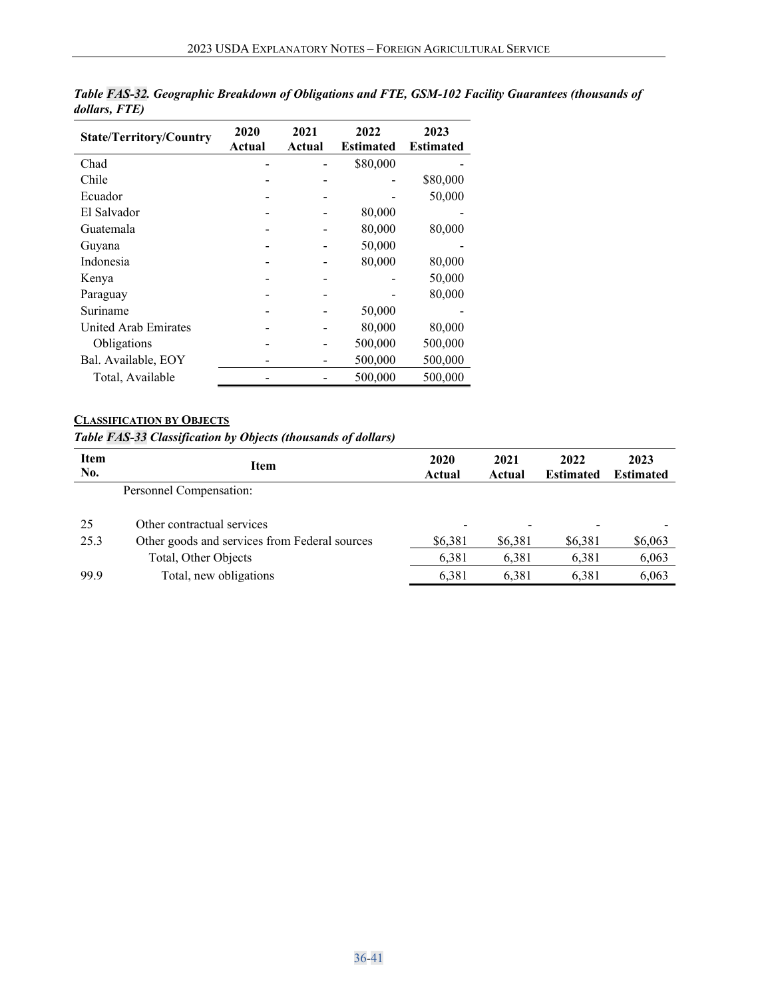| <b>State/Territory/Country</b> | 2020<br>Actual | 2021<br>Actual | 2022<br><b>Estimated</b> | 2023<br><b>Estimated</b> |
|--------------------------------|----------------|----------------|--------------------------|--------------------------|
| Chad                           |                |                | \$80,000                 |                          |
| Chile                          |                |                |                          | \$80,000                 |
| Ecuador                        |                |                |                          | 50,000                   |
| El Salvador                    |                |                | 80,000                   |                          |
| Guatemala                      |                |                | 80,000                   | 80,000                   |
| Guyana                         |                |                | 50,000                   |                          |
| Indonesia                      |                |                | 80,000                   | 80,000                   |
| Kenya                          |                |                |                          | 50,000                   |
| Paraguay                       |                |                |                          | 80,000                   |
| Suriname                       |                |                | 50,000                   |                          |
| United Arab Emirates           |                |                | 80,000                   | 80,000                   |
| Obligations                    |                |                | 500,000                  | 500,000                  |
| Bal. Available, EOY            |                |                | 500,000                  | 500,000                  |
| Total, Available               |                |                | 500,000                  | 500,000                  |

*Table FAS-32. Geographic Breakdown of Obligations and FTE, GSM-102 Facility Guarantees (thousands of dollars, FTE)*

# <span id="page-40-0"></span>**CLASSIFICATION BY OBJECTS**

*Table FAS-33 Classification by Objects (thousands of dollars)*

| Item<br>No. | Item                                          | 2020<br>Actual | 2021<br>Actual | 2022<br><b>Estimated</b> | 2023<br><b>Estimated</b> |
|-------------|-----------------------------------------------|----------------|----------------|--------------------------|--------------------------|
|             | Personnel Compensation:                       |                |                |                          |                          |
| 25          | Other contractual services                    | -              | -              |                          |                          |
| 25.3        | Other goods and services from Federal sources | \$6,381        | \$6,381        | \$6,381                  | \$6,063                  |
|             | Total, Other Objects                          | 6,381          | 6,381          | 6,381                    | 6,063                    |
| 99.9        | Total, new obligations                        | 6,381          | 6,381          | 6,381                    | 6,063                    |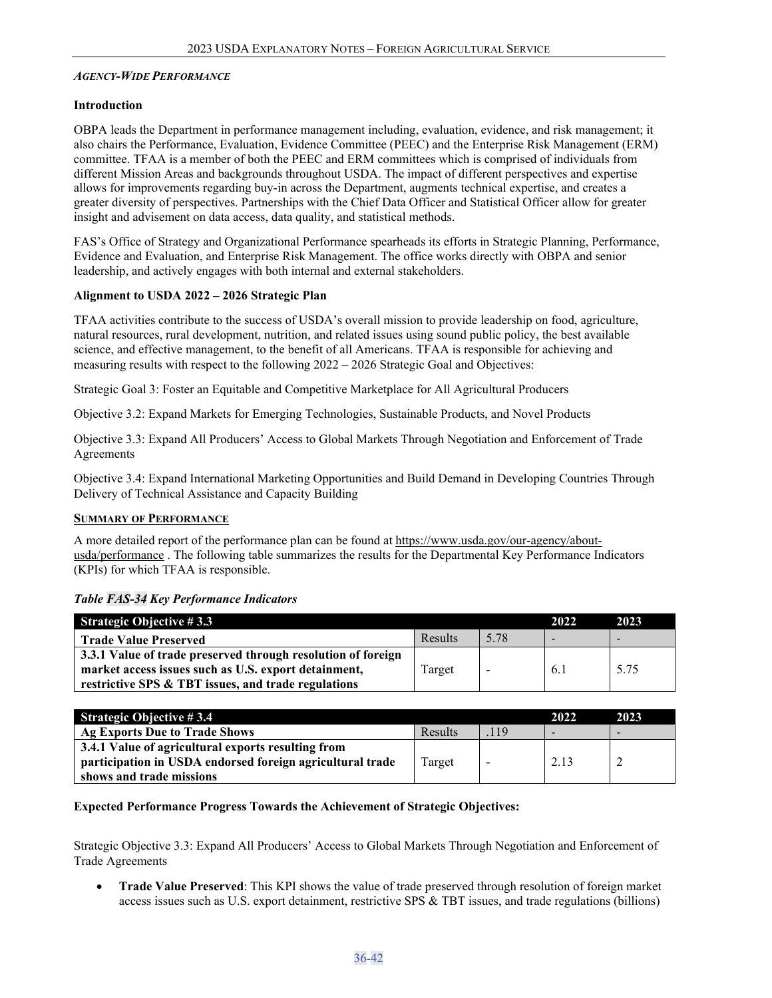#### <span id="page-41-0"></span>*AGENCY-WIDE PERFORMANCE*

#### **Introduction**

OBPA leads the Department in performance management including, evaluation, evidence, and risk management; it also chairs the Performance, Evaluation, Evidence Committee (PEEC) and the Enterprise Risk Management (ERM) committee. TFAA is a member of both the PEEC and ERM committees which is comprised of individuals from different Mission Areas and backgrounds throughout USDA. The impact of different perspectives and expertise allows for improvements regarding buy-in across the Department, augments technical expertise, and creates a greater diversity of perspectives. Partnerships with the Chief Data Officer and Statistical Officer allow for greater insight and advisement on data access, data quality, and statistical methods.

FAS's Office of Strategy and Organizational Performance spearheads its efforts in Strategic Planning, Performance, Evidence and Evaluation, and Enterprise Risk Management. The office works directly with OBPA and senior leadership, and actively engages with both internal and external stakeholders.

## **Alignment to USDA 2022 – 2026 Strategic Plan**

TFAA activities contribute to the success of USDA's overall mission to provide leadership on food, agriculture, natural resources, rural development, nutrition, and related issues using sound public policy, the best available science, and effective management, to the benefit of all Americans. TFAA is responsible for achieving and measuring results with respect to the following 2022 – 2026 Strategic Goal and Objectives:

Strategic Goal 3: Foster an Equitable and Competitive Marketplace for All Agricultural Producers

Objective 3.2: Expand Markets for Emerging Technologies, Sustainable Products, and Novel Products

Objective 3.3: Expand All Producers' Access to Global Markets Through Negotiation and Enforcement of Trade **Agreements** 

Objective 3.4: Expand International Marketing Opportunities and Build Demand in Developing Countries Through Delivery of Technical Assistance and Capacity Building

#### <span id="page-41-1"></span>**SUMMARY OF PERFORMANCE**

A more detailed report of the performance plan can be found at [https://www.usda.gov/our-agency/about](https://www.usda.gov/our-agency/about-usda/performance)[usda/performance](https://www.usda.gov/our-agency/about-usda/performance) . The following table summarizes the results for the Departmental Key Performance Indicators (KPIs) for which TFAA is responsible.

#### *Table FAS-34 Key Performance Indicators*

| <b>Strategic Objective #3.3</b>                              |         |      | 2022 | 2023 |
|--------------------------------------------------------------|---------|------|------|------|
| <b>Trade Value Preserved</b>                                 | Results | 5.78 |      |      |
| 3.3.1 Value of trade preserved through resolution of foreign |         |      |      |      |
| market access issues such as U.S. export detainment,         | Target  | -    | 6.1  | 5.75 |
| restrictive SPS & TBT issues, and trade regulations          |         |      |      |      |

| <b>Strategic Objective #3.4</b>                           |         |                          | 2022 | 2023                     |
|-----------------------------------------------------------|---------|--------------------------|------|--------------------------|
| Ag Exports Due to Trade Shows                             | Results | .119                     |      | $\overline{\phantom{0}}$ |
| 3.4.1 Value of agricultural exports resulting from        |         |                          |      |                          |
| participation in USDA endorsed foreign agricultural trade | Target  | $\overline{\phantom{0}}$ | 2.13 |                          |
| shows and trade missions                                  |         |                          |      |                          |

# **Expected Performance Progress Towards the Achievement of Strategic Objectives:**

Strategic Objective 3.3: Expand All Producers' Access to Global Markets Through Negotiation and Enforcement of Trade Agreements

• **Trade Value Preserved**: This KPI shows the value of trade preserved through resolution of foreign market access issues such as U.S. export detainment, restrictive SPS & TBT issues, and trade regulations (billions)